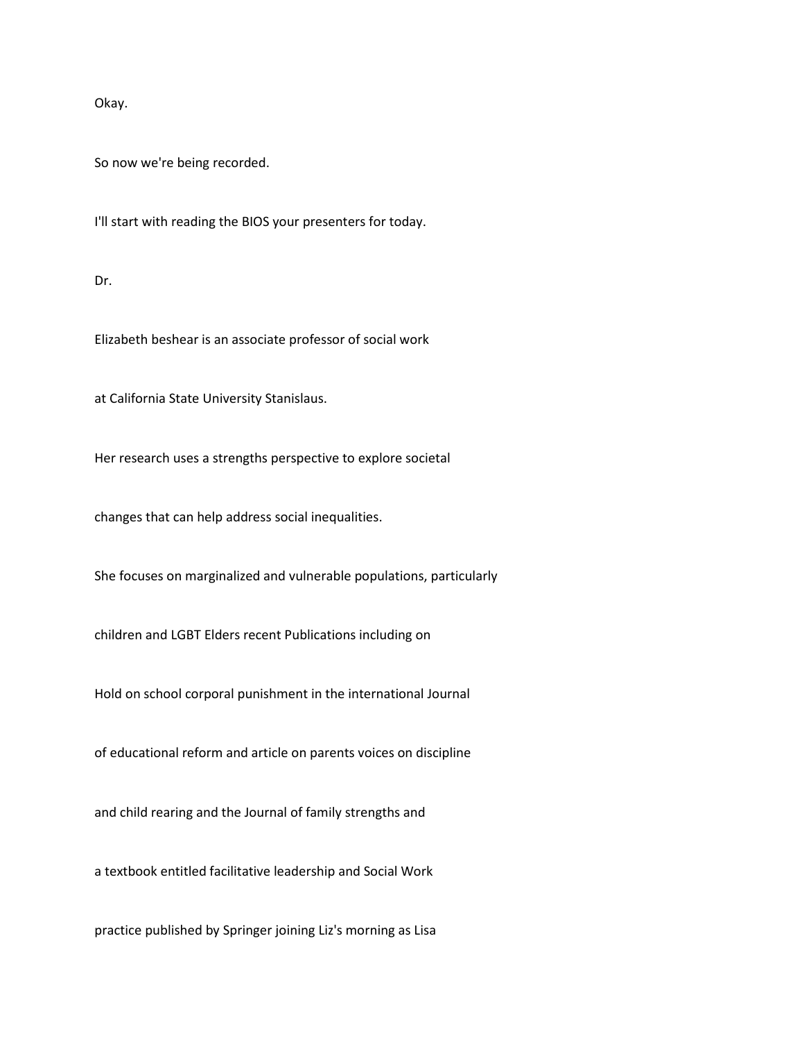Okay.

So now we're being recorded.

I'll start with reading the BIOS your presenters for today.

Dr.

Elizabeth beshear is an associate professor of social work

at California State University Stanislaus.

Her research uses a strengths perspective to explore societal

changes that can help address social inequalities.

She focuses on marginalized and vulnerable populations, particularly

children and LGBT Elders recent Publications including on

Hold on school corporal punishment in the international Journal

of educational reform and article on parents voices on discipline

and child rearing and the Journal of family strengths and

a textbook entitled facilitative leadership and Social Work

practice published by Springer joining Liz's morning as Lisa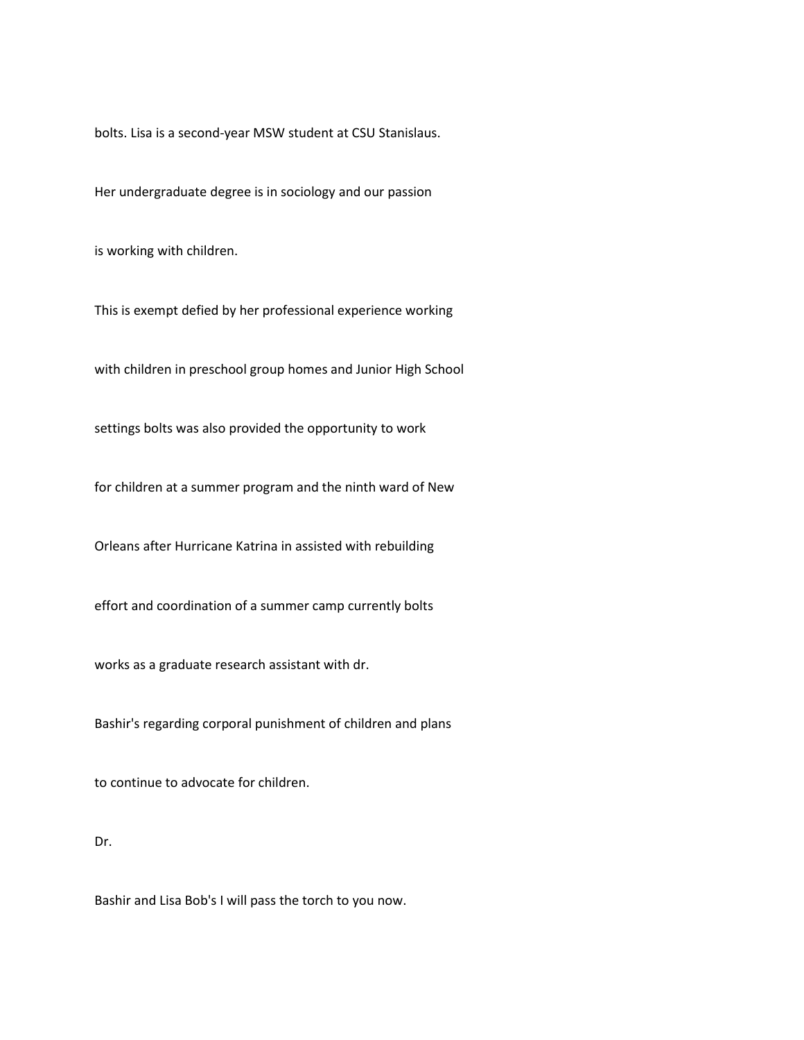bolts. Lisa is a second-year MSW student at CSU Stanislaus.

Her undergraduate degree is in sociology and our passion

is working with children.

This is exempt defied by her professional experience working

with children in preschool group homes and Junior High School

settings bolts was also provided the opportunity to work

for children at a summer program and the ninth ward of New

Orleans after Hurricane Katrina in assisted with rebuilding

effort and coordination of a summer camp currently bolts

works as a graduate research assistant with dr.

Bashir's regarding corporal punishment of children and plans

to continue to advocate for children.

## Dr.

Bashir and Lisa Bob's I will pass the torch to you now.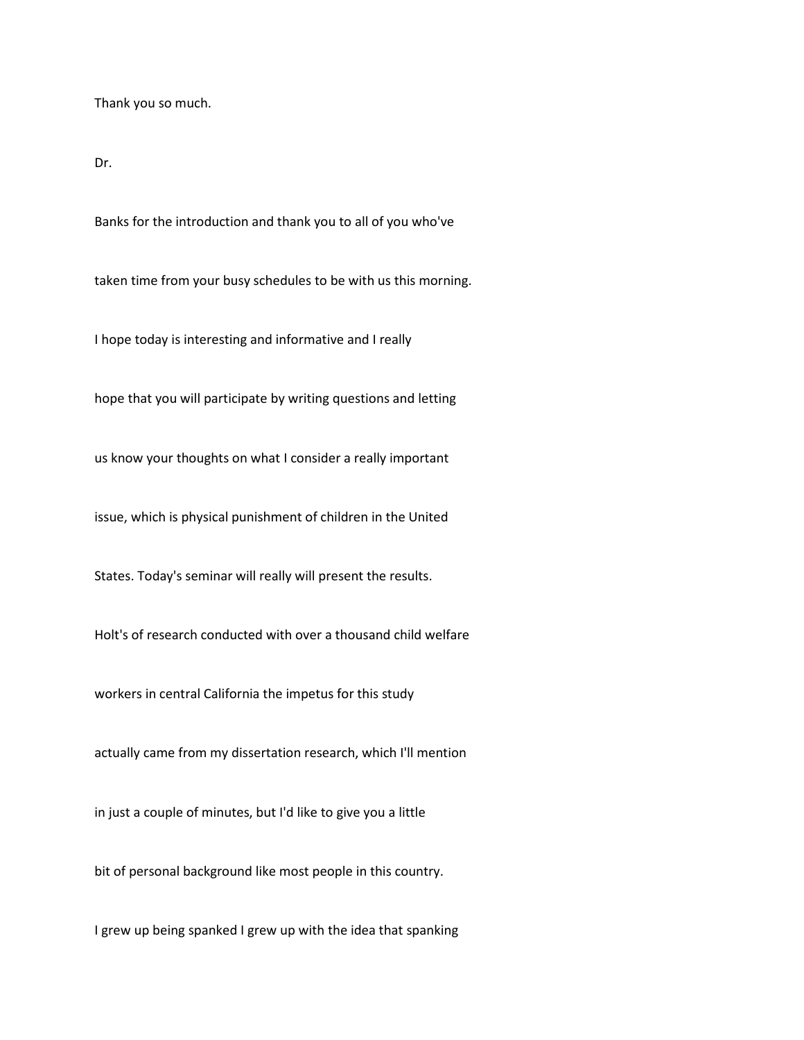Thank you so much.

Dr.

Banks for the introduction and thank you to all of you who've

taken time from your busy schedules to be with us this morning.

I hope today is interesting and informative and I really

hope that you will participate by writing questions and letting

us know your thoughts on what I consider a really important

issue, which is physical punishment of children in the United

States. Today's seminar will really will present the results.

Holt's of research conducted with over a thousand child welfare

workers in central California the impetus for this study

actually came from my dissertation research, which I'll mention

in just a couple of minutes, but I'd like to give you a little

bit of personal background like most people in this country.

I grew up being spanked I grew up with the idea that spanking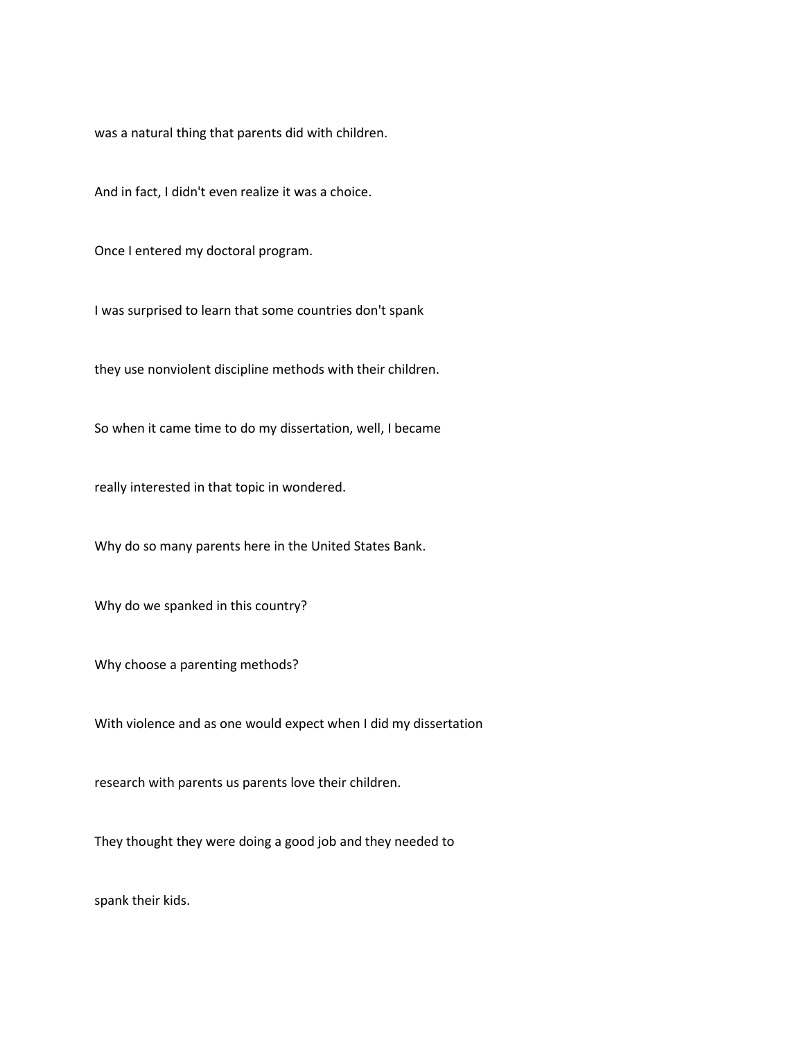was a natural thing that parents did with children.

And in fact, I didn't even realize it was a choice.

Once I entered my doctoral program.

I was surprised to learn that some countries don't spank

they use nonviolent discipline methods with their children.

So when it came time to do my dissertation, well, I became

really interested in that topic in wondered.

Why do so many parents here in the United States Bank.

Why do we spanked in this country?

Why choose a parenting methods?

With violence and as one would expect when I did my dissertation

research with parents us parents love their children.

They thought they were doing a good job and they needed to

spank their kids.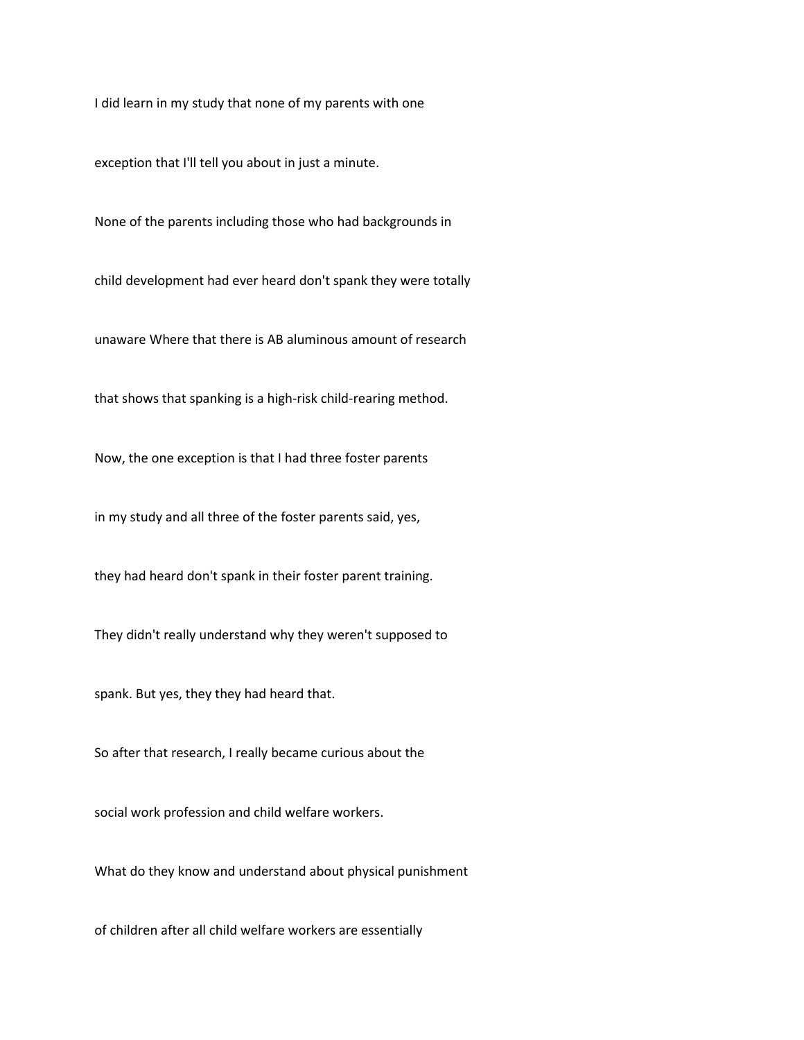I did learn in my study that none of my parents with one

exception that I'll tell you about in just a minute.

None of the parents including those who had backgrounds in

child development had ever heard don't spank they were totally

unaware Where that there is AB aluminous amount of research

that shows that spanking is a high-risk child-rearing method.

Now, the one exception is that I had three foster parents

in my study and all three of the foster parents said, yes,

they had heard don't spank in their foster parent training.

They didn't really understand why they weren't supposed to

spank. But yes, they they had heard that.

So after that research, I really became curious about the

social work profession and child welfare workers.

What do they know and understand about physical punishment

of children after all child welfare workers are essentially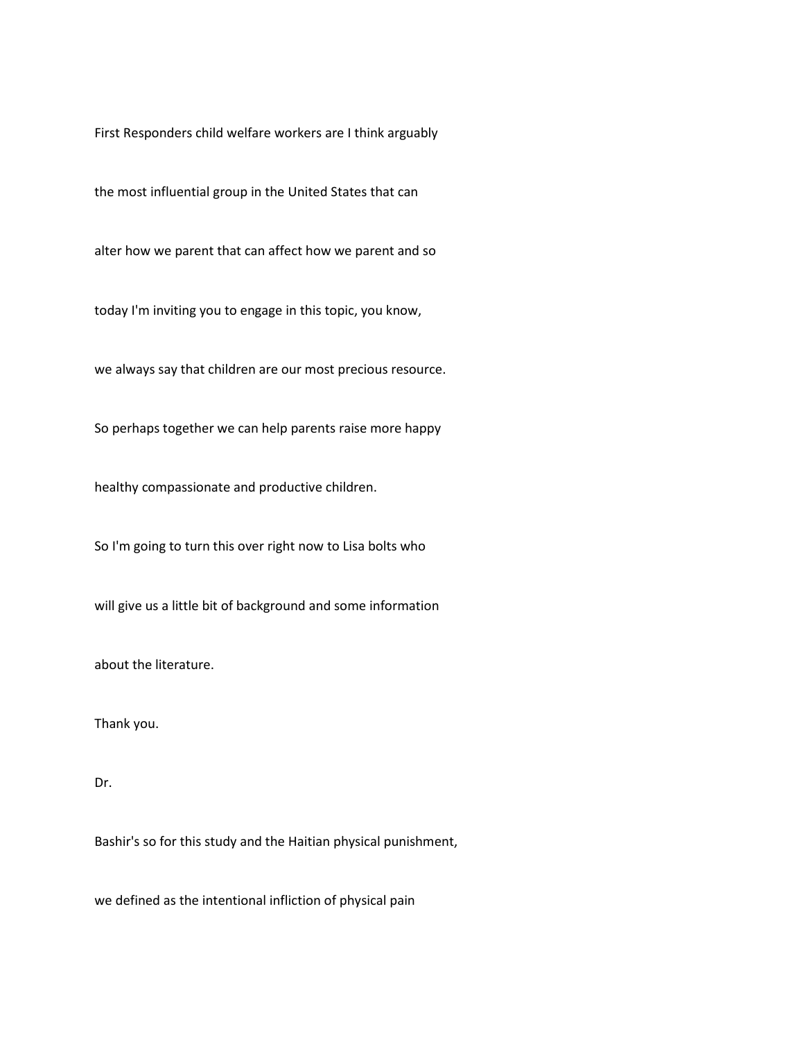First Responders child welfare workers are I think arguably

the most influential group in the United States that can

alter how we parent that can affect how we parent and so

today I'm inviting you to engage in this topic, you know,

we always say that children are our most precious resource.

So perhaps together we can help parents raise more happy

healthy compassionate and productive children.

So I'm going to turn this over right now to Lisa bolts who

will give us a little bit of background and some information

about the literature.

Thank you.

## Dr.

Bashir's so for this study and the Haitian physical punishment,

we defined as the intentional infliction of physical pain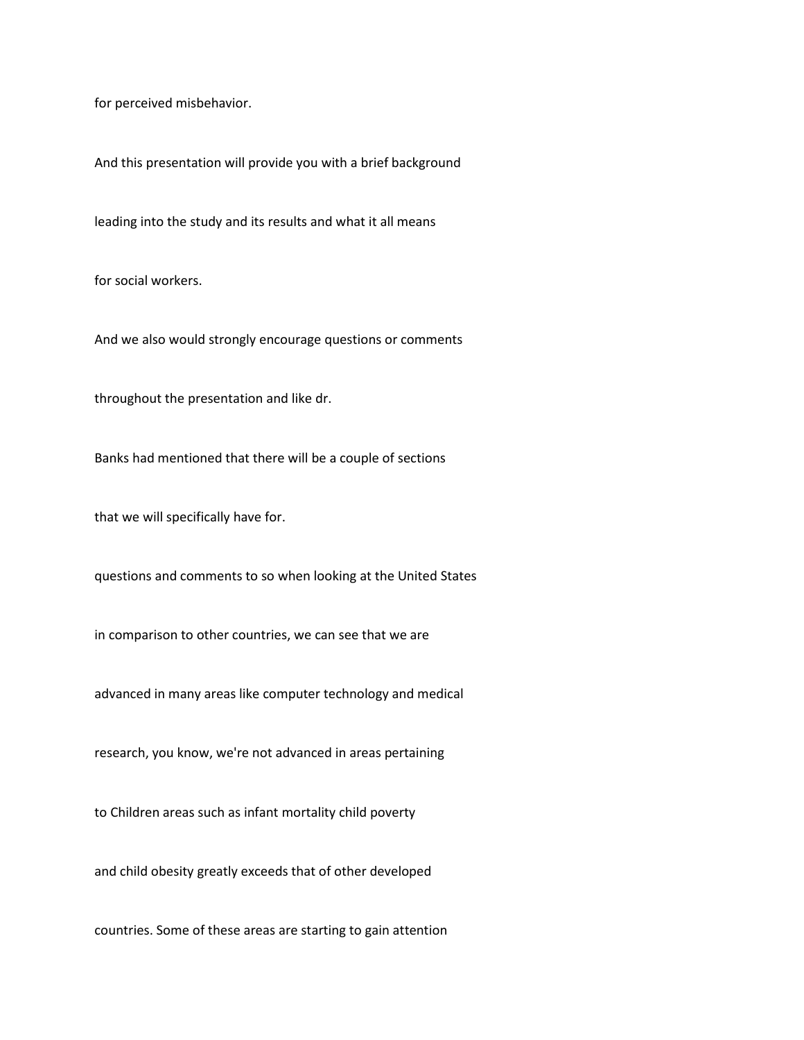for perceived misbehavior.

And this presentation will provide you with a brief background

leading into the study and its results and what it all means

for social workers.

And we also would strongly encourage questions or comments

throughout the presentation and like dr.

Banks had mentioned that there will be a couple of sections

that we will specifically have for.

questions and comments to so when looking at the United States

in comparison to other countries, we can see that we are

advanced in many areas like computer technology and medical

research, you know, we're not advanced in areas pertaining

to Children areas such as infant mortality child poverty

and child obesity greatly exceeds that of other developed

countries. Some of these areas are starting to gain attention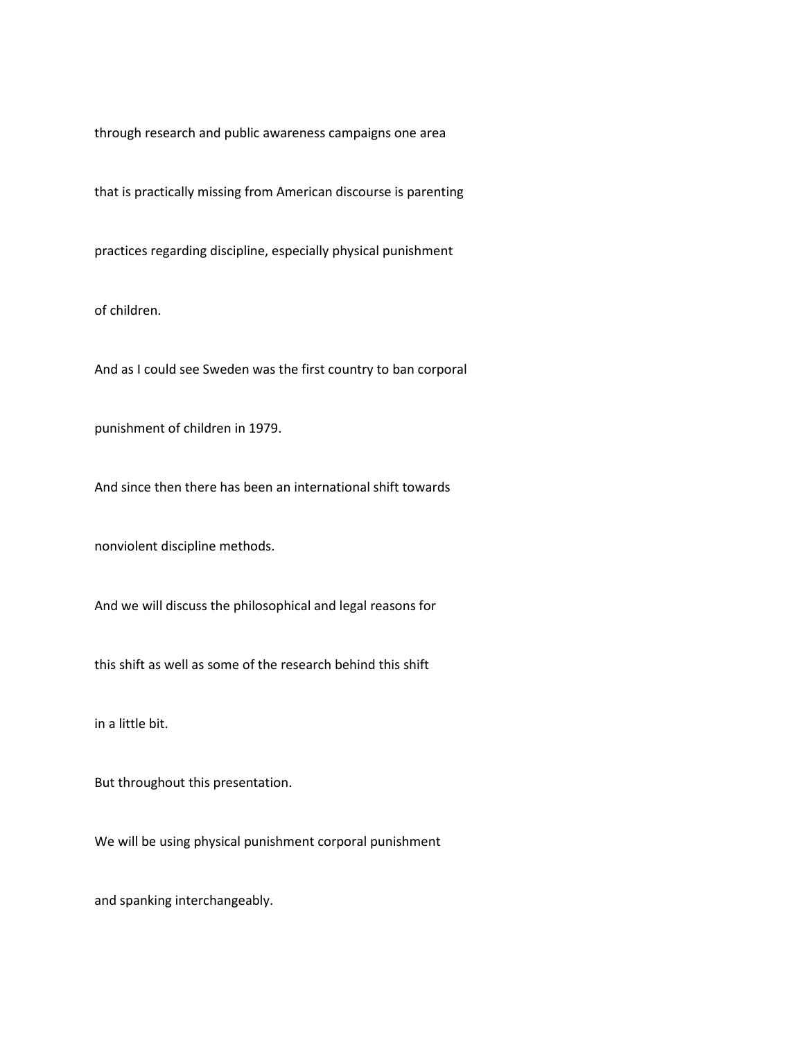through research and public awareness campaigns one area

that is practically missing from American discourse is parenting

practices regarding discipline, especially physical punishment

of children.

And as I could see Sweden was the first country to ban corporal

punishment of children in 1979.

And since then there has been an international shift towards

nonviolent discipline methods.

And we will discuss the philosophical and legal reasons for

this shift as well as some of the research behind this shift

in a little bit.

But throughout this presentation.

We will be using physical punishment corporal punishment

and spanking interchangeably.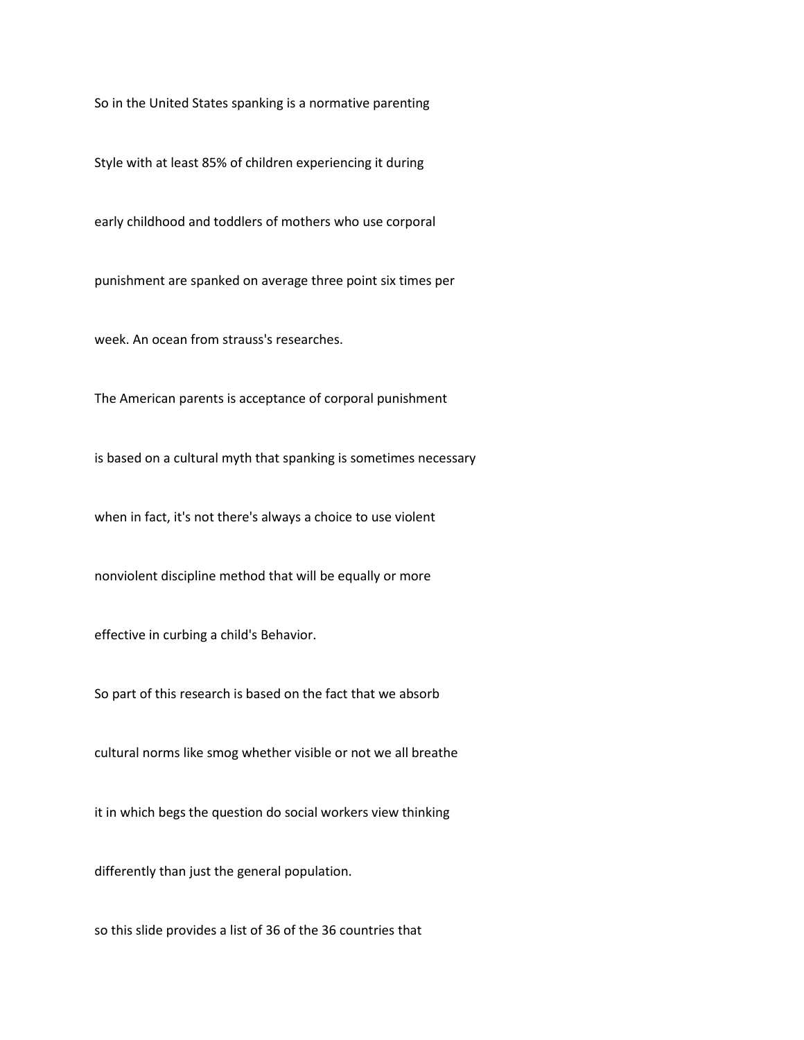So in the United States spanking is a normative parenting

Style with at least 85% of children experiencing it during

early childhood and toddlers of mothers who use corporal

punishment are spanked on average three point six times per

week. An ocean from strauss's researches.

The American parents is acceptance of corporal punishment

is based on a cultural myth that spanking is sometimes necessary

when in fact, it's not there's always a choice to use violent

nonviolent discipline method that will be equally or more

effective in curbing a child's Behavior.

So part of this research is based on the fact that we absorb

cultural norms like smog whether visible or not we all breathe

it in which begs the question do social workers view thinking

differently than just the general population.

so this slide provides a list of 36 of the 36 countries that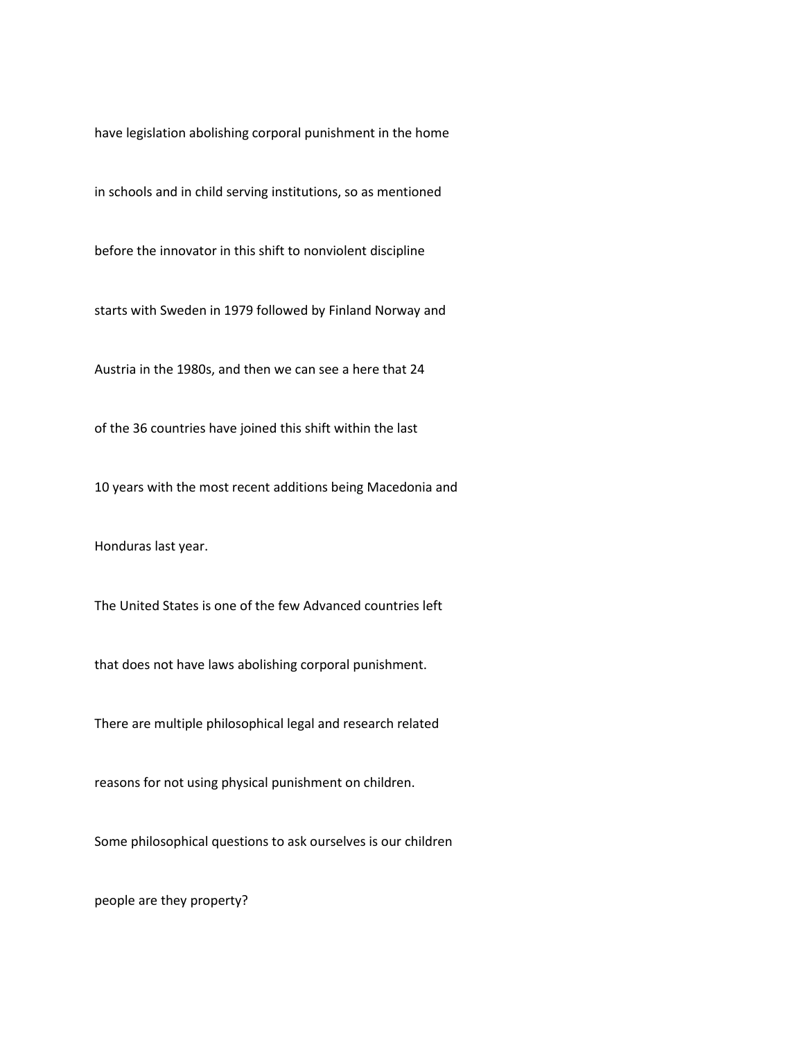have legislation abolishing corporal punishment in the home

in schools and in child serving institutions, so as mentioned

before the innovator in this shift to nonviolent discipline

starts with Sweden in 1979 followed by Finland Norway and

Austria in the 1980s, and then we can see a here that 24

of the 36 countries have joined this shift within the last

10 years with the most recent additions being Macedonia and

Honduras last year.

The United States is one of the few Advanced countries left

that does not have laws abolishing corporal punishment.

There are multiple philosophical legal and research related

reasons for not using physical punishment on children.

Some philosophical questions to ask ourselves is our children

people are they property?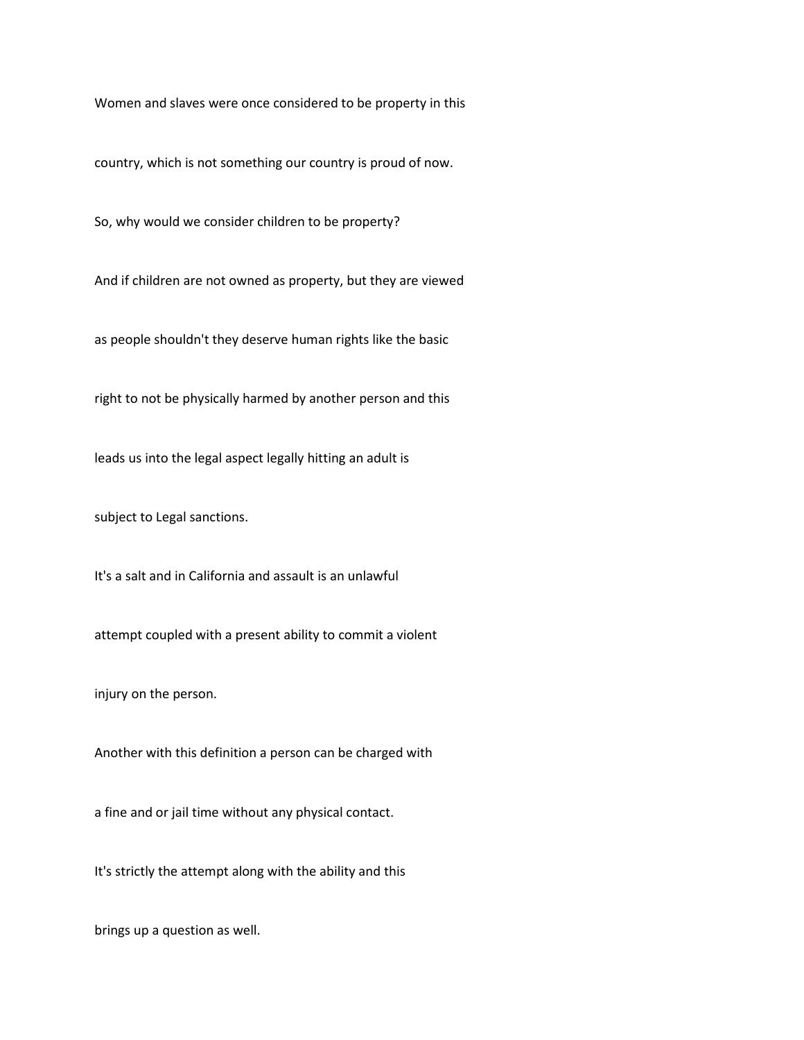Women and slaves were once considered to be property in this

country, which is not something our country is proud of now.

So, why would we consider children to be property?

And if children are not owned as property, but they are viewed

as people shouldn't they deserve human rights like the basic

right to not be physically harmed by another person and this

leads us into the legal aspect legally hitting an adult is

subject to Legal sanctions.

It's a salt and in California and assault is an unlawful

attempt coupled with a present ability to commit a violent

injury on the person.

Another with this definition a person can be charged with

a fine and or jail time without any physical contact.

It's strictly the attempt along with the ability and this

brings up a question as well.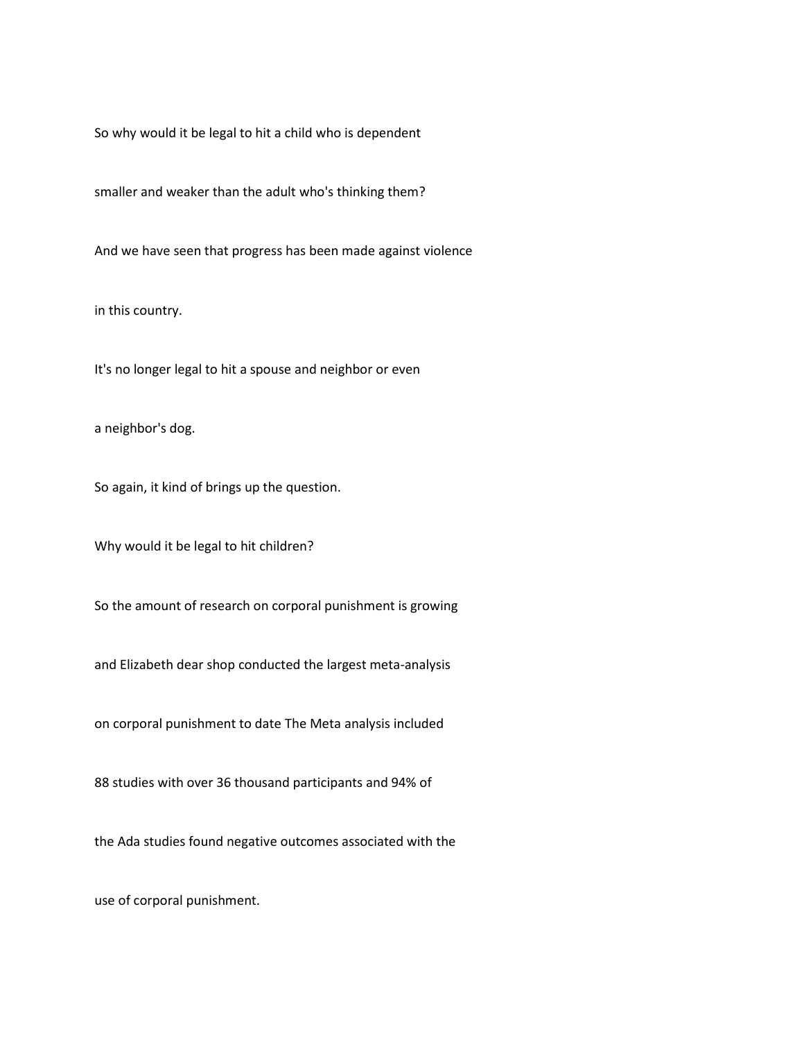So why would it be legal to hit a child who is dependent

smaller and weaker than the adult who's thinking them?

And we have seen that progress has been made against violence

in this country.

It's no longer legal to hit a spouse and neighbor or even

a neighbor's dog.

So again, it kind of brings up the question.

Why would it be legal to hit children?

So the amount of research on corporal punishment is growing

and Elizabeth dear shop conducted the largest meta-analysis

on corporal punishment to date The Meta analysis included

88 studies with over 36 thousand participants and 94% of

the Ada studies found negative outcomes associated with the

use of corporal punishment.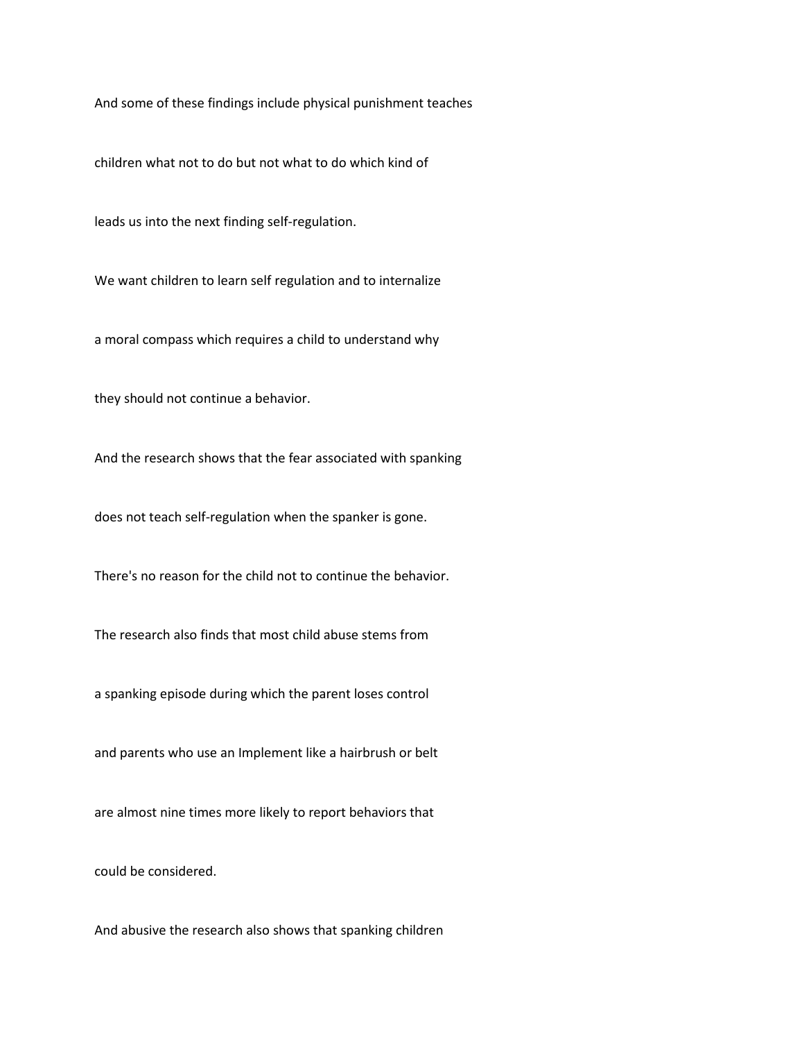And some of these findings include physical punishment teaches

children what not to do but not what to do which kind of

leads us into the next finding self-regulation.

We want children to learn self regulation and to internalize

a moral compass which requires a child to understand why

they should not continue a behavior.

And the research shows that the fear associated with spanking

does not teach self-regulation when the spanker is gone.

There's no reason for the child not to continue the behavior.

The research also finds that most child abuse stems from

a spanking episode during which the parent loses control

and parents who use an Implement like a hairbrush or belt

are almost nine times more likely to report behaviors that

could be considered.

And abusive the research also shows that spanking children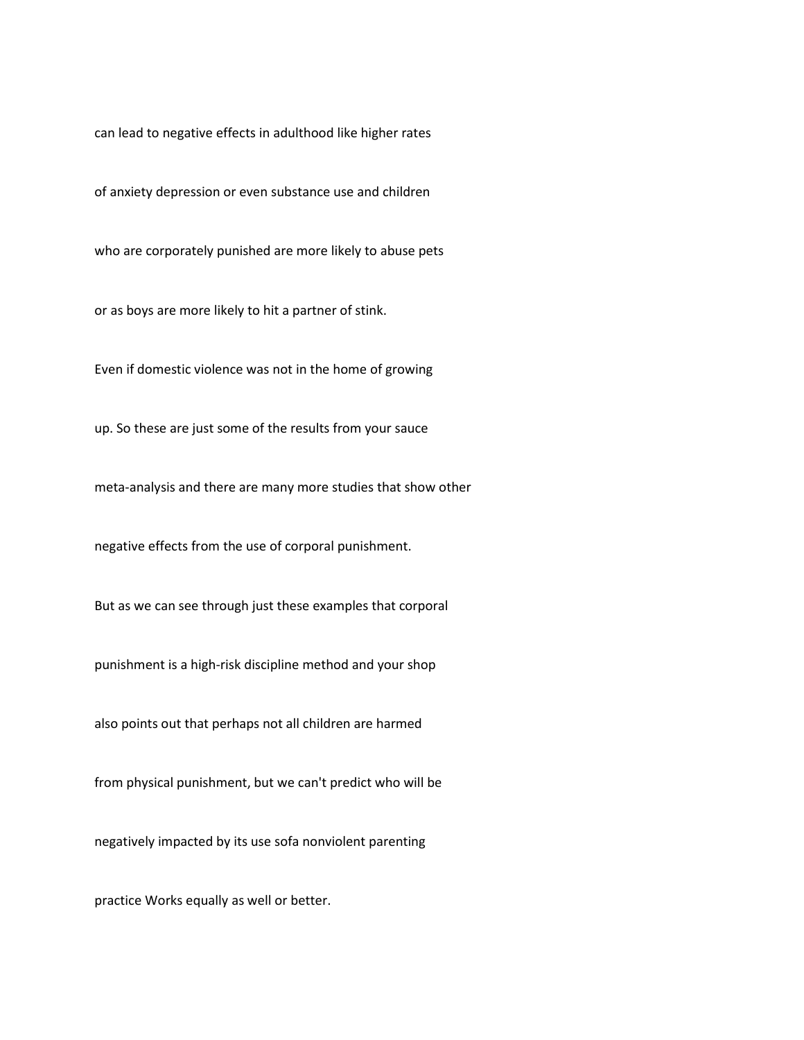can lead to negative effects in adulthood like higher rates

of anxiety depression or even substance use and children

who are corporately punished are more likely to abuse pets

or as boys are more likely to hit a partner of stink.

Even if domestic violence was not in the home of growing

up. So these are just some of the results from your sauce

meta-analysis and there are many more studies that show other

negative effects from the use of corporal punishment.

But as we can see through just these examples that corporal

punishment is a high-risk discipline method and your shop

also points out that perhaps not all children are harmed

from physical punishment, but we can't predict who will be

negatively impacted by its use sofa nonviolent parenting

practice Works equally as well or better.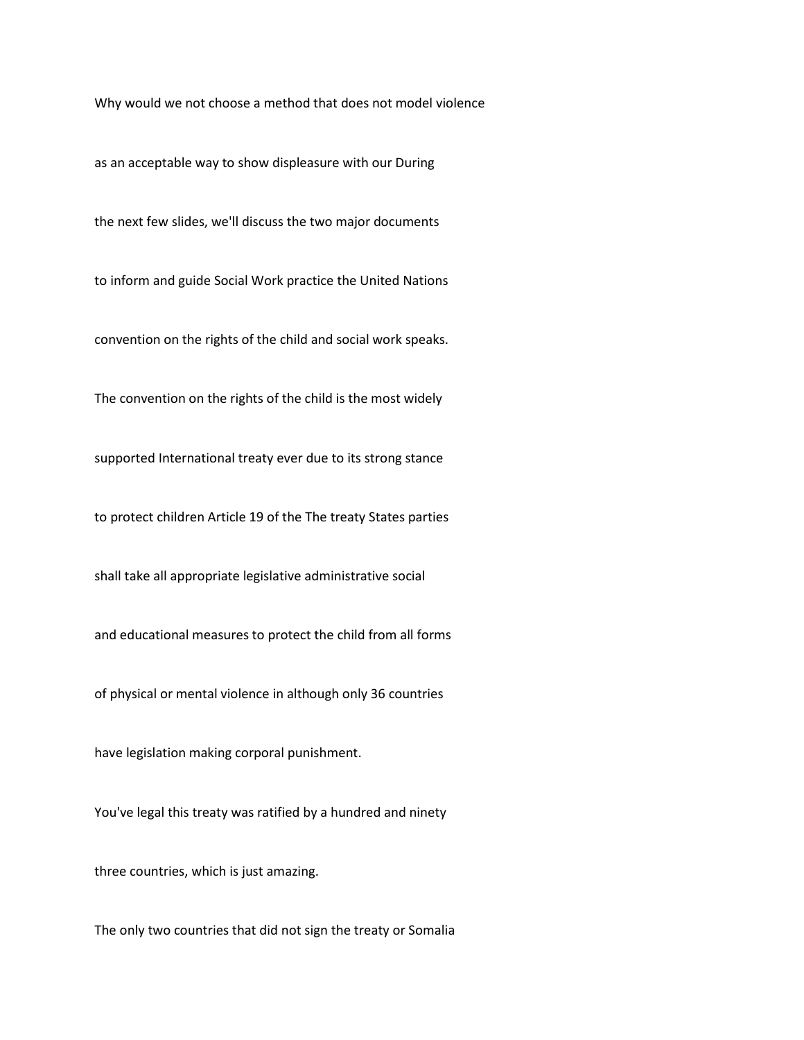Why would we not choose a method that does not model violence

as an acceptable way to show displeasure with our During

the next few slides, we'll discuss the two major documents

to inform and guide Social Work practice the United Nations

convention on the rights of the child and social work speaks.

The convention on the rights of the child is the most widely

supported International treaty ever due to its strong stance

to protect children Article 19 of the The treaty States parties

shall take all appropriate legislative administrative social

and educational measures to protect the child from all forms

of physical or mental violence in although only 36 countries

have legislation making corporal punishment.

You've legal this treaty was ratified by a hundred and ninety

three countries, which is just amazing.

The only two countries that did not sign the treaty or Somalia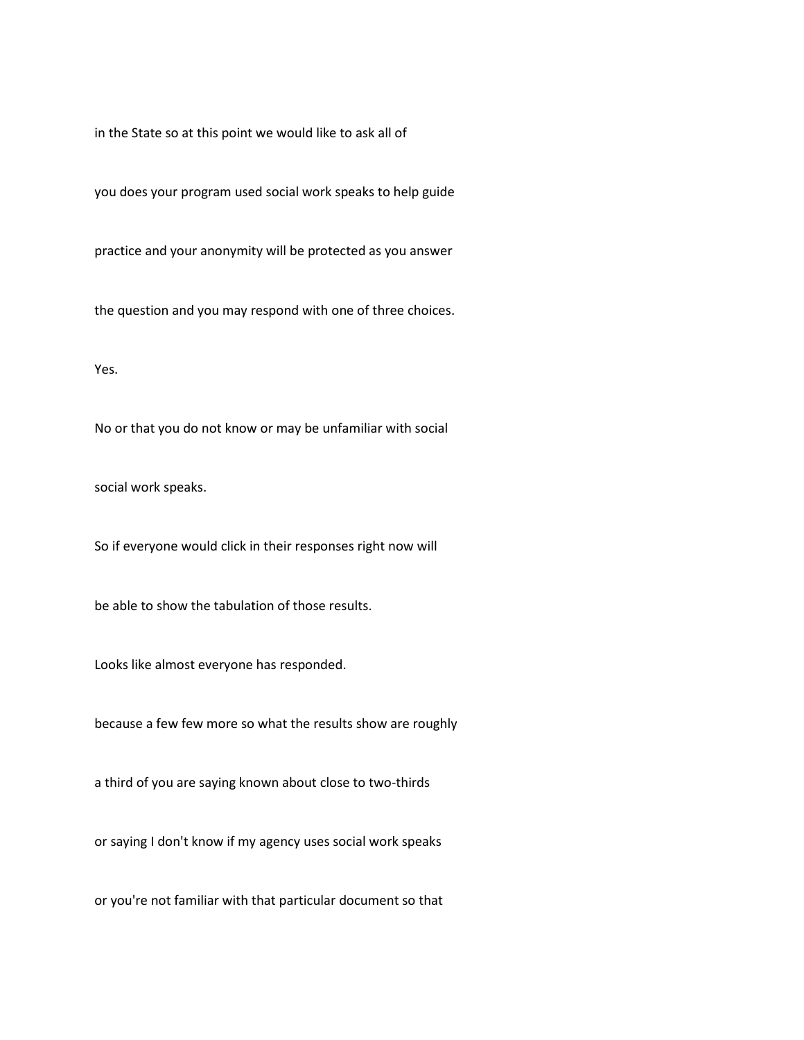in the State so at this point we would like to ask all of

you does your program used social work speaks to help guide

practice and your anonymity will be protected as you answer

the question and you may respond with one of three choices.

Yes.

No or that you do not know or may be unfamiliar with social

social work speaks.

So if everyone would click in their responses right now will

be able to show the tabulation of those results.

Looks like almost everyone has responded.

because a few few more so what the results show are roughly

a third of you are saying known about close to two-thirds

or saying I don't know if my agency uses social work speaks

or you're not familiar with that particular document so that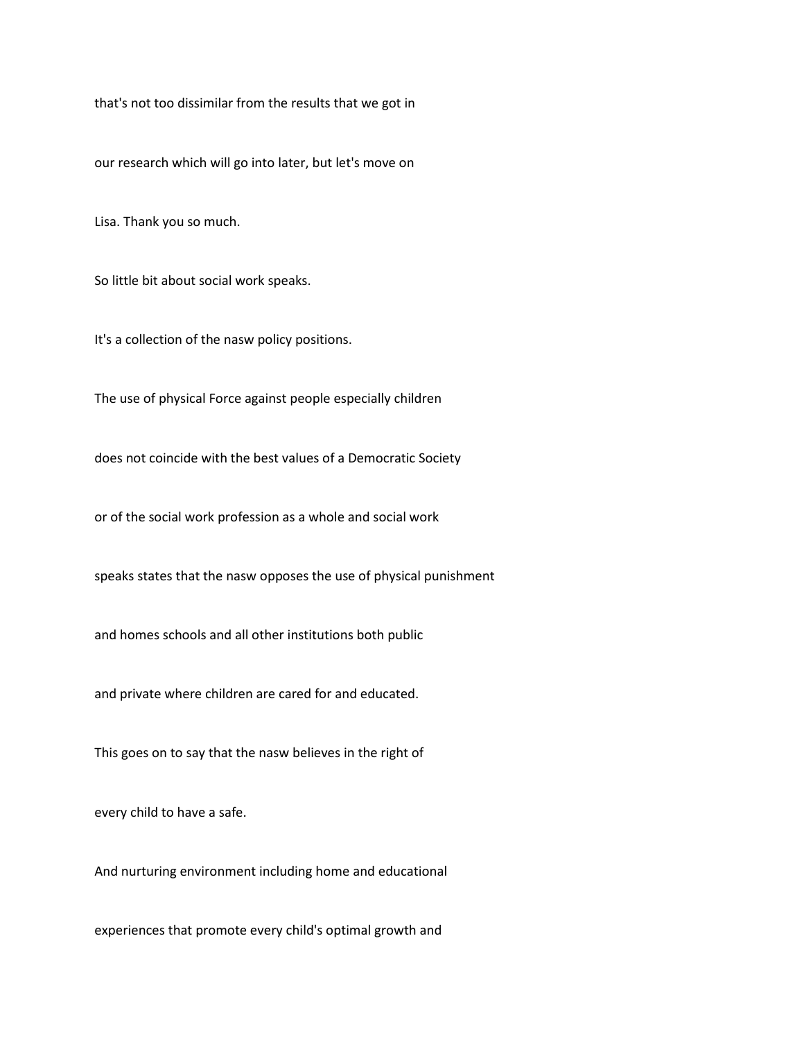that's not too dissimilar from the results that we got in

our research which will go into later, but let's move on

Lisa. Thank you so much.

So little bit about social work speaks.

It's a collection of the nasw policy positions.

The use of physical Force against people especially children

does not coincide with the best values of a Democratic Society

or of the social work profession as a whole and social work

speaks states that the nasw opposes the use of physical punishment

and homes schools and all other institutions both public

and private where children are cared for and educated.

This goes on to say that the nasw believes in the right of

every child to have a safe.

And nurturing environment including home and educational

experiences that promote every child's optimal growth and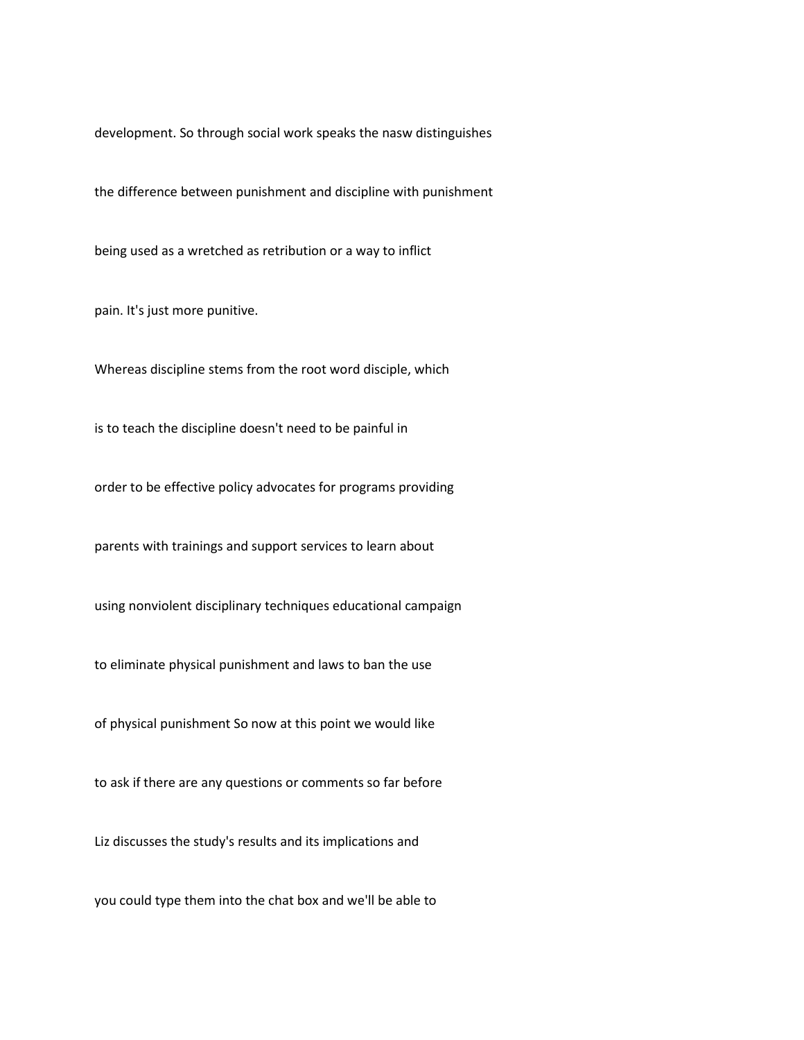development. So through social work speaks the nasw distinguishes

the difference between punishment and discipline with punishment

being used as a wretched as retribution or a way to inflict

pain. It's just more punitive.

Whereas discipline stems from the root word disciple, which

is to teach the discipline doesn't need to be painful in

order to be effective policy advocates for programs providing

parents with trainings and support services to learn about

using nonviolent disciplinary techniques educational campaign

to eliminate physical punishment and laws to ban the use

of physical punishment So now at this point we would like

to ask if there are any questions or comments so far before

Liz discusses the study's results and its implications and

you could type them into the chat box and we'll be able to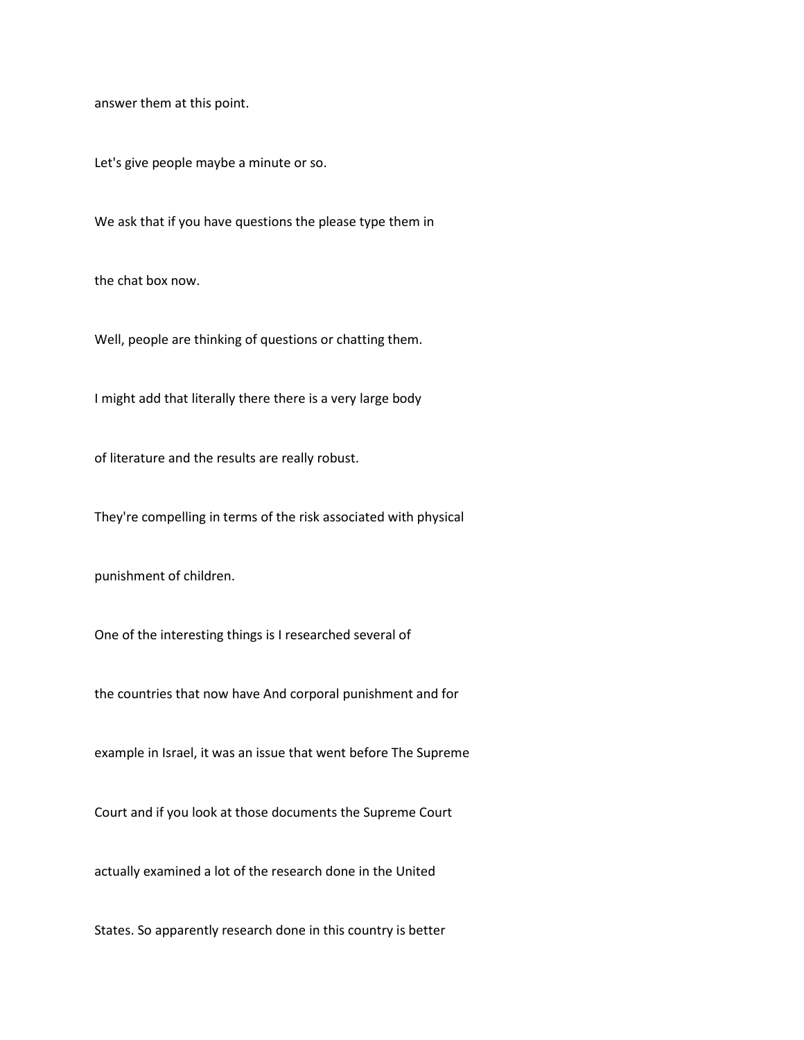answer them at this point.

Let's give people maybe a minute or so.

We ask that if you have questions the please type them in

the chat box now.

Well, people are thinking of questions or chatting them.

I might add that literally there there is a very large body

of literature and the results are really robust.

They're compelling in terms of the risk associated with physical

punishment of children.

One of the interesting things is I researched several of

the countries that now have And corporal punishment and for

example in Israel, it was an issue that went before The Supreme

Court and if you look at those documents the Supreme Court

actually examined a lot of the research done in the United

States. So apparently research done in this country is better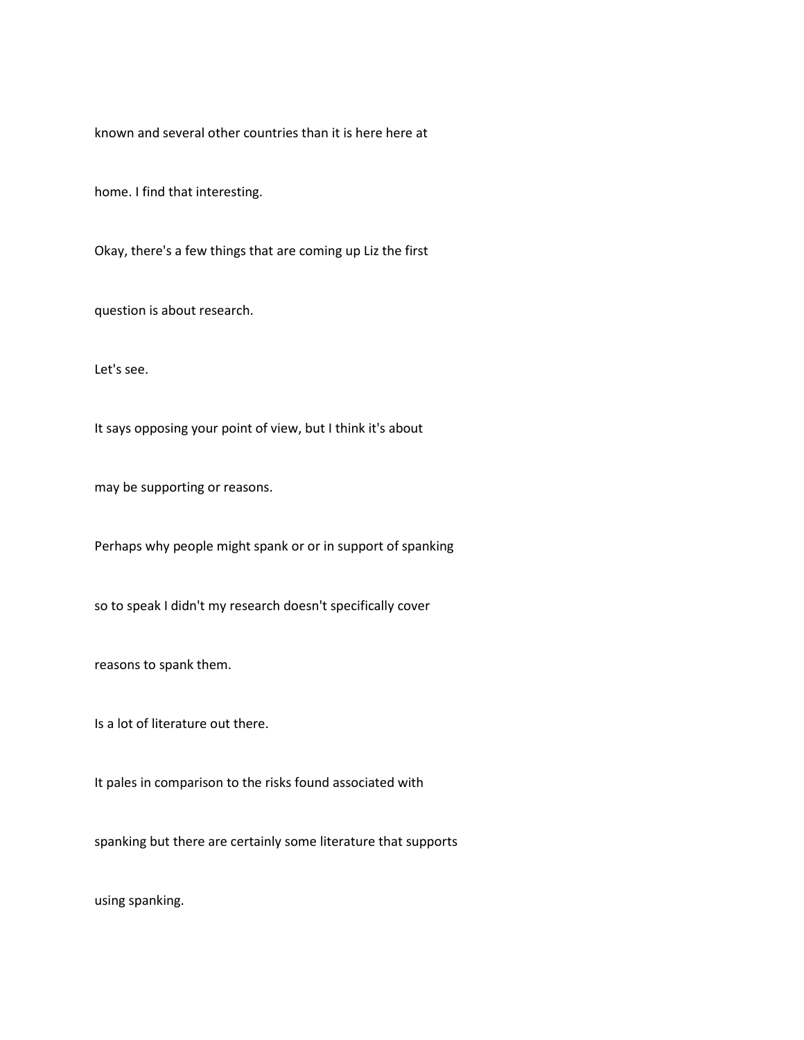known and several other countries than it is here here at

home. I find that interesting.

Okay, there's a few things that are coming up Liz the first

question is about research.

Let's see.

It says opposing your point of view, but I think it's about

may be supporting or reasons.

Perhaps why people might spank or or in support of spanking

so to speak I didn't my research doesn't specifically cover

reasons to spank them.

Is a lot of literature out there.

It pales in comparison to the risks found associated with

spanking but there are certainly some literature that supports

using spanking.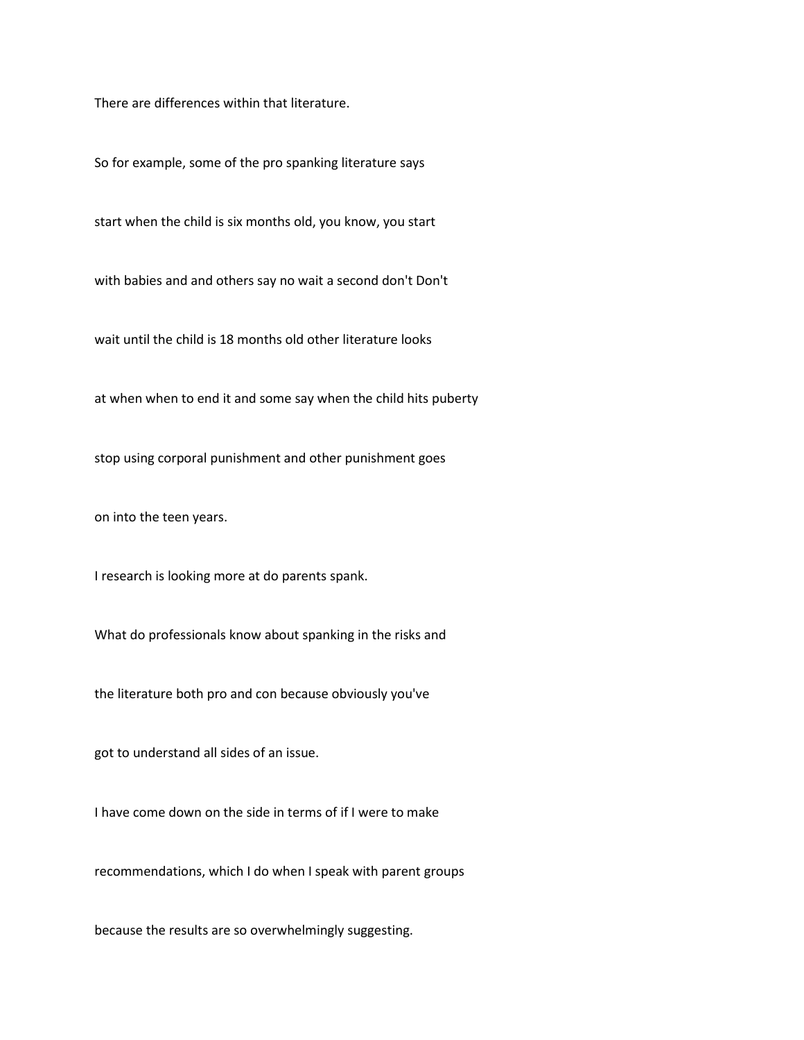There are differences within that literature.

So for example, some of the pro spanking literature says

start when the child is six months old, you know, you start

with babies and and others say no wait a second don't Don't

wait until the child is 18 months old other literature looks

at when when to end it and some say when the child hits puberty

stop using corporal punishment and other punishment goes

on into the teen years.

I research is looking more at do parents spank.

What do professionals know about spanking in the risks and

the literature both pro and con because obviously you've

got to understand all sides of an issue.

I have come down on the side in terms of if I were to make

recommendations, which I do when I speak with parent groups

because the results are so overwhelmingly suggesting.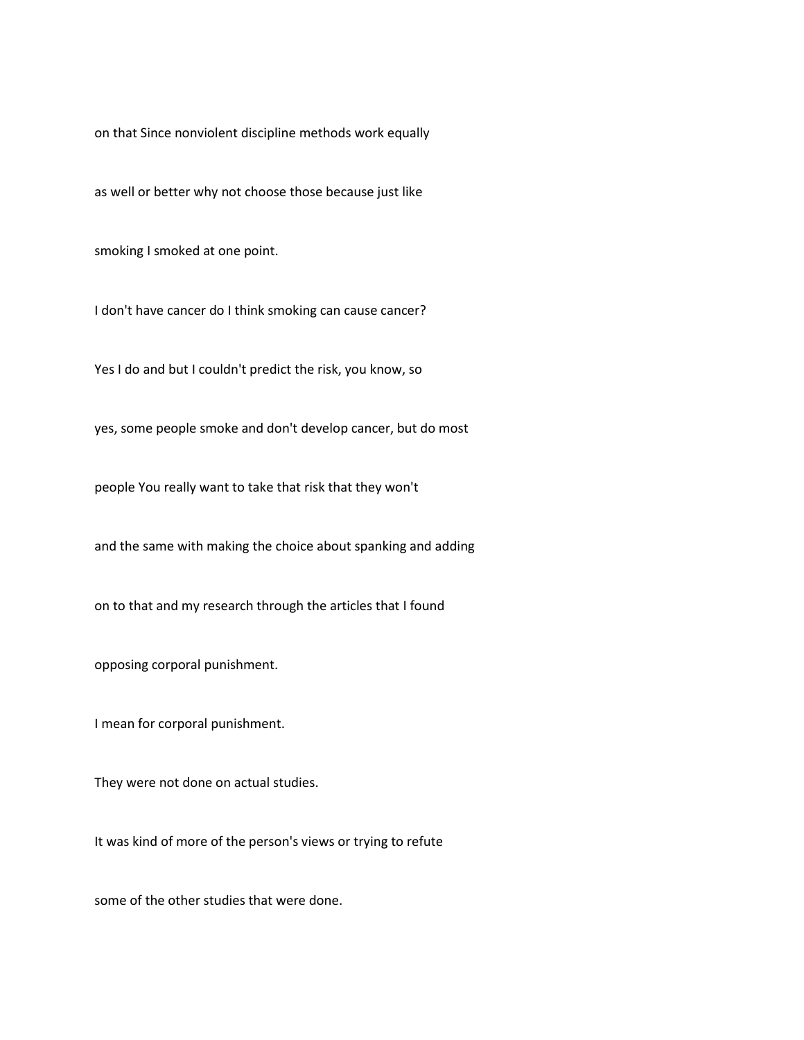on that Since nonviolent discipline methods work equally

as well or better why not choose those because just like

smoking I smoked at one point.

I don't have cancer do I think smoking can cause cancer?

Yes I do and but I couldn't predict the risk, you know, so

yes, some people smoke and don't develop cancer, but do most

people You really want to take that risk that they won't

and the same with making the choice about spanking and adding

on to that and my research through the articles that I found

opposing corporal punishment.

I mean for corporal punishment.

They were not done on actual studies.

It was kind of more of the person's views or trying to refute

some of the other studies that were done.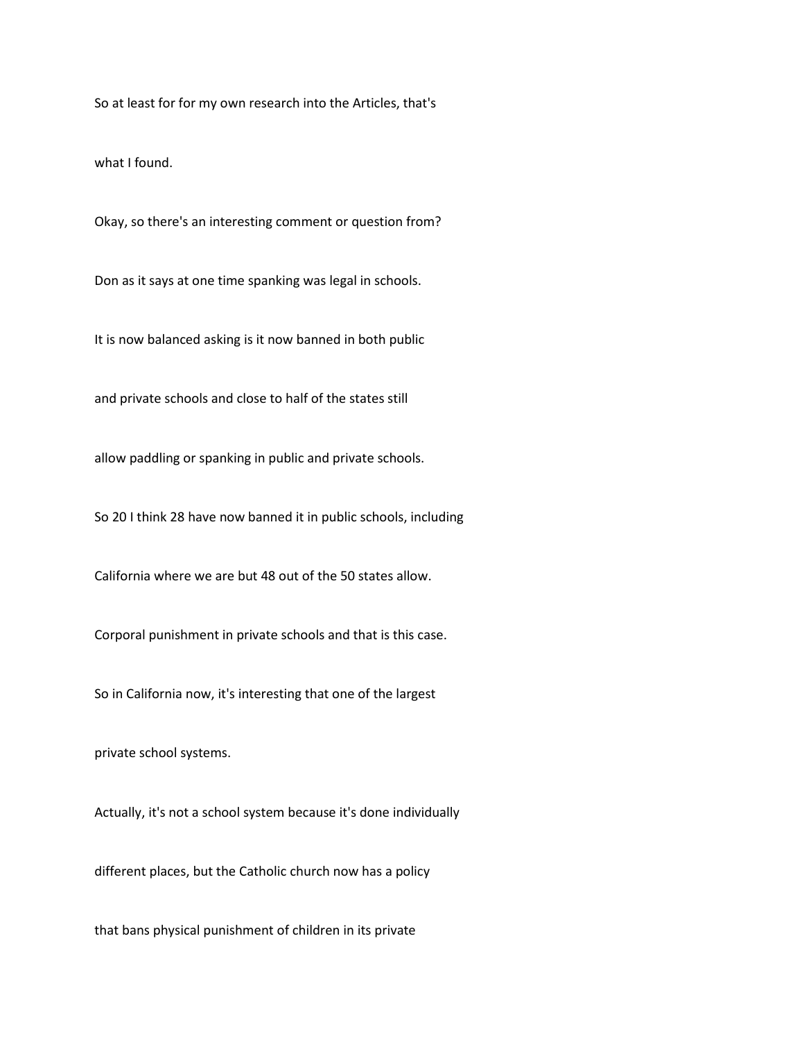So at least for for my own research into the Articles, that's

what I found.

Okay, so there's an interesting comment or question from?

Don as it says at one time spanking was legal in schools.

It is now balanced asking is it now banned in both public

and private schools and close to half of the states still

allow paddling or spanking in public and private schools.

So 20 I think 28 have now banned it in public schools, including

California where we are but 48 out of the 50 states allow.

Corporal punishment in private schools and that is this case.

So in California now, it's interesting that one of the largest

private school systems.

Actually, it's not a school system because it's done individually

different places, but the Catholic church now has a policy

that bans physical punishment of children in its private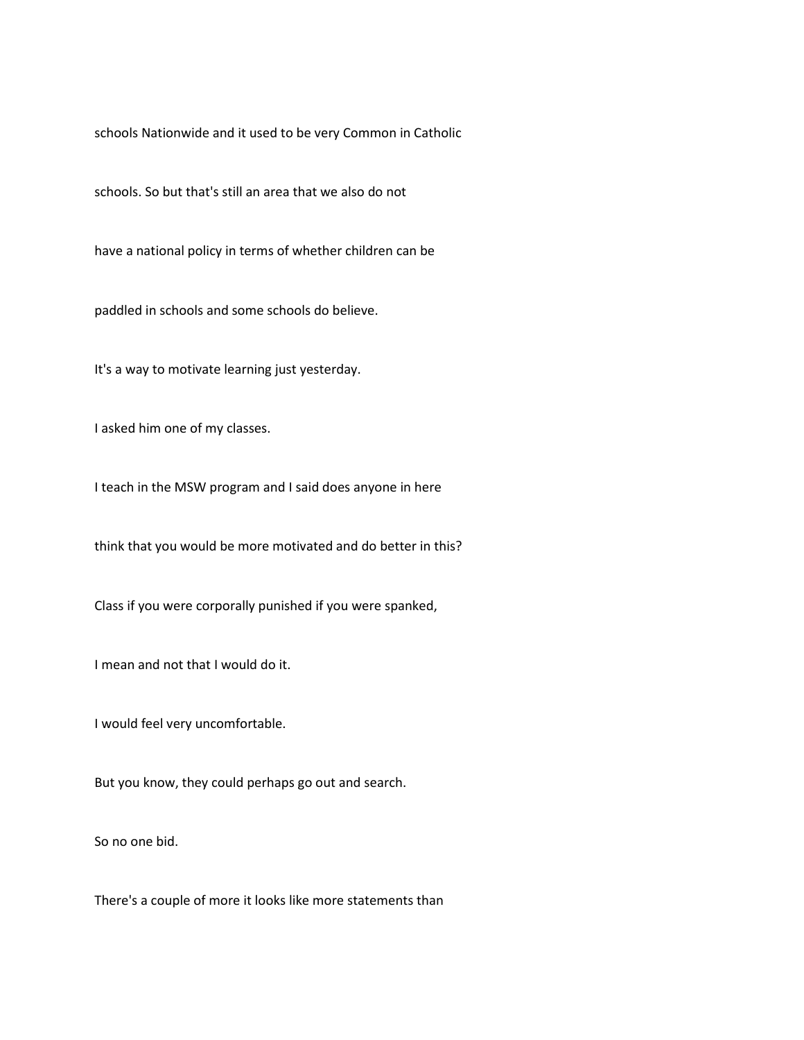schools Nationwide and it used to be very Common in Catholic

schools. So but that's still an area that we also do not

have a national policy in terms of whether children can be

paddled in schools and some schools do believe.

It's a way to motivate learning just yesterday.

I asked him one of my classes.

I teach in the MSW program and I said does anyone in here

think that you would be more motivated and do better in this?

Class if you were corporally punished if you were spanked,

I mean and not that I would do it.

I would feel very uncomfortable.

But you know, they could perhaps go out and search.

So no one bid.

There's a couple of more it looks like more statements than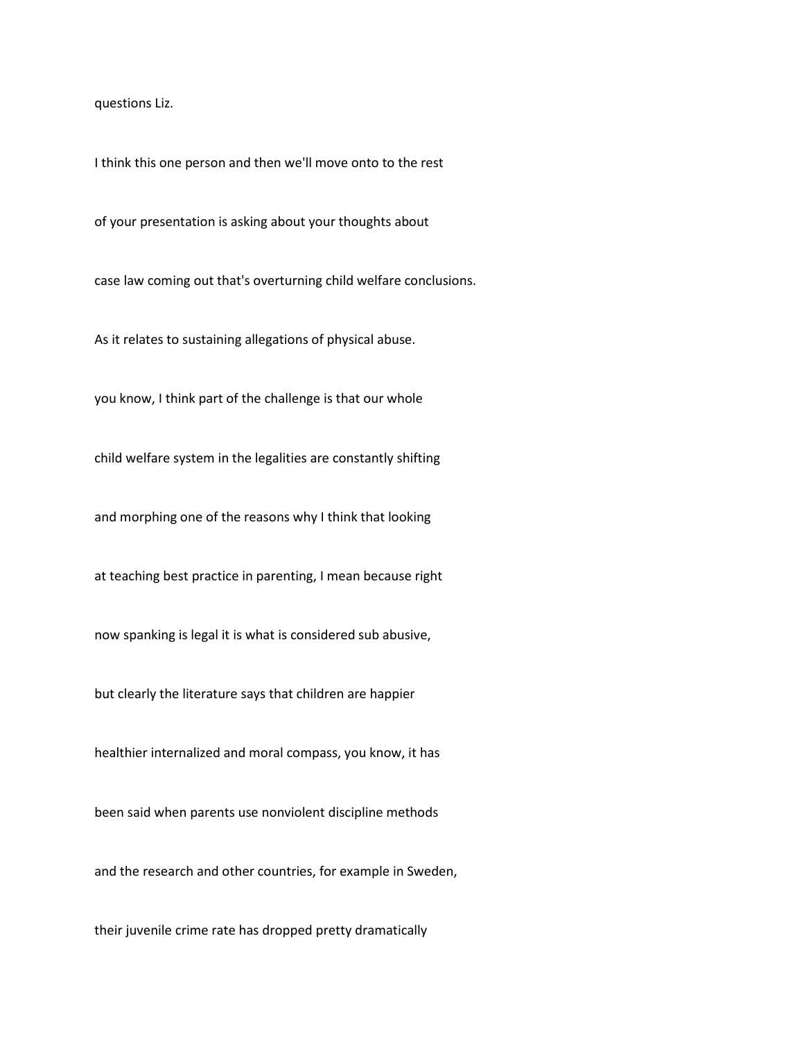questions Liz.

I think this one person and then we'll move onto to the rest

of your presentation is asking about your thoughts about

case law coming out that's overturning child welfare conclusions.

As it relates to sustaining allegations of physical abuse.

you know, I think part of the challenge is that our whole

child welfare system in the legalities are constantly shifting

and morphing one of the reasons why I think that looking

at teaching best practice in parenting, I mean because right

now spanking is legal it is what is considered sub abusive,

but clearly the literature says that children are happier

healthier internalized and moral compass, you know, it has

been said when parents use nonviolent discipline methods

and the research and other countries, for example in Sweden,

their juvenile crime rate has dropped pretty dramatically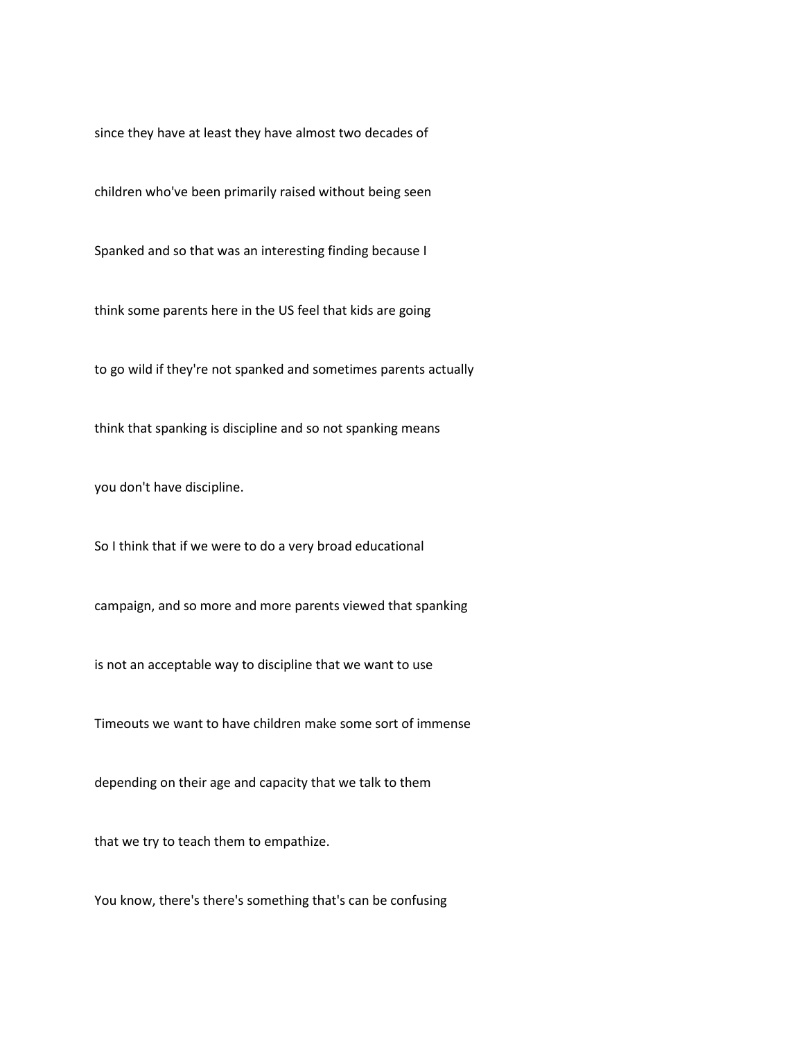since they have at least they have almost two decades of

children who've been primarily raised without being seen

Spanked and so that was an interesting finding because I

think some parents here in the US feel that kids are going

to go wild if they're not spanked and sometimes parents actually

think that spanking is discipline and so not spanking means

you don't have discipline.

So I think that if we were to do a very broad educational

campaign, and so more and more parents viewed that spanking

is not an acceptable way to discipline that we want to use

Timeouts we want to have children make some sort of immense

depending on their age and capacity that we talk to them

that we try to teach them to empathize.

You know, there's there's something that's can be confusing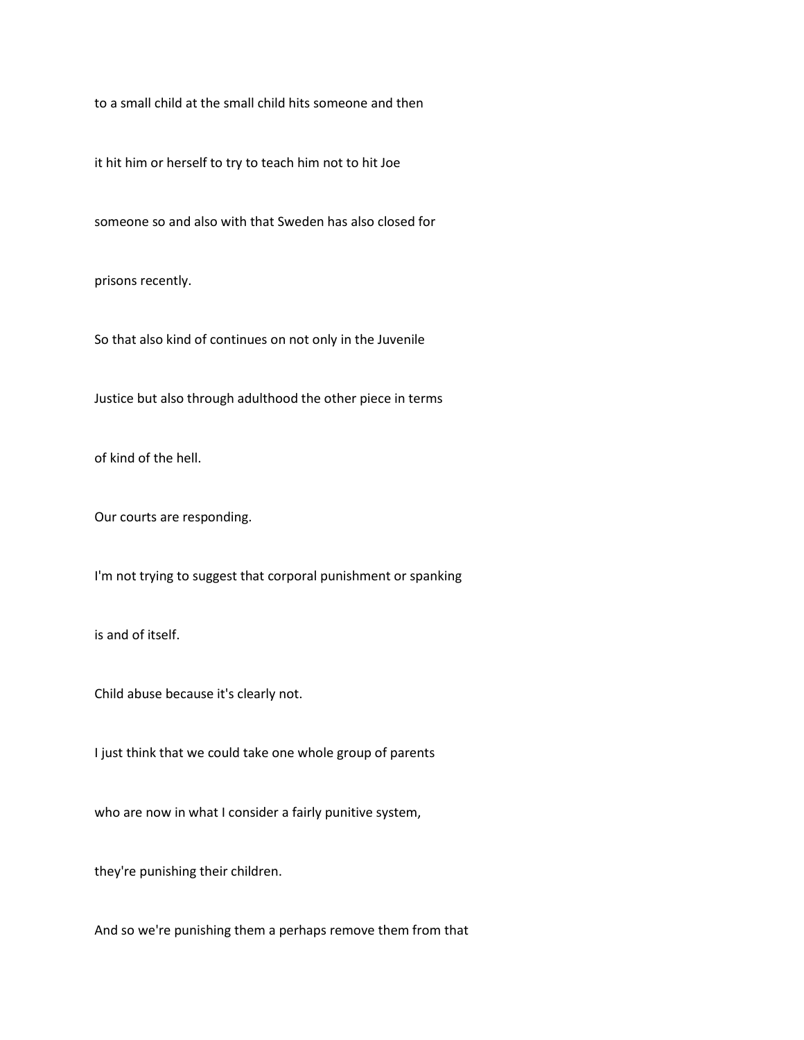to a small child at the small child hits someone and then

it hit him or herself to try to teach him not to hit Joe

someone so and also with that Sweden has also closed for

prisons recently.

So that also kind of continues on not only in the Juvenile

Justice but also through adulthood the other piece in terms

of kind of the hell.

Our courts are responding.

I'm not trying to suggest that corporal punishment or spanking

is and of itself.

Child abuse because it's clearly not.

I just think that we could take one whole group of parents

who are now in what I consider a fairly punitive system,

they're punishing their children.

And so we're punishing them a perhaps remove them from that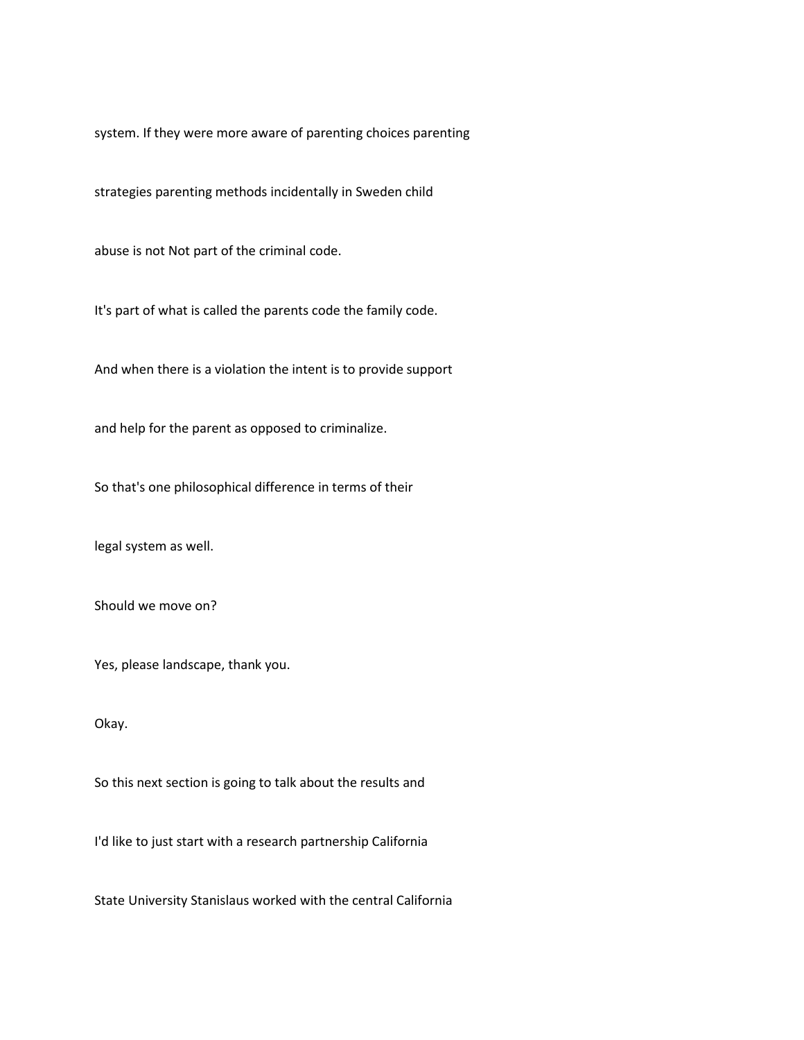system. If they were more aware of parenting choices parenting

strategies parenting methods incidentally in Sweden child

abuse is not Not part of the criminal code.

It's part of what is called the parents code the family code.

And when there is a violation the intent is to provide support

and help for the parent as opposed to criminalize.

So that's one philosophical difference in terms of their

legal system as well.

Should we move on?

Yes, please landscape, thank you.

Okay.

So this next section is going to talk about the results and

I'd like to just start with a research partnership California

State University Stanislaus worked with the central California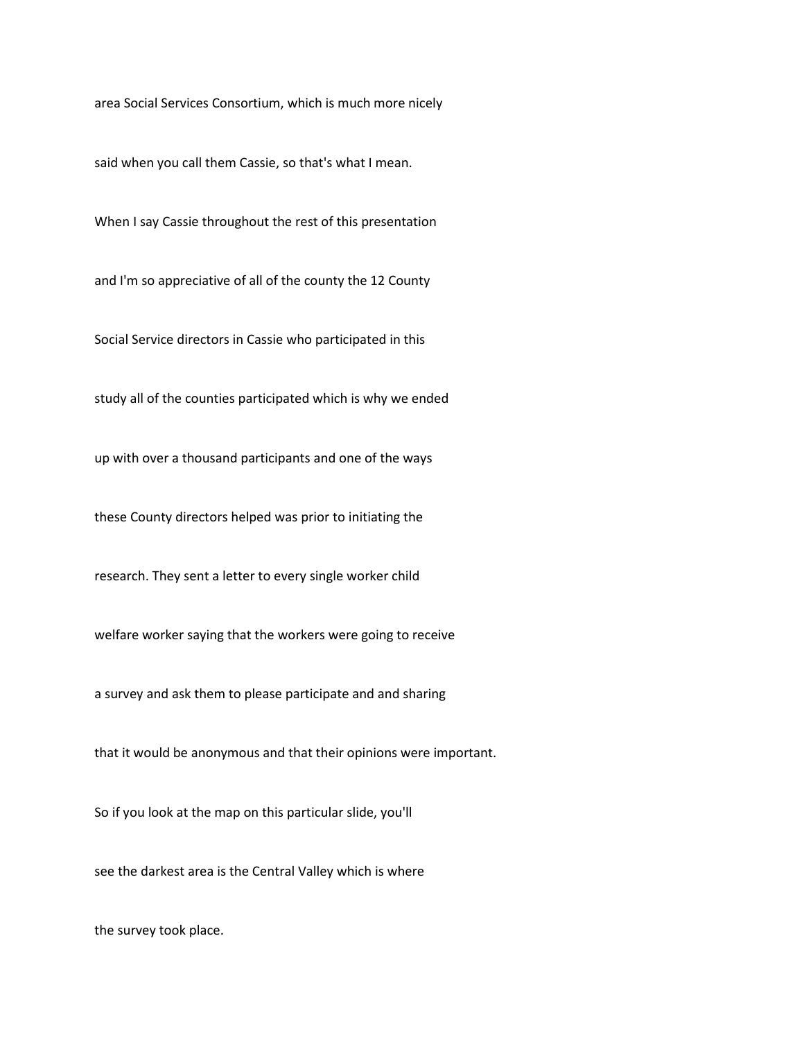area Social Services Consortium, which is much more nicely

said when you call them Cassie, so that's what I mean.

When I say Cassie throughout the rest of this presentation

and I'm so appreciative of all of the county the 12 County

Social Service directors in Cassie who participated in this

study all of the counties participated which is why we ended

up with over a thousand participants and one of the ways

these County directors helped was prior to initiating the

research. They sent a letter to every single worker child

welfare worker saying that the workers were going to receive

a survey and ask them to please participate and and sharing

that it would be anonymous and that their opinions were important.

So if you look at the map on this particular slide, you'll

see the darkest area is the Central Valley which is where

the survey took place.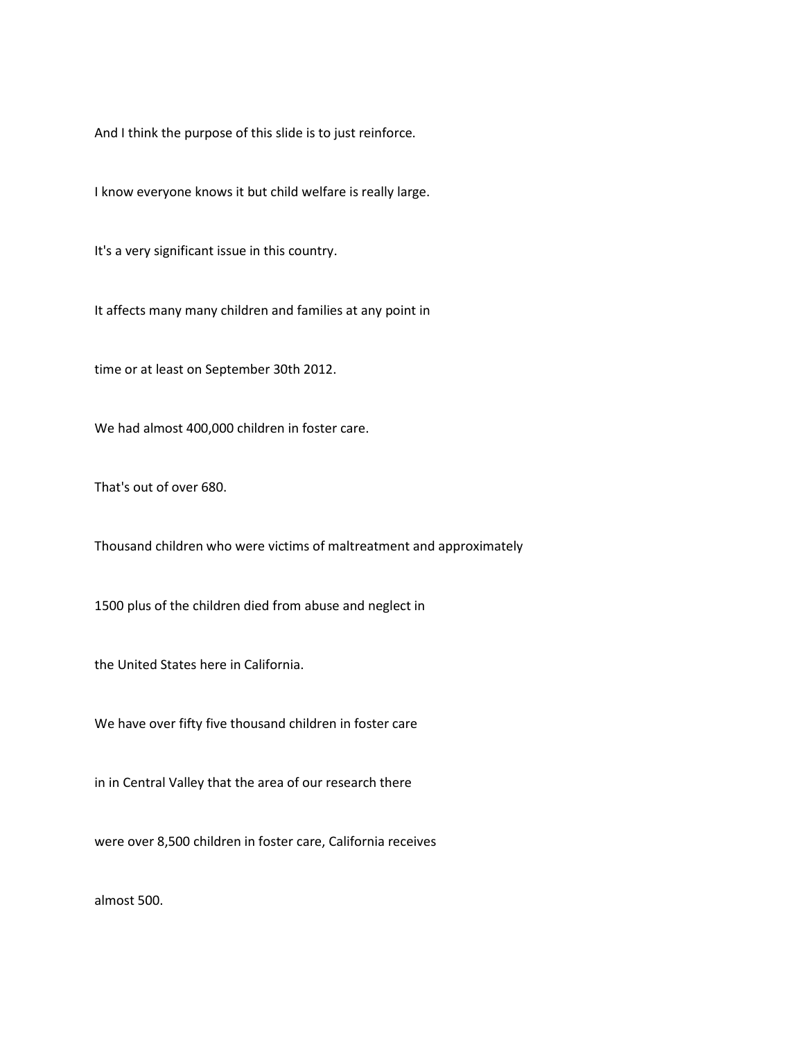And I think the purpose of this slide is to just reinforce.

I know everyone knows it but child welfare is really large.

It's a very significant issue in this country.

It affects many many children and families at any point in

time or at least on September 30th 2012.

We had almost 400,000 children in foster care.

That's out of over 680.

Thousand children who were victims of maltreatment and approximately

1500 plus of the children died from abuse and neglect in

the United States here in California.

We have over fifty five thousand children in foster care

in in Central Valley that the area of our research there

were over 8,500 children in foster care, California receives

almost 500.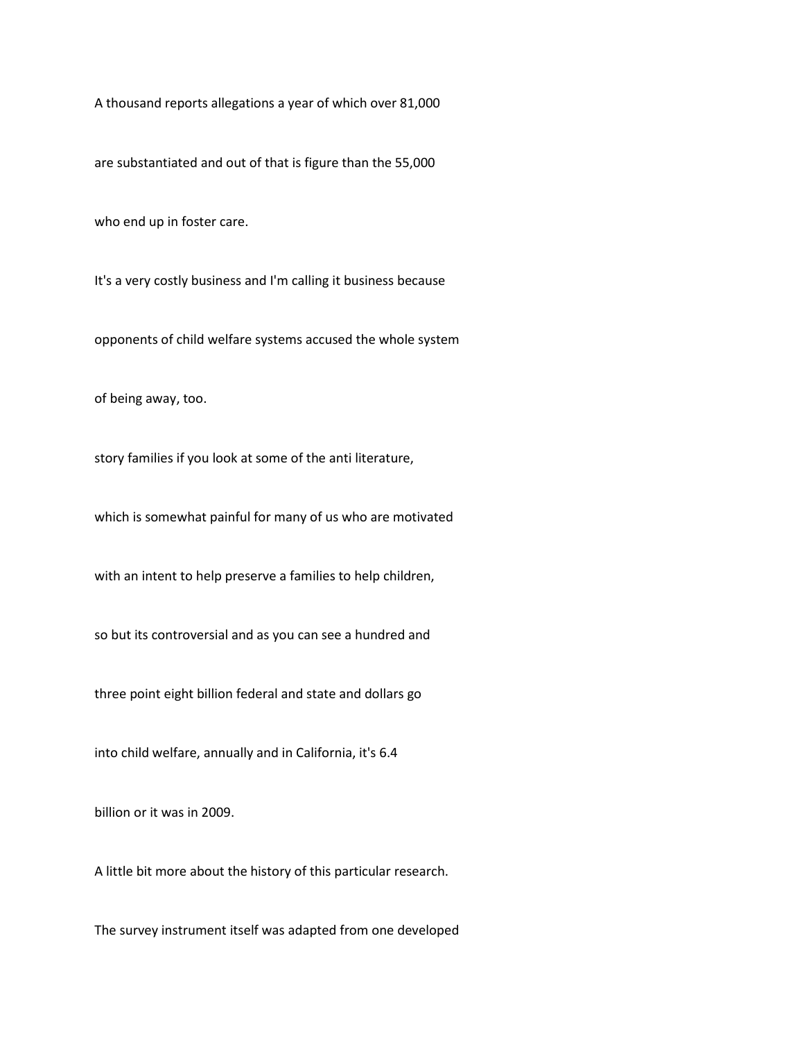A thousand reports allegations a year of which over 81,000

are substantiated and out of that is figure than the 55,000

who end up in foster care.

It's a very costly business and I'm calling it business because

opponents of child welfare systems accused the whole system

of being away, too.

story families if you look at some of the anti literature,

which is somewhat painful for many of us who are motivated

with an intent to help preserve a families to help children,

so but its controversial and as you can see a hundred and

three point eight billion federal and state and dollars go

into child welfare, annually and in California, it's 6.4

billion or it was in 2009.

A little bit more about the history of this particular research.

The survey instrument itself was adapted from one developed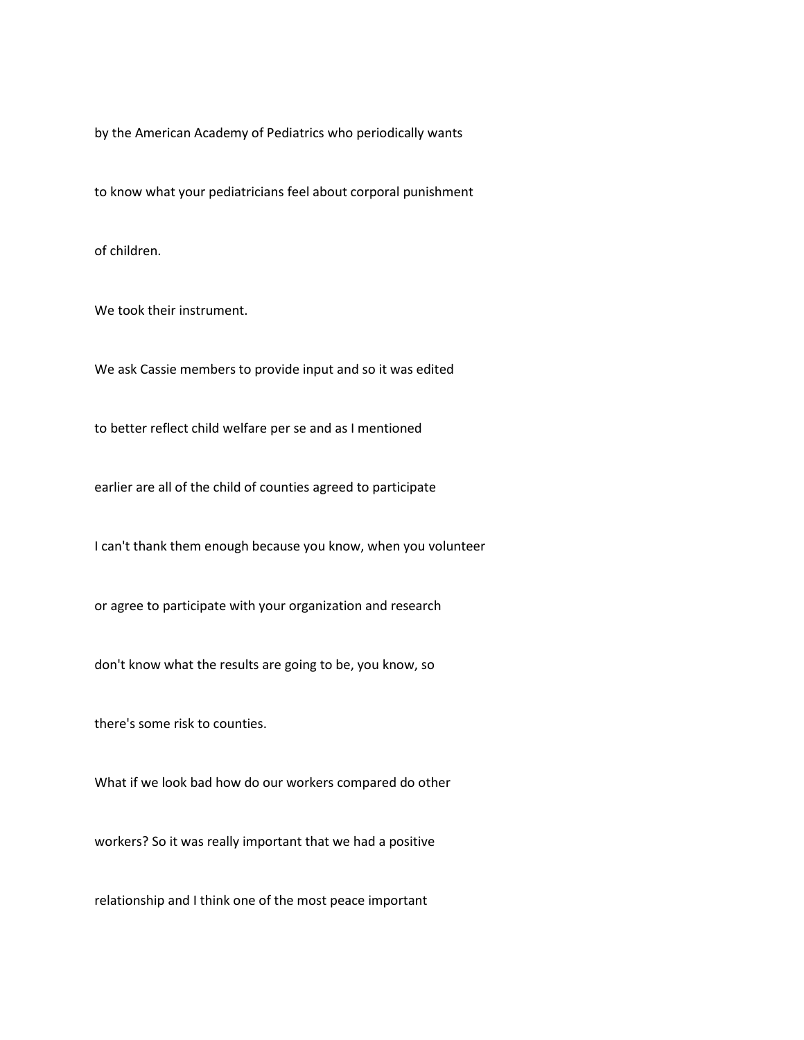by the American Academy of Pediatrics who periodically wants

to know what your pediatricians feel about corporal punishment

of children.

We took their instrument.

We ask Cassie members to provide input and so it was edited

to better reflect child welfare per se and as I mentioned

earlier are all of the child of counties agreed to participate

I can't thank them enough because you know, when you volunteer

or agree to participate with your organization and research

don't know what the results are going to be, you know, so

there's some risk to counties.

What if we look bad how do our workers compared do other

workers? So it was really important that we had a positive

relationship and I think one of the most peace important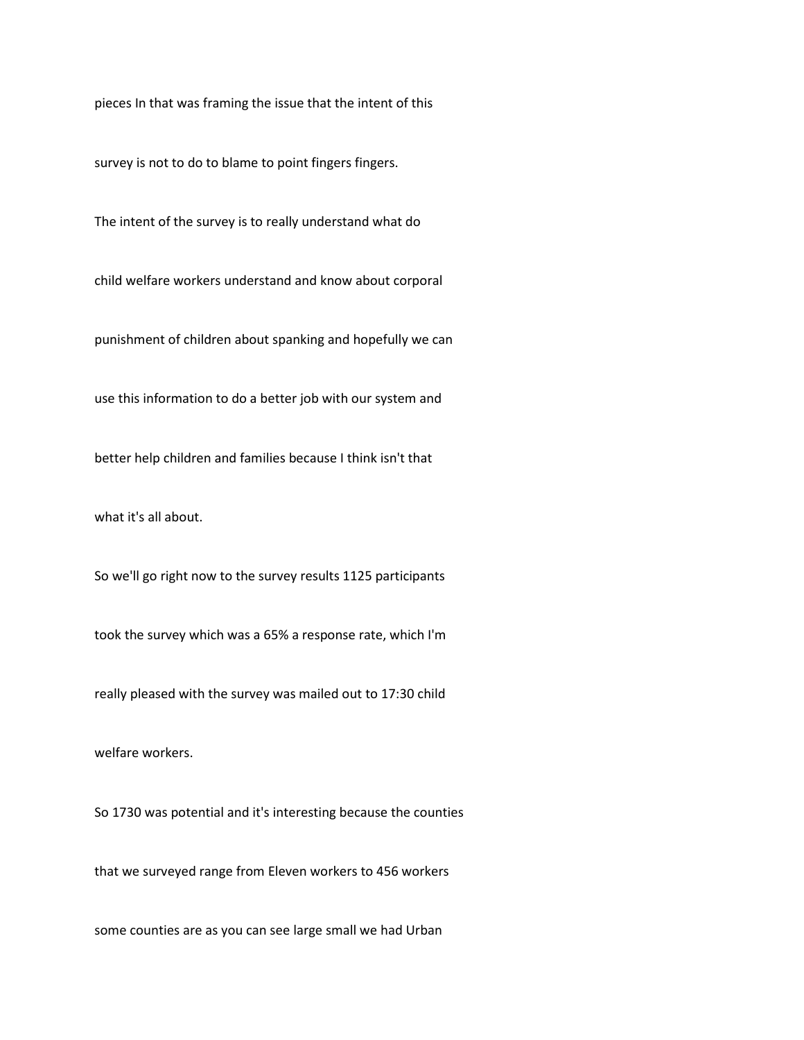pieces In that was framing the issue that the intent of this

survey is not to do to blame to point fingers fingers.

The intent of the survey is to really understand what do

child welfare workers understand and know about corporal

punishment of children about spanking and hopefully we can

use this information to do a better job with our system and

better help children and families because I think isn't that

what it's all about.

So we'll go right now to the survey results 1125 participants

took the survey which was a 65% a response rate, which I'm

really pleased with the survey was mailed out to 17:30 child

welfare workers.

So 1730 was potential and it's interesting because the counties

that we surveyed range from Eleven workers to 456 workers

some counties are as you can see large small we had Urban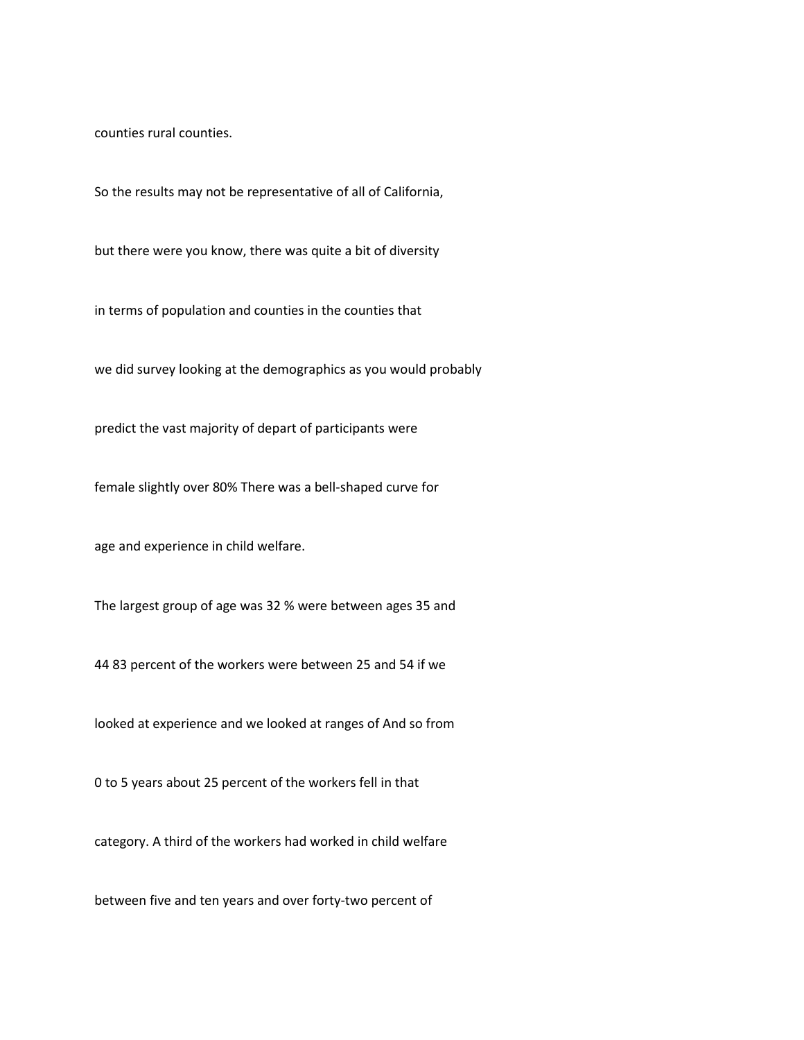counties rural counties.

So the results may not be representative of all of California,

but there were you know, there was quite a bit of diversity

in terms of population and counties in the counties that

we did survey looking at the demographics as you would probably

predict the vast majority of depart of participants were

female slightly over 80% There was a bell-shaped curve for

age and experience in child welfare.

The largest group of age was 32 % were between ages 35 and

44 83 percent of the workers were between 25 and 54 if we

looked at experience and we looked at ranges of And so from

0 to 5 years about 25 percent of the workers fell in that

category. A third of the workers had worked in child welfare

between five and ten years and over forty-two percent of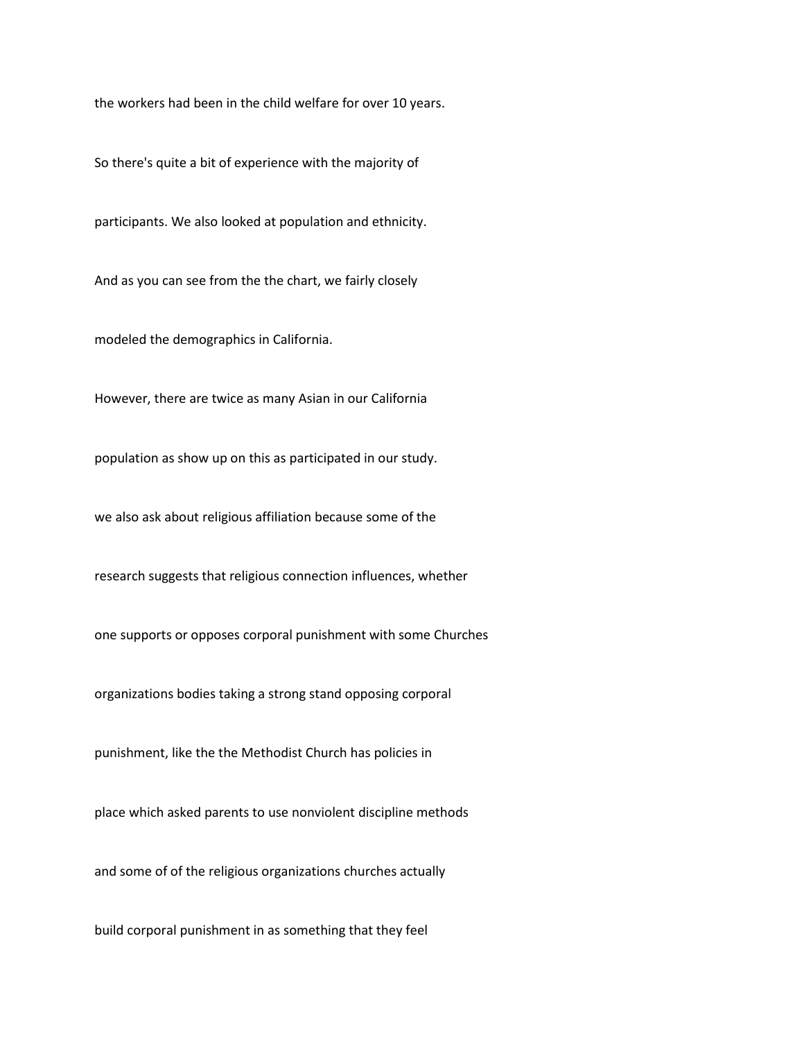the workers had been in the child welfare for over 10 years.

So there's quite a bit of experience with the majority of

participants. We also looked at population and ethnicity.

And as you can see from the the chart, we fairly closely

modeled the demographics in California.

However, there are twice as many Asian in our California

population as show up on this as participated in our study.

we also ask about religious affiliation because some of the

research suggests that religious connection influences, whether

one supports or opposes corporal punishment with some Churches

organizations bodies taking a strong stand opposing corporal

punishment, like the the Methodist Church has policies in

place which asked parents to use nonviolent discipline methods

and some of of the religious organizations churches actually

build corporal punishment in as something that they feel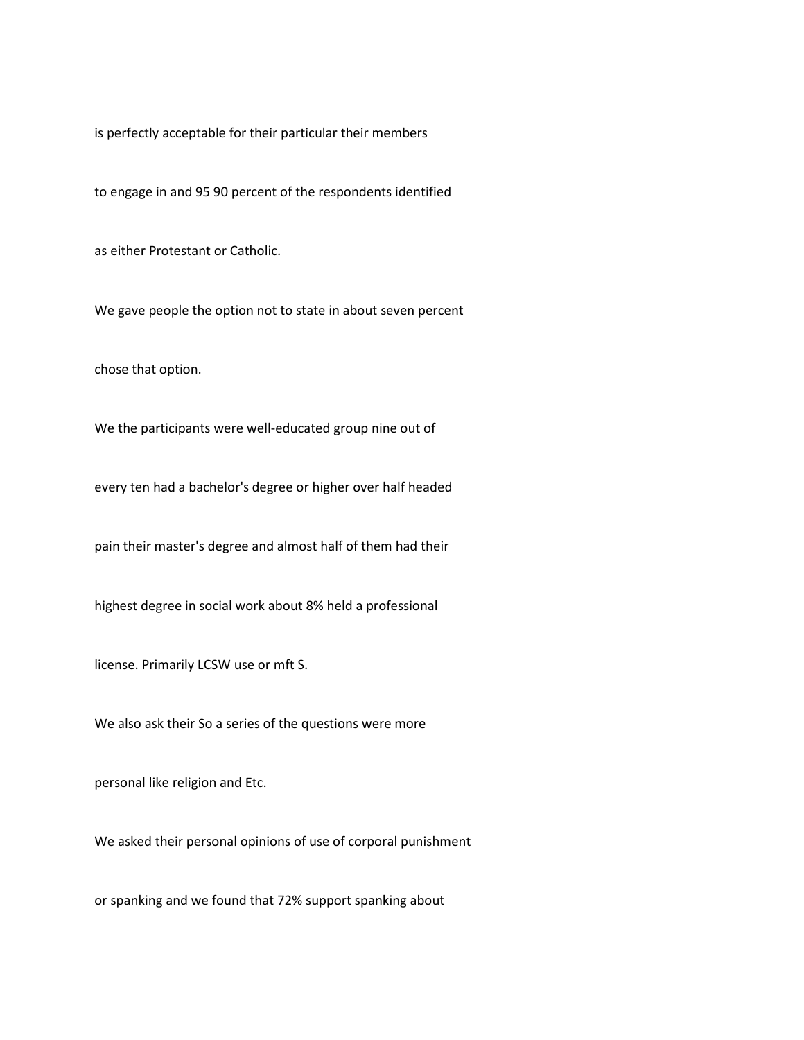is perfectly acceptable for their particular their members

to engage in and 95 90 percent of the respondents identified

as either Protestant or Catholic.

We gave people the option not to state in about seven percent

chose that option.

We the participants were well-educated group nine out of

every ten had a bachelor's degree or higher over half headed

pain their master's degree and almost half of them had their

highest degree in social work about 8% held a professional

license. Primarily LCSW use or mft S.

We also ask their So a series of the questions were more

personal like religion and Etc.

We asked their personal opinions of use of corporal punishment

or spanking and we found that 72% support spanking about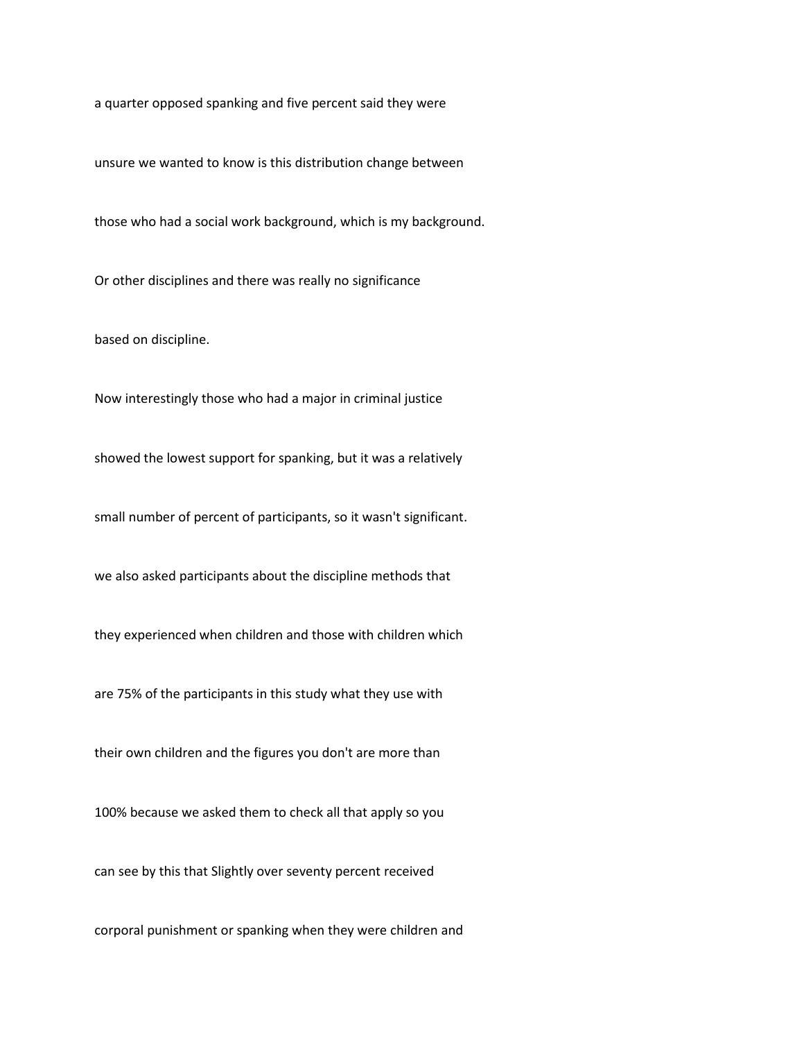a quarter opposed spanking and five percent said they were

unsure we wanted to know is this distribution change between

those who had a social work background, which is my background.

Or other disciplines and there was really no significance

based on discipline.

Now interestingly those who had a major in criminal justice

showed the lowest support for spanking, but it was a relatively

small number of percent of participants, so it wasn't significant.

we also asked participants about the discipline methods that

they experienced when children and those with children which

are 75% of the participants in this study what they use with

their own children and the figures you don't are more than

100% because we asked them to check all that apply so you

can see by this that Slightly over seventy percent received

corporal punishment or spanking when they were children and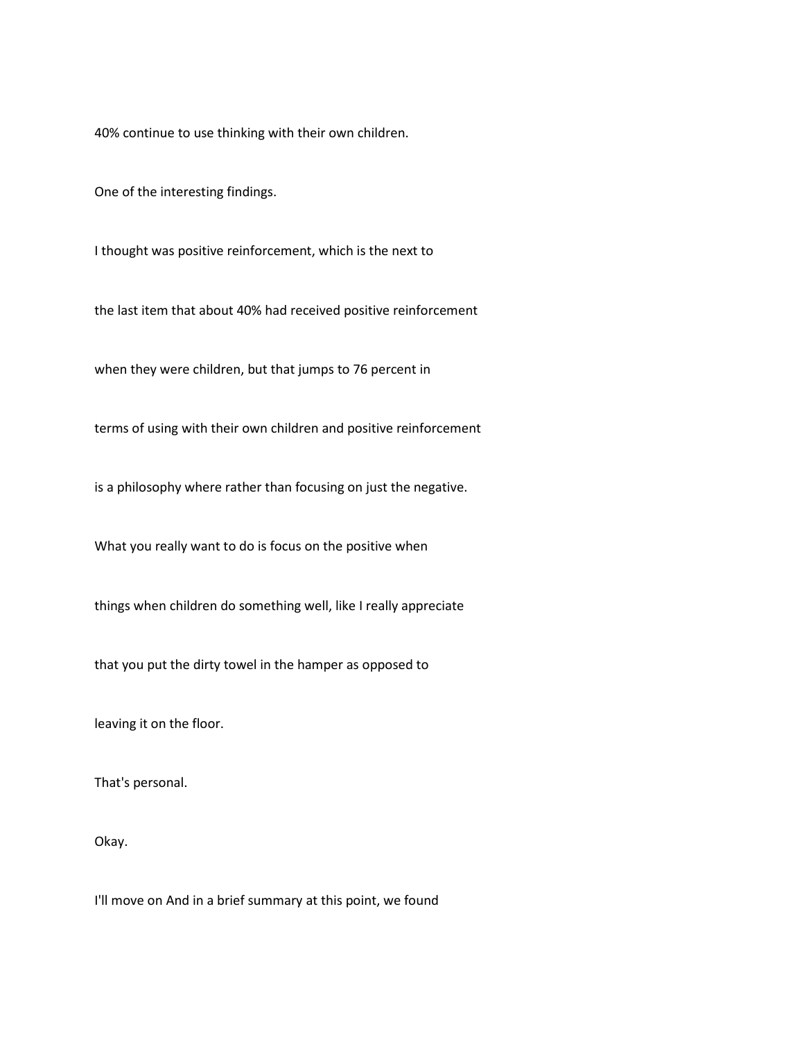40% continue to use thinking with their own children.

One of the interesting findings.

I thought was positive reinforcement, which is the next to

the last item that about 40% had received positive reinforcement

when they were children, but that jumps to 76 percent in

terms of using with their own children and positive reinforcement

is a philosophy where rather than focusing on just the negative.

What you really want to do is focus on the positive when

things when children do something well, like I really appreciate

that you put the dirty towel in the hamper as opposed to

leaving it on the floor.

That's personal.

Okay.

I'll move on And in a brief summary at this point, we found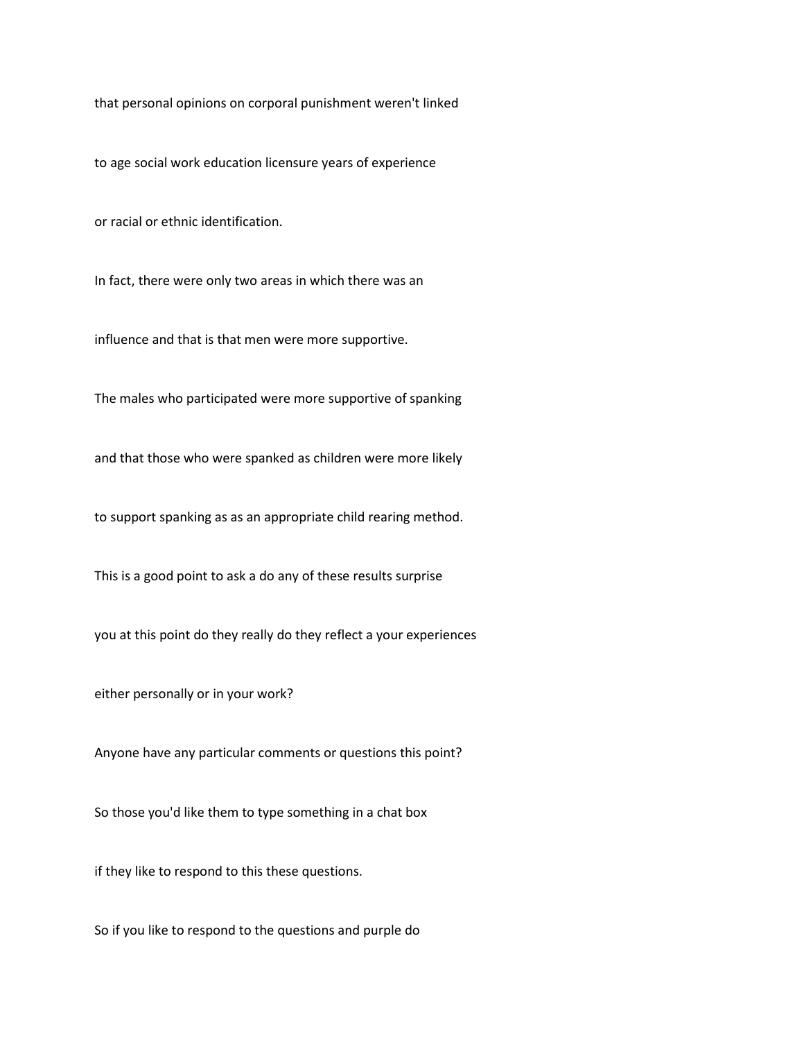that personal opinions on corporal punishment weren't linked

to age social work education licensure years of experience

or racial or ethnic identification.

In fact, there were only two areas in which there was an

influence and that is that men were more supportive.

The males who participated were more supportive of spanking

and that those who were spanked as children were more likely

to support spanking as as an appropriate child rearing method.

This is a good point to ask a do any of these results surprise

you at this point do they really do they reflect a your experiences

either personally or in your work?

Anyone have any particular comments or questions this point?

So those you'd like them to type something in a chat box

if they like to respond to this these questions.

So if you like to respond to the questions and purple do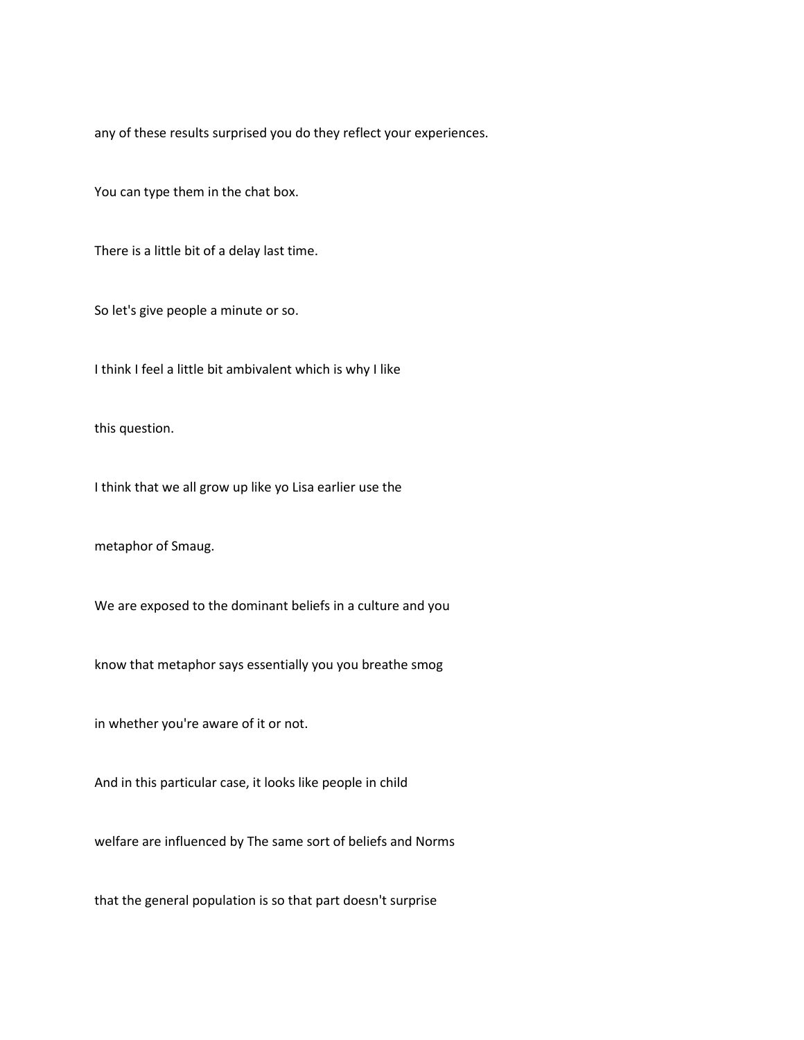any of these results surprised you do they reflect your experiences.

You can type them in the chat box.

There is a little bit of a delay last time.

So let's give people a minute or so.

I think I feel a little bit ambivalent which is why I like

this question.

I think that we all grow up like yo Lisa earlier use the

metaphor of Smaug.

We are exposed to the dominant beliefs in a culture and you

know that metaphor says essentially you you breathe smog

in whether you're aware of it or not.

And in this particular case, it looks like people in child

welfare are influenced by The same sort of beliefs and Norms

that the general population is so that part doesn't surprise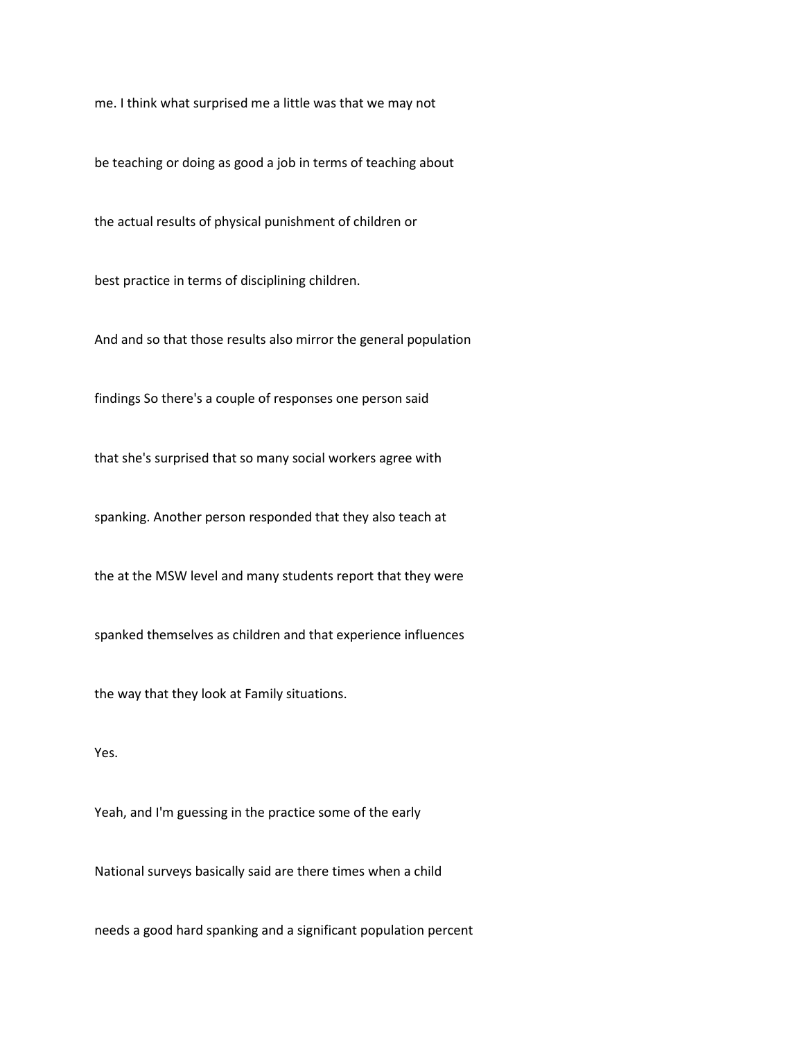me. I think what surprised me a little was that we may not

be teaching or doing as good a job in terms of teaching about

the actual results of physical punishment of children or

best practice in terms of disciplining children.

And and so that those results also mirror the general population

findings So there's a couple of responses one person said

that she's surprised that so many social workers agree with

spanking. Another person responded that they also teach at

the at the MSW level and many students report that they were

spanked themselves as children and that experience influences

the way that they look at Family situations.

Yes.

Yeah, and I'm guessing in the practice some of the early

National surveys basically said are there times when a child

needs a good hard spanking and a significant population percent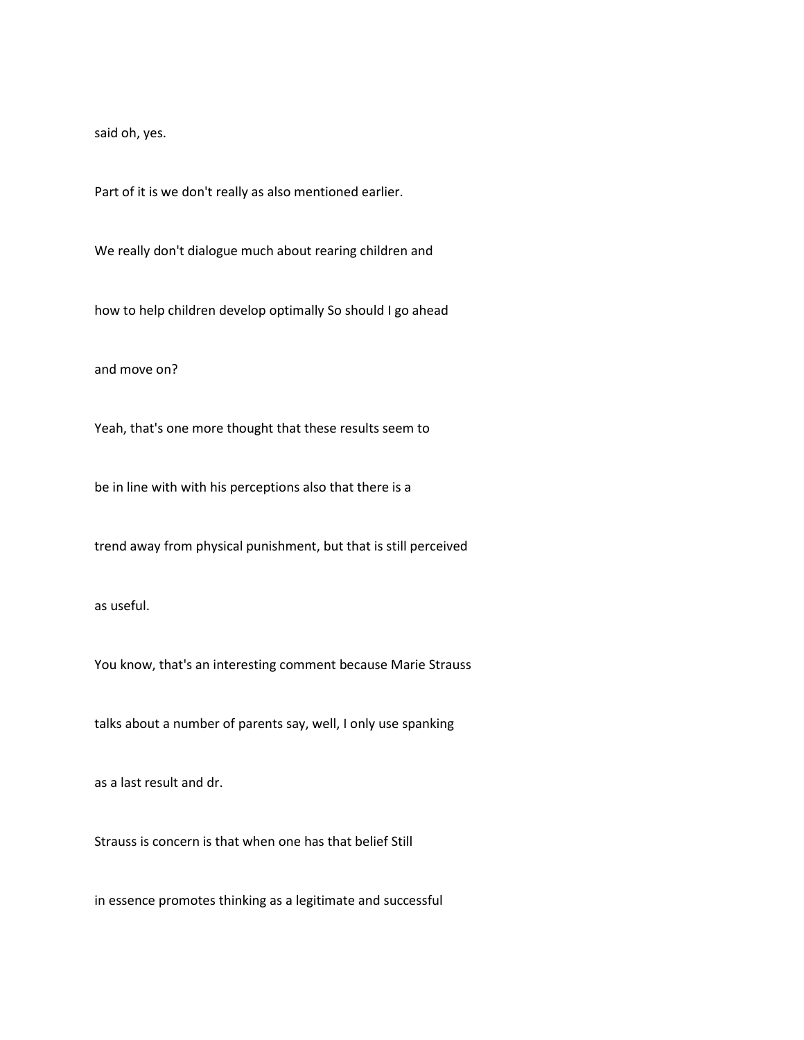said oh, yes.

Part of it is we don't really as also mentioned earlier.

We really don't dialogue much about rearing children and

how to help children develop optimally So should I go ahead

and move on?

Yeah, that's one more thought that these results seem to

be in line with with his perceptions also that there is a

trend away from physical punishment, but that is still perceived

as useful.

You know, that's an interesting comment because Marie Strauss

talks about a number of parents say, well, I only use spanking

as a last result and dr.

Strauss is concern is that when one has that belief Still

in essence promotes thinking as a legitimate and successful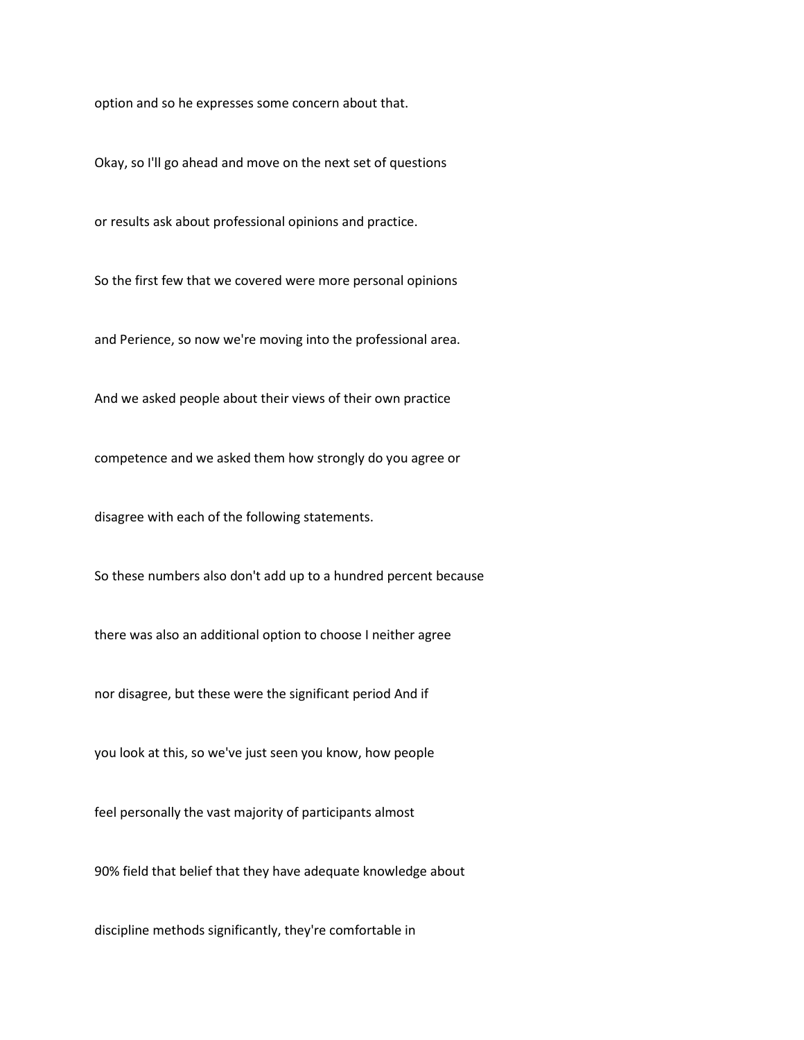option and so he expresses some concern about that.

Okay, so I'll go ahead and move on the next set of questions

or results ask about professional opinions and practice.

So the first few that we covered were more personal opinions

and Perience, so now we're moving into the professional area.

And we asked people about their views of their own practice

competence and we asked them how strongly do you agree or

disagree with each of the following statements.

So these numbers also don't add up to a hundred percent because

there was also an additional option to choose I neither agree

nor disagree, but these were the significant period And if

you look at this, so we've just seen you know, how people

feel personally the vast majority of participants almost

90% field that belief that they have adequate knowledge about

discipline methods significantly, they're comfortable in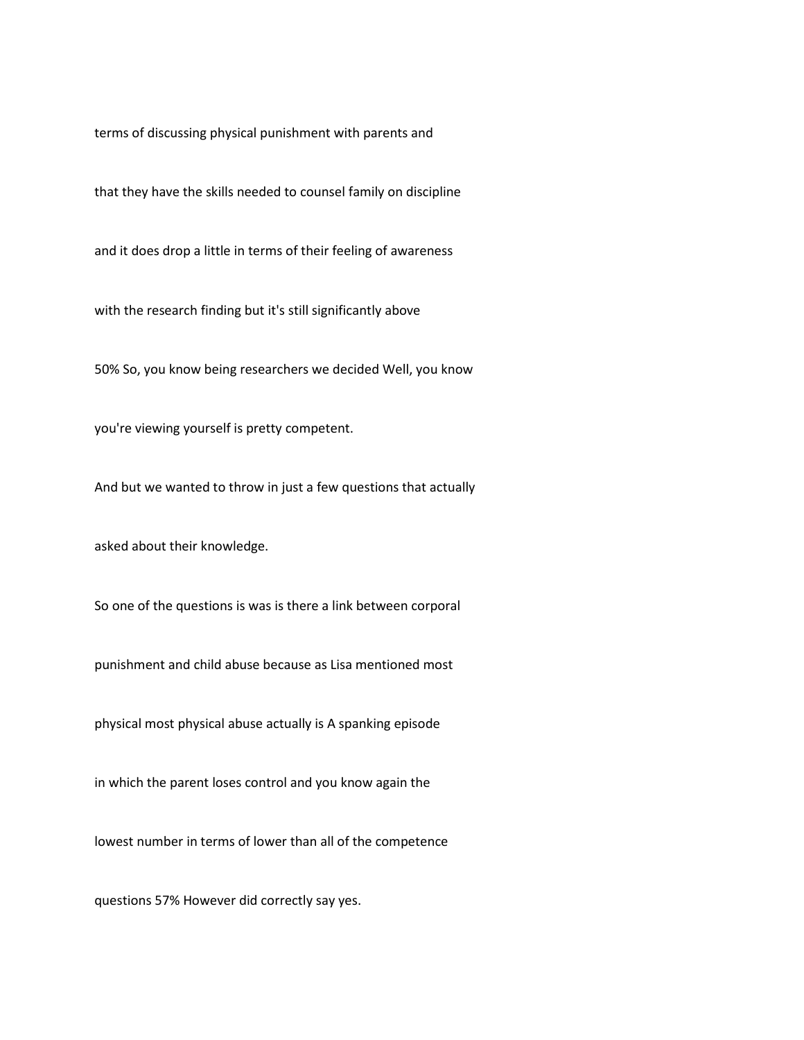terms of discussing physical punishment with parents and

that they have the skills needed to counsel family on discipline

and it does drop a little in terms of their feeling of awareness

with the research finding but it's still significantly above

50% So, you know being researchers we decided Well, you know

you're viewing yourself is pretty competent.

And but we wanted to throw in just a few questions that actually

asked about their knowledge.

So one of the questions is was is there a link between corporal

punishment and child abuse because as Lisa mentioned most

physical most physical abuse actually is A spanking episode

in which the parent loses control and you know again the

lowest number in terms of lower than all of the competence

questions 57% However did correctly say yes.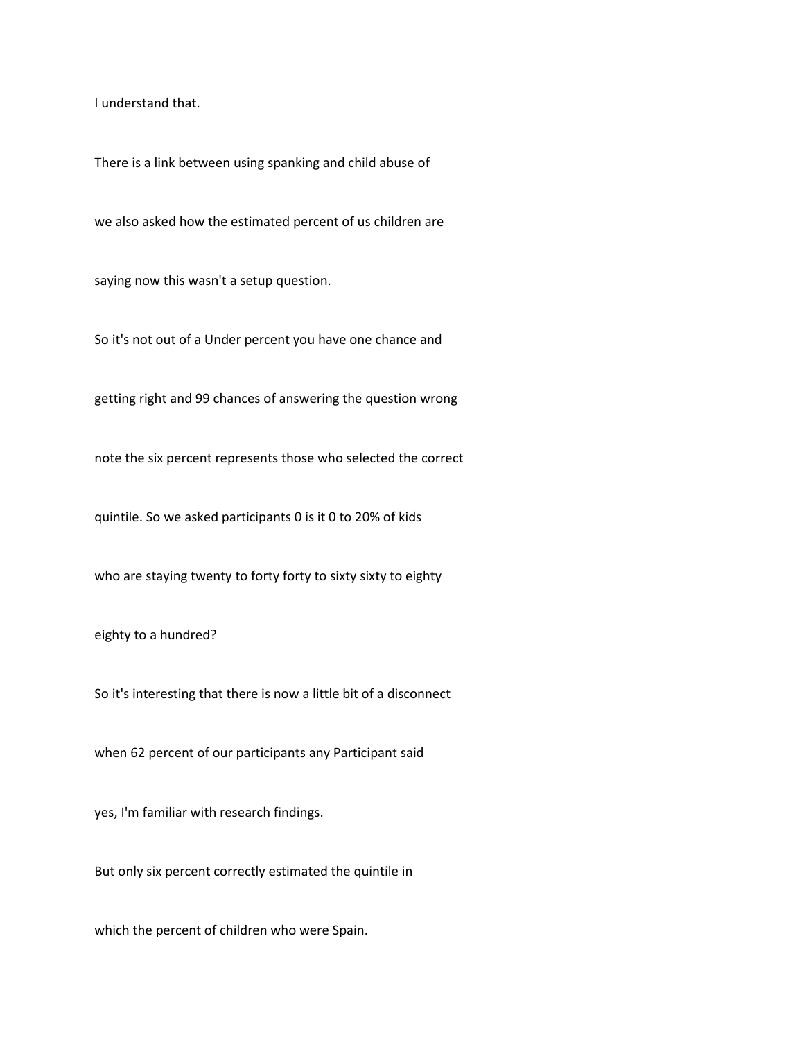I understand that.

There is a link between using spanking and child abuse of

we also asked how the estimated percent of us children are

saying now this wasn't a setup question.

So it's not out of a Under percent you have one chance and

getting right and 99 chances of answering the question wrong

note the six percent represents those who selected the correct

quintile. So we asked participants 0 is it 0 to 20% of kids

who are staying twenty to forty forty to sixty sixty to eighty

eighty to a hundred?

So it's interesting that there is now a little bit of a disconnect

when 62 percent of our participants any Participant said

yes, I'm familiar with research findings.

But only six percent correctly estimated the quintile in

which the percent of children who were Spain.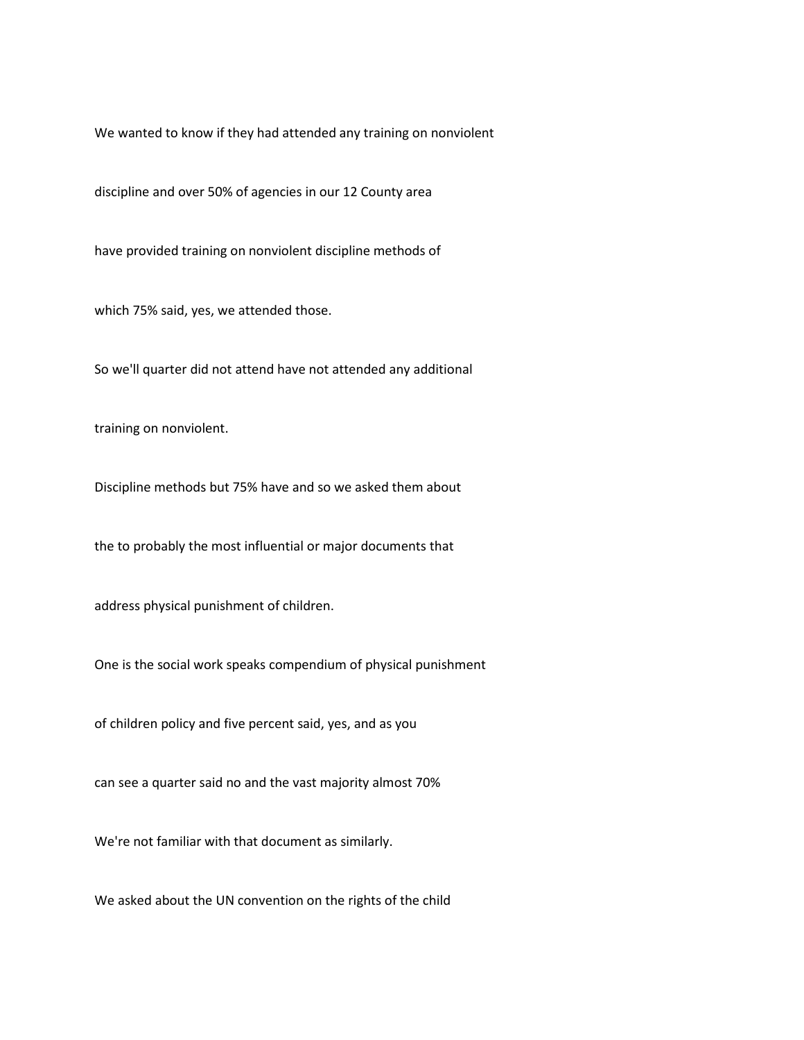We wanted to know if they had attended any training on nonviolent

discipline and over 50% of agencies in our 12 County area

have provided training on nonviolent discipline methods of

which 75% said, yes, we attended those.

So we'll quarter did not attend have not attended any additional

training on nonviolent.

Discipline methods but 75% have and so we asked them about

the to probably the most influential or major documents that

address physical punishment of children.

One is the social work speaks compendium of physical punishment

of children policy and five percent said, yes, and as you

can see a quarter said no and the vast majority almost 70%

We're not familiar with that document as similarly.

We asked about the UN convention on the rights of the child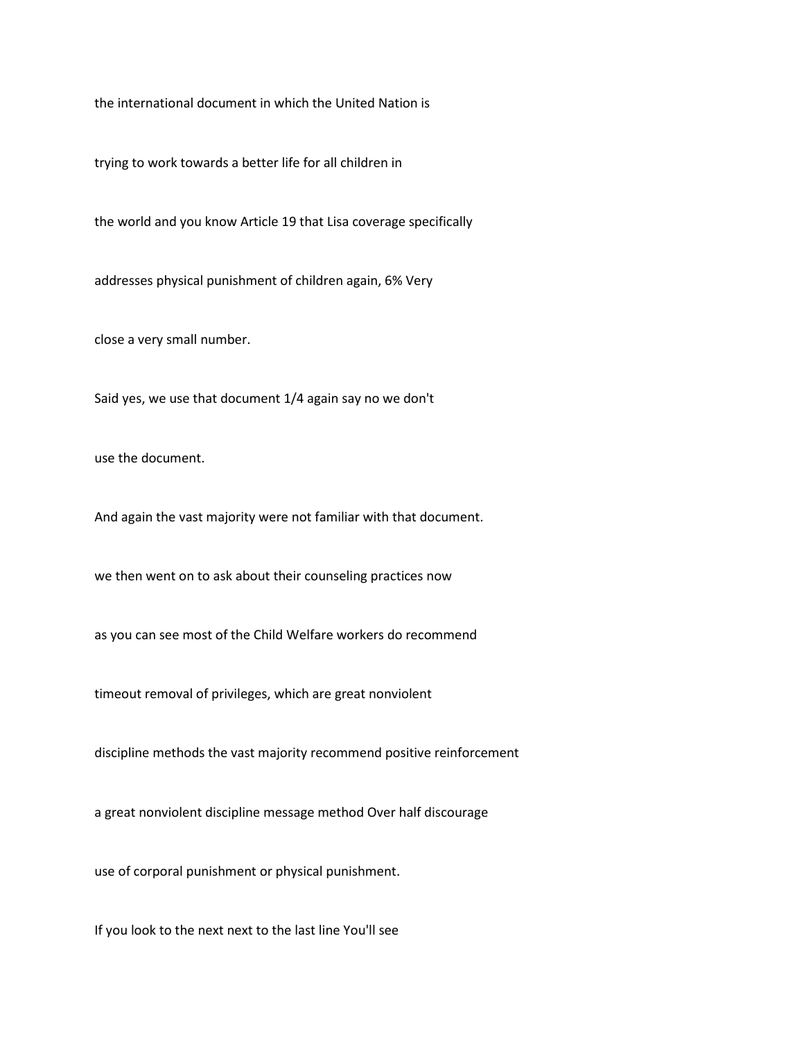the international document in which the United Nation is

trying to work towards a better life for all children in

the world and you know Article 19 that Lisa coverage specifically

addresses physical punishment of children again, 6% Very

close a very small number.

Said yes, we use that document 1/4 again say no we don't

use the document.

And again the vast majority were not familiar with that document.

we then went on to ask about their counseling practices now

as you can see most of the Child Welfare workers do recommend

timeout removal of privileges, which are great nonviolent

discipline methods the vast majority recommend positive reinforcement

a great nonviolent discipline message method Over half discourage

use of corporal punishment or physical punishment.

If you look to the next next to the last line You'll see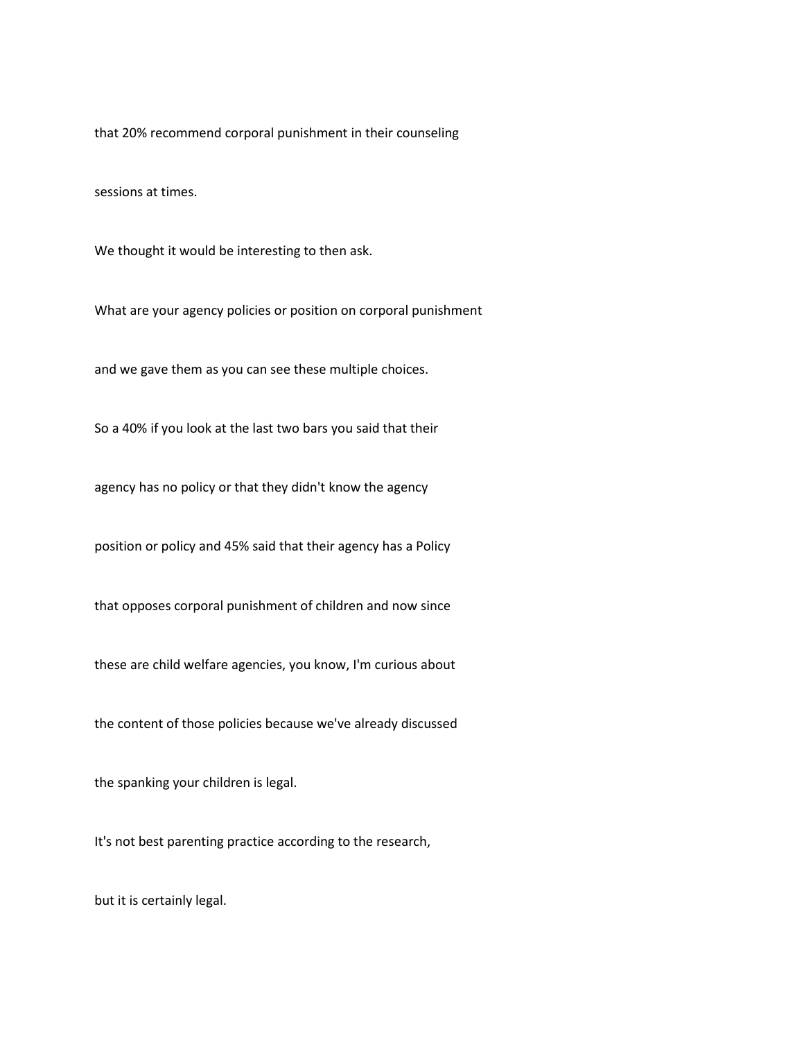that 20% recommend corporal punishment in their counseling

sessions at times.

We thought it would be interesting to then ask.

What are your agency policies or position on corporal punishment

and we gave them as you can see these multiple choices.

So a 40% if you look at the last two bars you said that their

agency has no policy or that they didn't know the agency

position or policy and 45% said that their agency has a Policy

that opposes corporal punishment of children and now since

these are child welfare agencies, you know, I'm curious about

the content of those policies because we've already discussed

the spanking your children is legal.

It's not best parenting practice according to the research,

but it is certainly legal.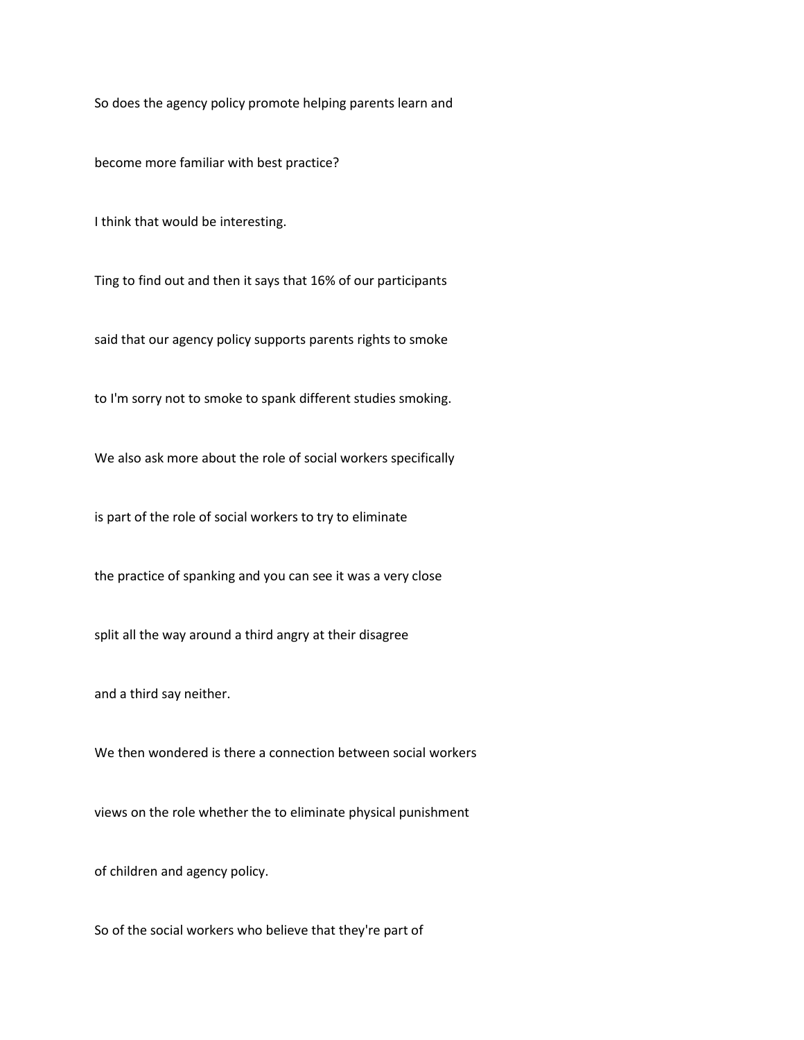So does the agency policy promote helping parents learn and

become more familiar with best practice?

I think that would be interesting.

Ting to find out and then it says that 16% of our participants

said that our agency policy supports parents rights to smoke

to I'm sorry not to smoke to spank different studies smoking.

We also ask more about the role of social workers specifically

is part of the role of social workers to try to eliminate

the practice of spanking and you can see it was a very close

split all the way around a third angry at their disagree

and a third say neither.

We then wondered is there a connection between social workers

views on the role whether the to eliminate physical punishment

of children and agency policy.

So of the social workers who believe that they're part of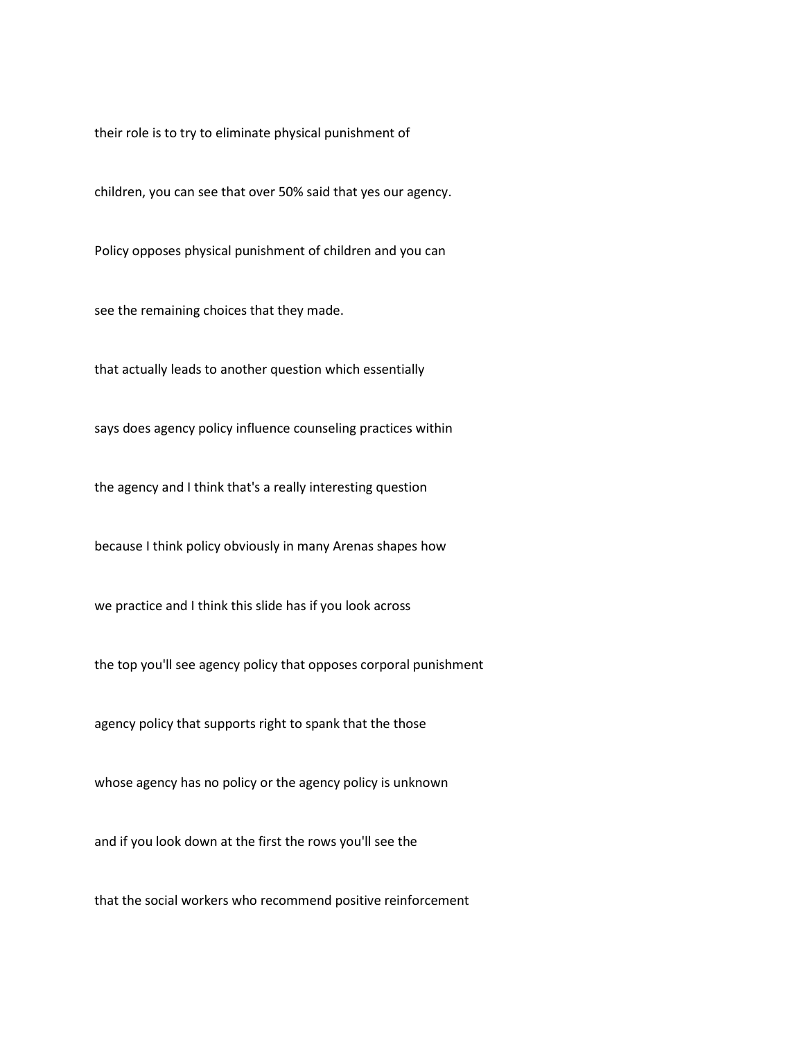their role is to try to eliminate physical punishment of

children, you can see that over 50% said that yes our agency.

Policy opposes physical punishment of children and you can

see the remaining choices that they made.

that actually leads to another question which essentially

says does agency policy influence counseling practices within

the agency and I think that's a really interesting question

because I think policy obviously in many Arenas shapes how

we practice and I think this slide has if you look across

the top you'll see agency policy that opposes corporal punishment

agency policy that supports right to spank that the those

whose agency has no policy or the agency policy is unknown

and if you look down at the first the rows you'll see the

that the social workers who recommend positive reinforcement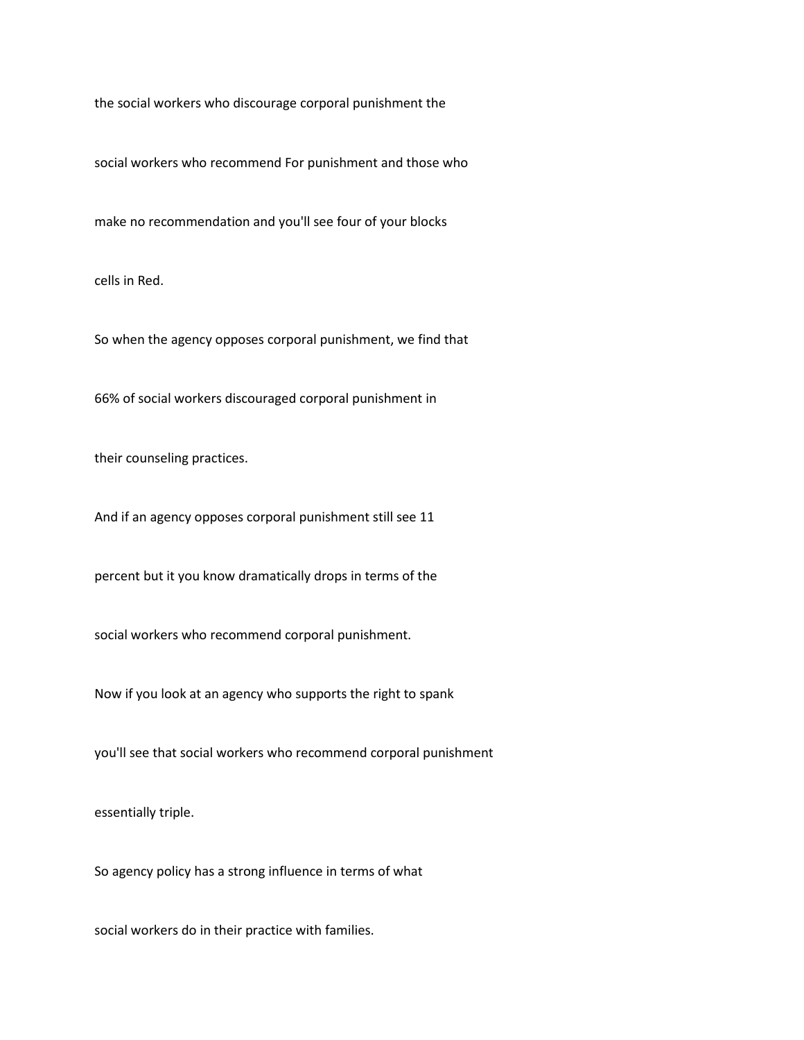the social workers who discourage corporal punishment the

social workers who recommend For punishment and those who

make no recommendation and you'll see four of your blocks

cells in Red.

So when the agency opposes corporal punishment, we find that

66% of social workers discouraged corporal punishment in

their counseling practices.

And if an agency opposes corporal punishment still see 11

percent but it you know dramatically drops in terms of the

social workers who recommend corporal punishment.

Now if you look at an agency who supports the right to spank

you'll see that social workers who recommend corporal punishment

essentially triple.

So agency policy has a strong influence in terms of what

social workers do in their practice with families.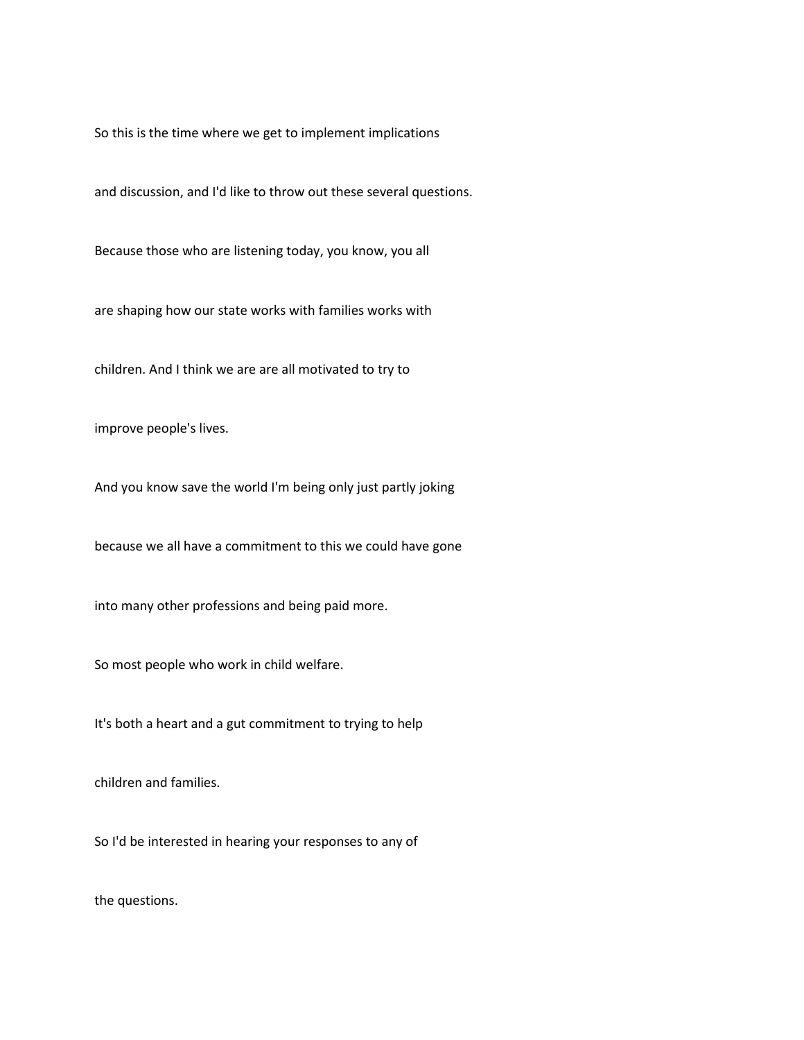So this is the time where we get to implement implications

and discussion, and I'd like to throw out these several questions.

Because those who are listening today, you know, you all

are shaping how our state works with families works with

children. And I think we are are all motivated to try to

improve people's lives.

And you know save the world I'm being only just partly joking

because we all have a commitment to this we could have gone

into many other professions and being paid more.

So most people who work in child welfare.

It's both a heart and a gut commitment to trying to help

children and families.

So I'd be interested in hearing your responses to any of

the questions.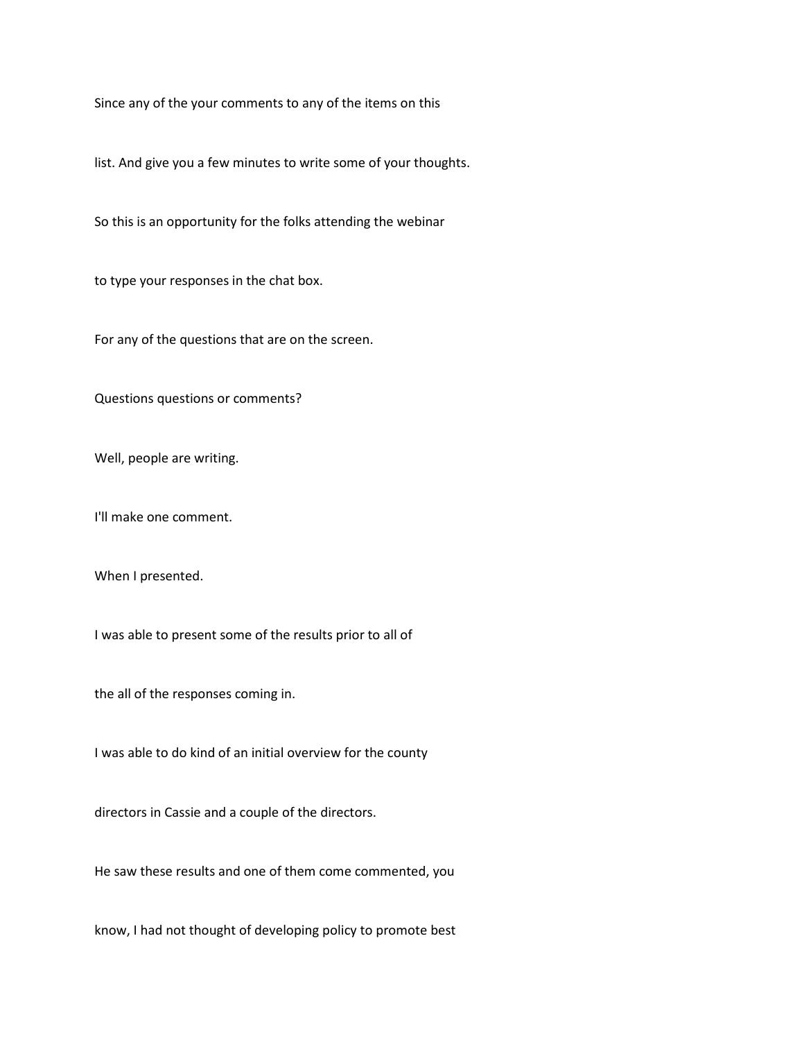Since any of the your comments to any of the items on this

list. And give you a few minutes to write some of your thoughts.

So this is an opportunity for the folks attending the webinar

to type your responses in the chat box.

For any of the questions that are on the screen.

Questions questions or comments?

Well, people are writing.

I'll make one comment.

When I presented.

I was able to present some of the results prior to all of

the all of the responses coming in.

I was able to do kind of an initial overview for the county

directors in Cassie and a couple of the directors.

He saw these results and one of them come commented, you

know, I had not thought of developing policy to promote best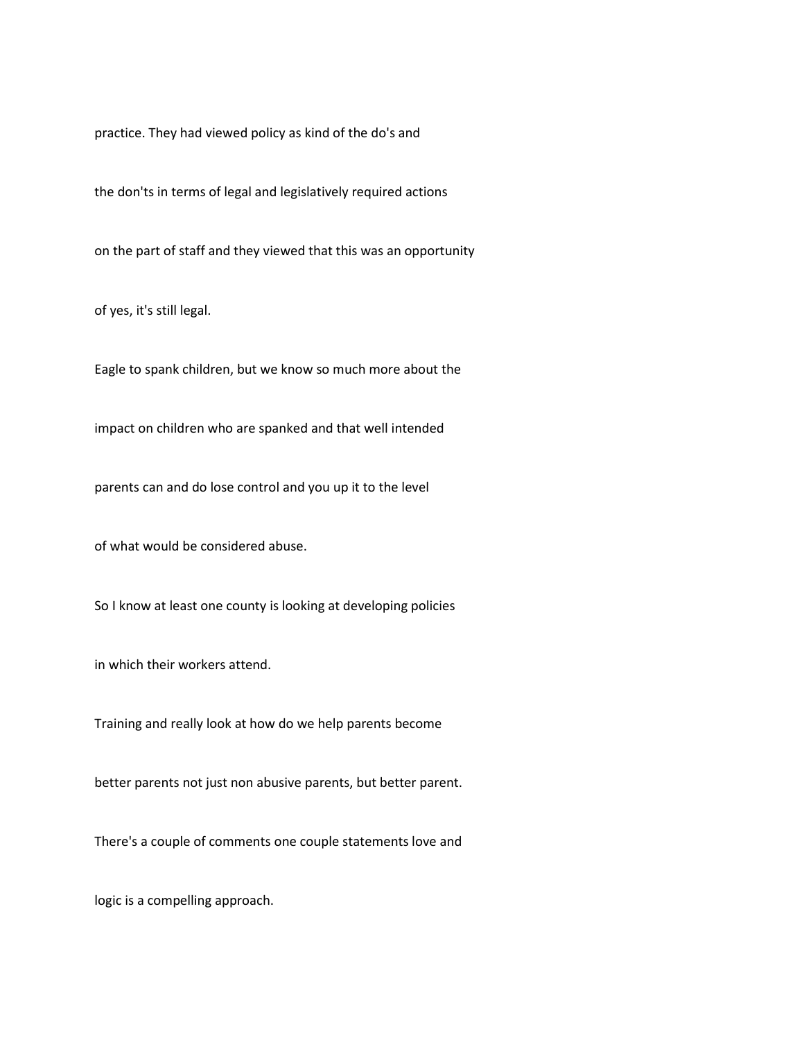practice. They had viewed policy as kind of the do's and

the don'ts in terms of legal and legislatively required actions

on the part of staff and they viewed that this was an opportunity

of yes, it's still legal.

Eagle to spank children, but we know so much more about the

impact on children who are spanked and that well intended

parents can and do lose control and you up it to the level

of what would be considered abuse.

So I know at least one county is looking at developing policies

in which their workers attend.

Training and really look at how do we help parents become

better parents not just non abusive parents, but better parent.

There's a couple of comments one couple statements love and

logic is a compelling approach.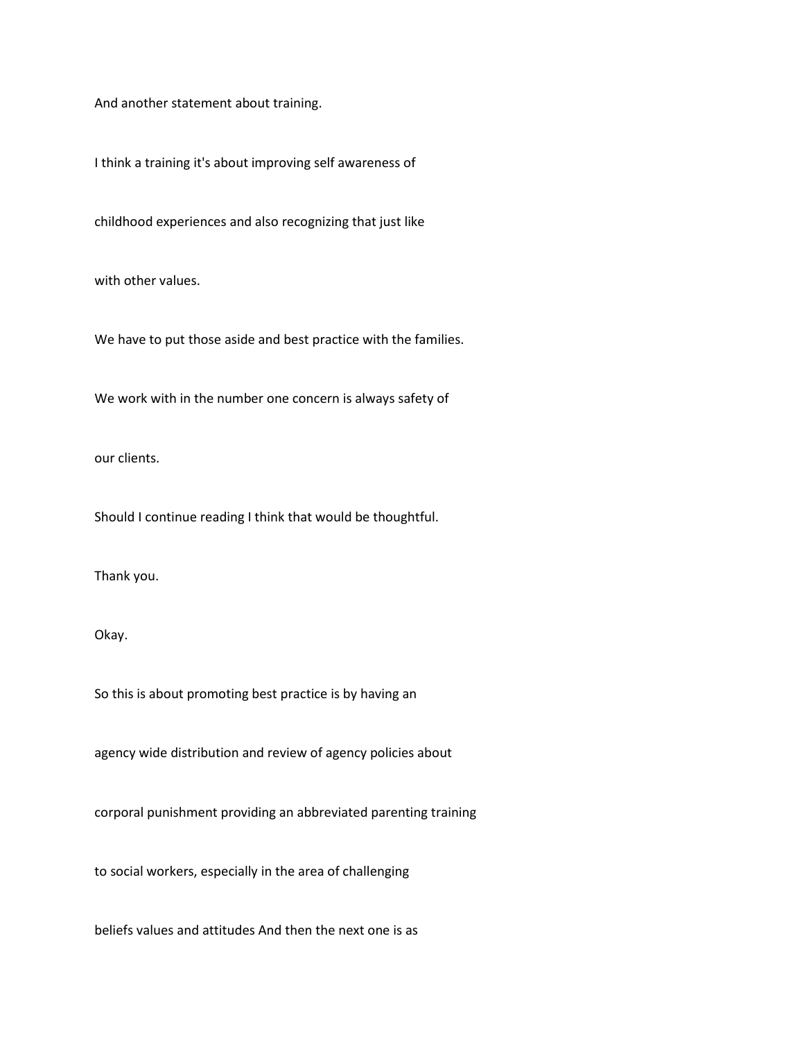And another statement about training.

I think a training it's about improving self awareness of

childhood experiences and also recognizing that just like

with other values.

We have to put those aside and best practice with the families.

We work with in the number one concern is always safety of

our clients.

Should I continue reading I think that would be thoughtful.

Thank you.

Okay.

So this is about promoting best practice is by having an

agency wide distribution and review of agency policies about

corporal punishment providing an abbreviated parenting training

to social workers, especially in the area of challenging

beliefs values and attitudes And then the next one is as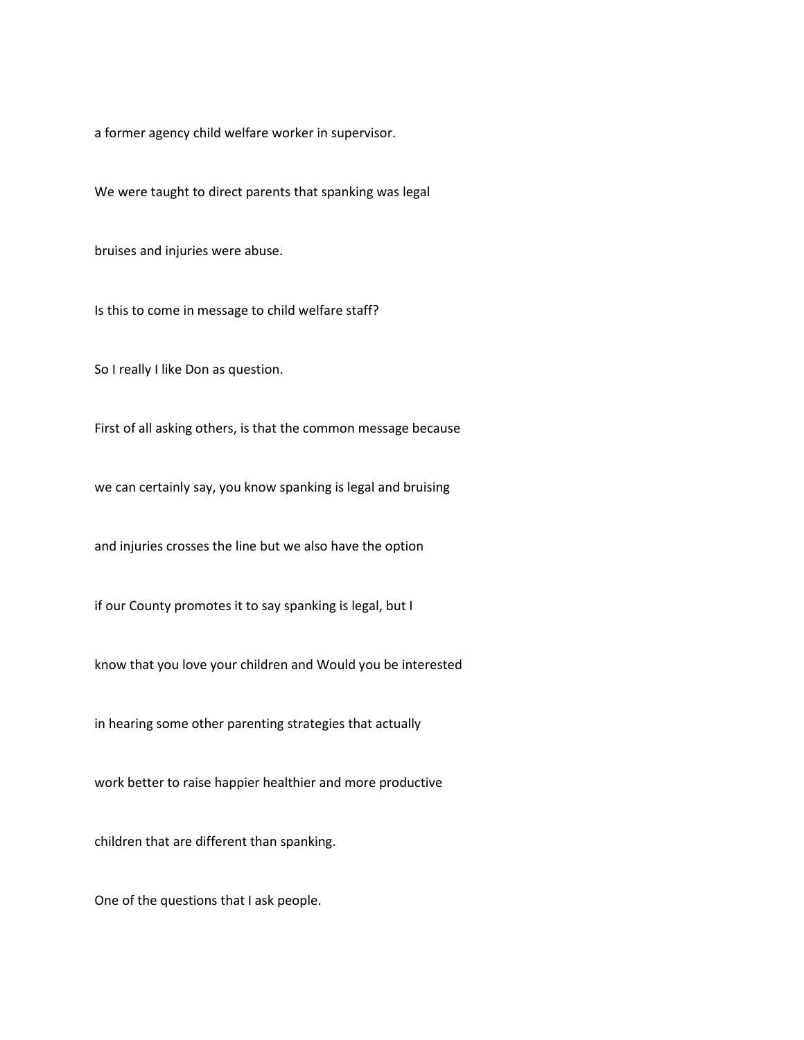a former agency child welfare worker in supervisor.

We were taught to direct parents that spanking was legal

bruises and injuries were abuse.

Is this to come in message to child welfare staff?

So I really I like Don as question.

First of all asking others, is that the common message because

we can certainly say, you know spanking is legal and bruising

and injuries crosses the line but we also have the option

if our County promotes it to say spanking is legal, but I

know that you love your children and Would you be interested

in hearing some other parenting strategies that actually

work better to raise happier healthier and more productive

children that are different than spanking.

One of the questions that I ask people.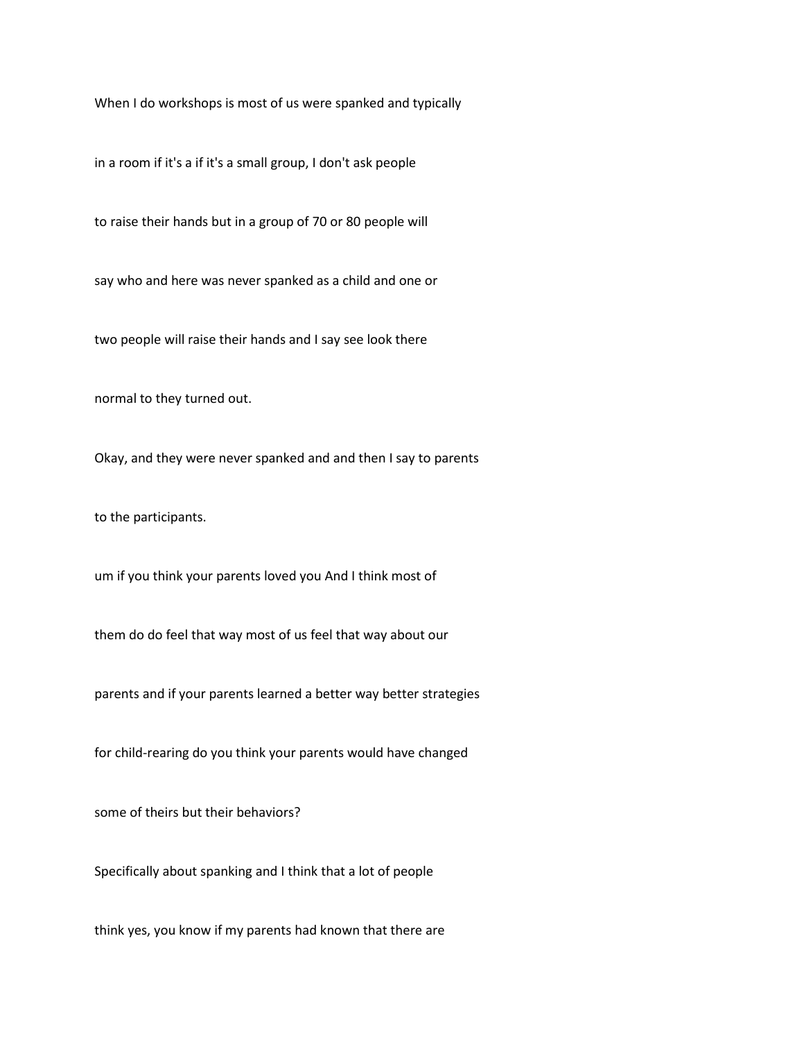When I do workshops is most of us were spanked and typically

in a room if it's a if it's a small group, I don't ask people

to raise their hands but in a group of 70 or 80 people will

say who and here was never spanked as a child and one or

two people will raise their hands and I say see look there

normal to they turned out.

Okay, and they were never spanked and and then I say to parents

to the participants.

um if you think your parents loved you And I think most of

them do do feel that way most of us feel that way about our

parents and if your parents learned a better way better strategies

for child-rearing do you think your parents would have changed

some of theirs but their behaviors?

Specifically about spanking and I think that a lot of people

think yes, you know if my parents had known that there are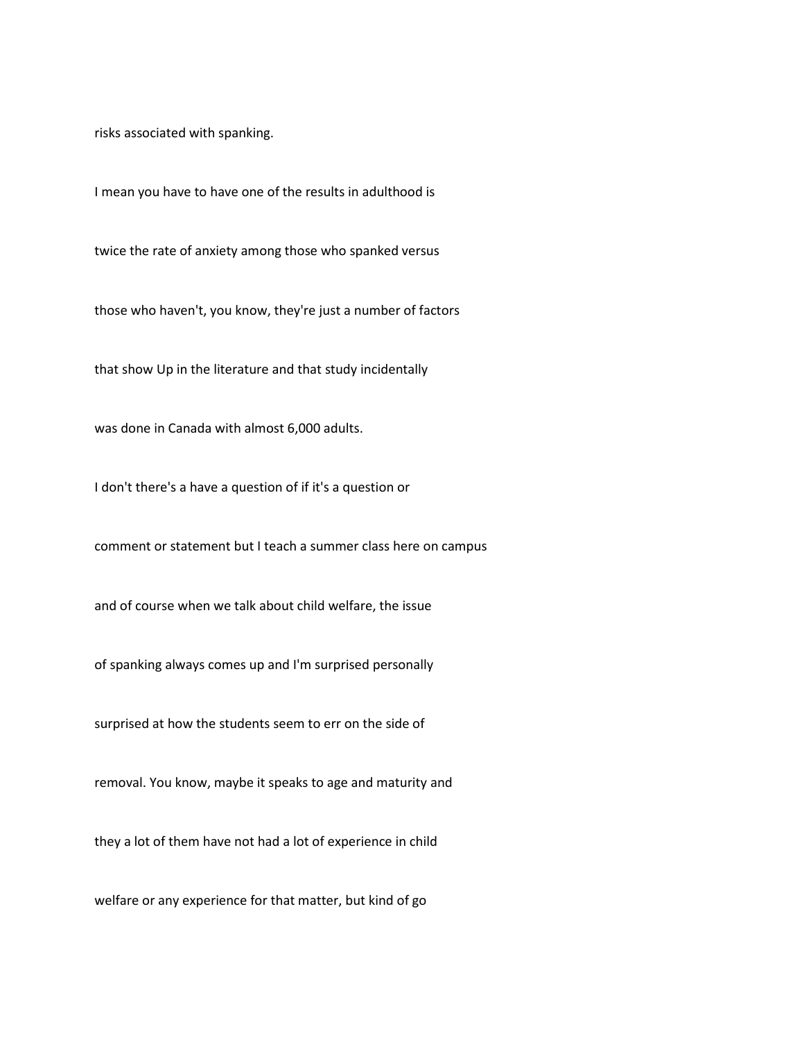risks associated with spanking.

I mean you have to have one of the results in adulthood is

twice the rate of anxiety among those who spanked versus

those who haven't, you know, they're just a number of factors

that show Up in the literature and that study incidentally

was done in Canada with almost 6,000 adults.

I don't there's a have a question of if it's a question or

comment or statement but I teach a summer class here on campus

and of course when we talk about child welfare, the issue

of spanking always comes up and I'm surprised personally

surprised at how the students seem to err on the side of

removal. You know, maybe it speaks to age and maturity and

they a lot of them have not had a lot of experience in child

welfare or any experience for that matter, but kind of go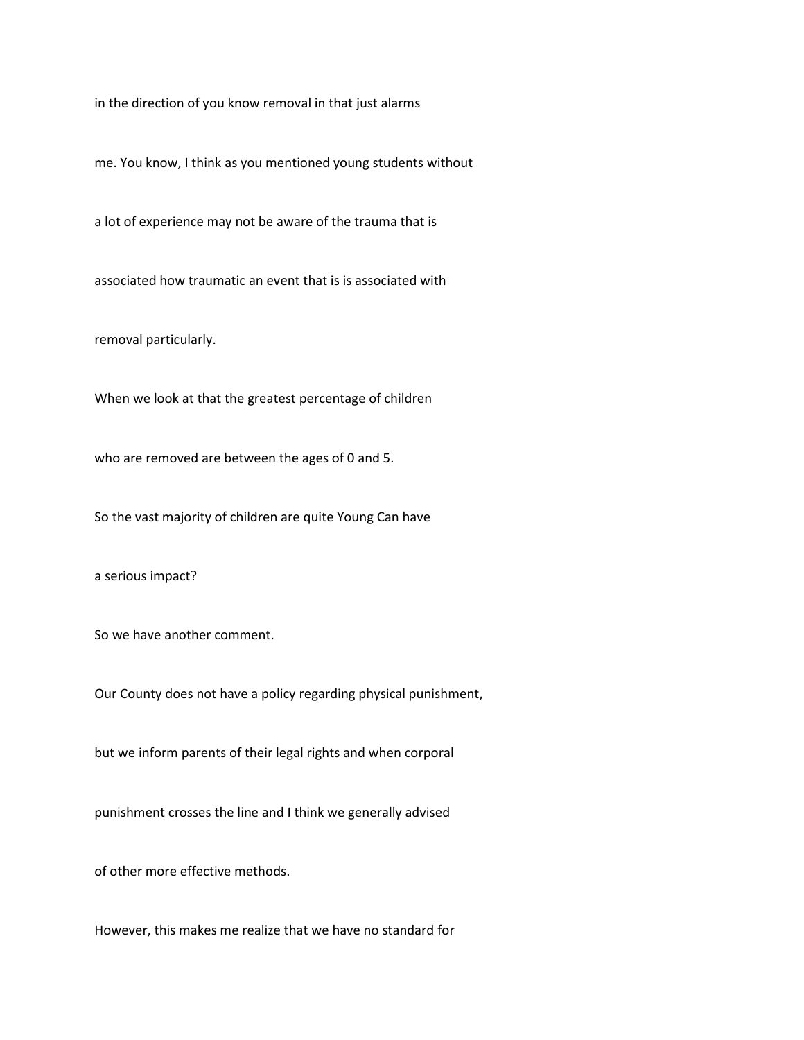in the direction of you know removal in that just alarms

me. You know, I think as you mentioned young students without

a lot of experience may not be aware of the trauma that is

associated how traumatic an event that is is associated with

removal particularly.

When we look at that the greatest percentage of children

who are removed are between the ages of 0 and 5.

So the vast majority of children are quite Young Can have

a serious impact?

So we have another comment.

Our County does not have a policy regarding physical punishment,

but we inform parents of their legal rights and when corporal

punishment crosses the line and I think we generally advised

of other more effective methods.

However, this makes me realize that we have no standard for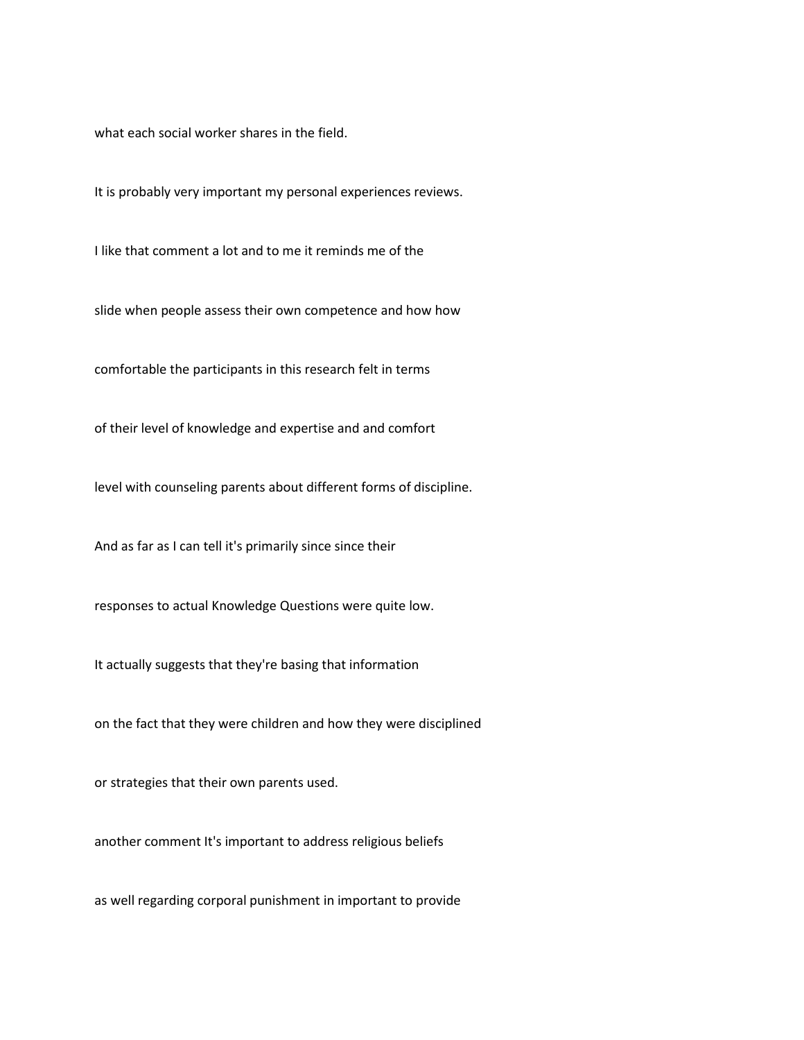what each social worker shares in the field.

It is probably very important my personal experiences reviews.

I like that comment a lot and to me it reminds me of the

slide when people assess their own competence and how how

comfortable the participants in this research felt in terms

of their level of knowledge and expertise and and comfort

level with counseling parents about different forms of discipline.

And as far as I can tell it's primarily since since their

responses to actual Knowledge Questions were quite low.

It actually suggests that they're basing that information

on the fact that they were children and how they were disciplined

or strategies that their own parents used.

another comment It's important to address religious beliefs

as well regarding corporal punishment in important to provide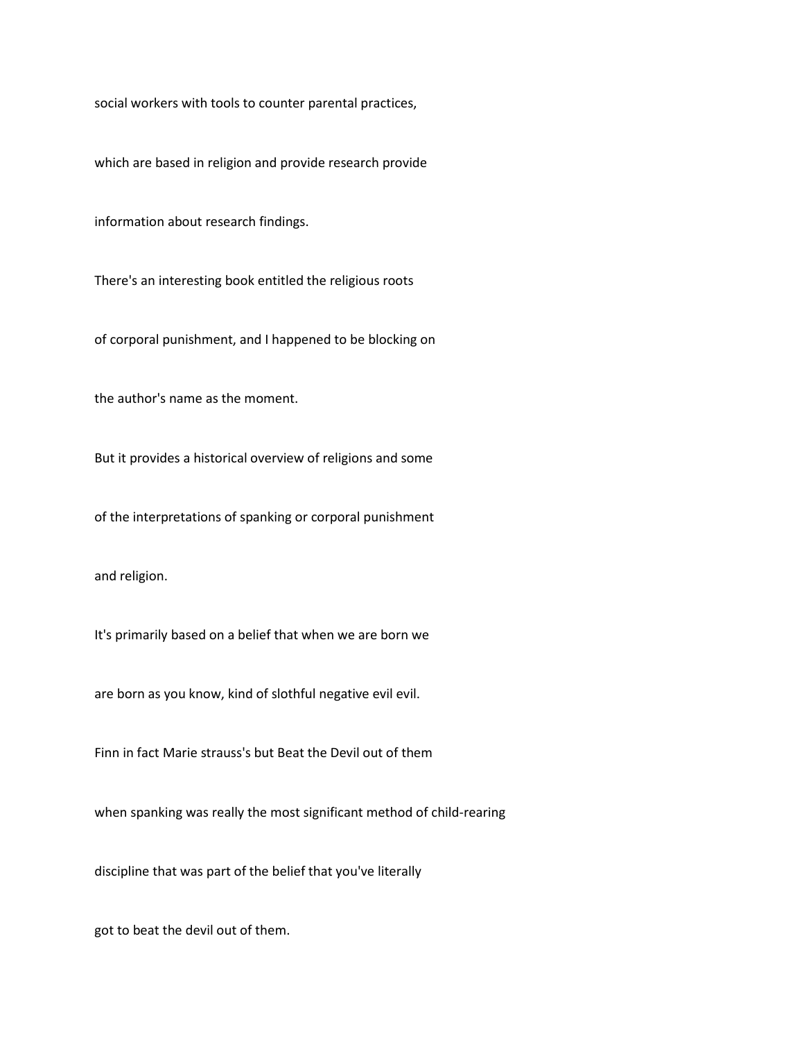social workers with tools to counter parental practices,

which are based in religion and provide research provide

information about research findings.

There's an interesting book entitled the religious roots

of corporal punishment, and I happened to be blocking on

the author's name as the moment.

But it provides a historical overview of religions and some

of the interpretations of spanking or corporal punishment

and religion.

It's primarily based on a belief that when we are born we

are born as you know, kind of slothful negative evil evil.

Finn in fact Marie strauss's but Beat the Devil out of them

when spanking was really the most significant method of child-rearing

discipline that was part of the belief that you've literally

got to beat the devil out of them.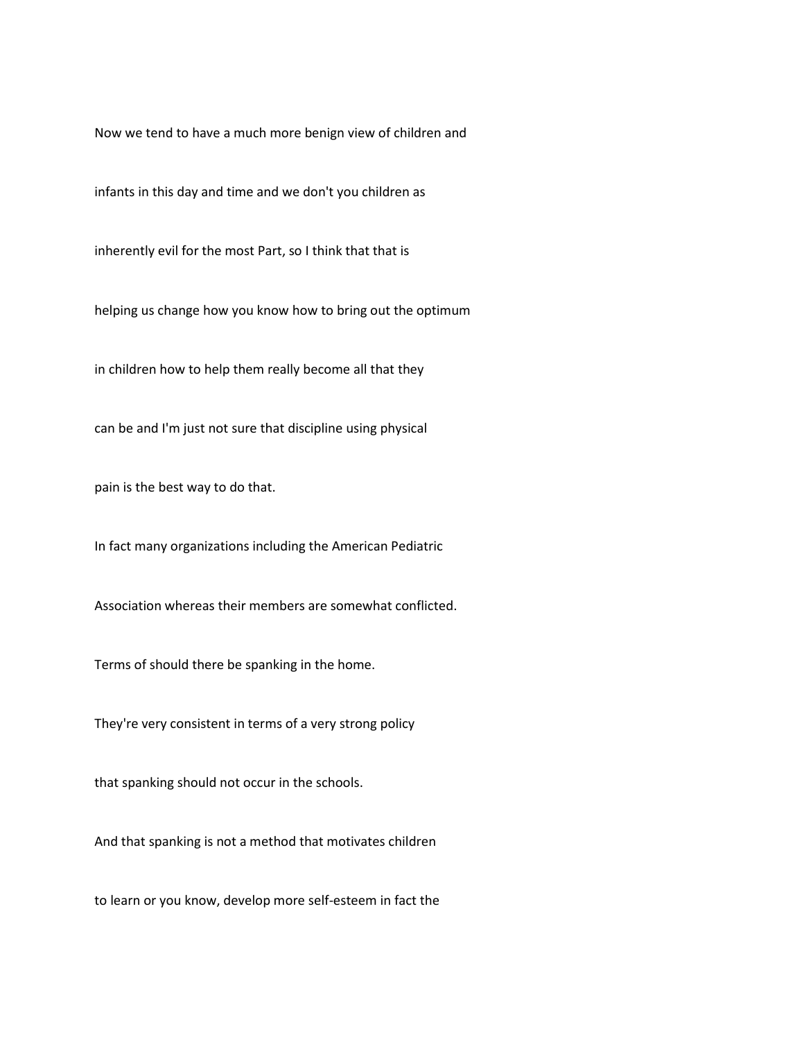Now we tend to have a much more benign view of children and

infants in this day and time and we don't you children as

inherently evil for the most Part, so I think that that is

helping us change how you know how to bring out the optimum

in children how to help them really become all that they

can be and I'm just not sure that discipline using physical

pain is the best way to do that.

In fact many organizations including the American Pediatric

Association whereas their members are somewhat conflicted.

Terms of should there be spanking in the home.

They're very consistent in terms of a very strong policy

that spanking should not occur in the schools.

And that spanking is not a method that motivates children

to learn or you know, develop more self-esteem in fact the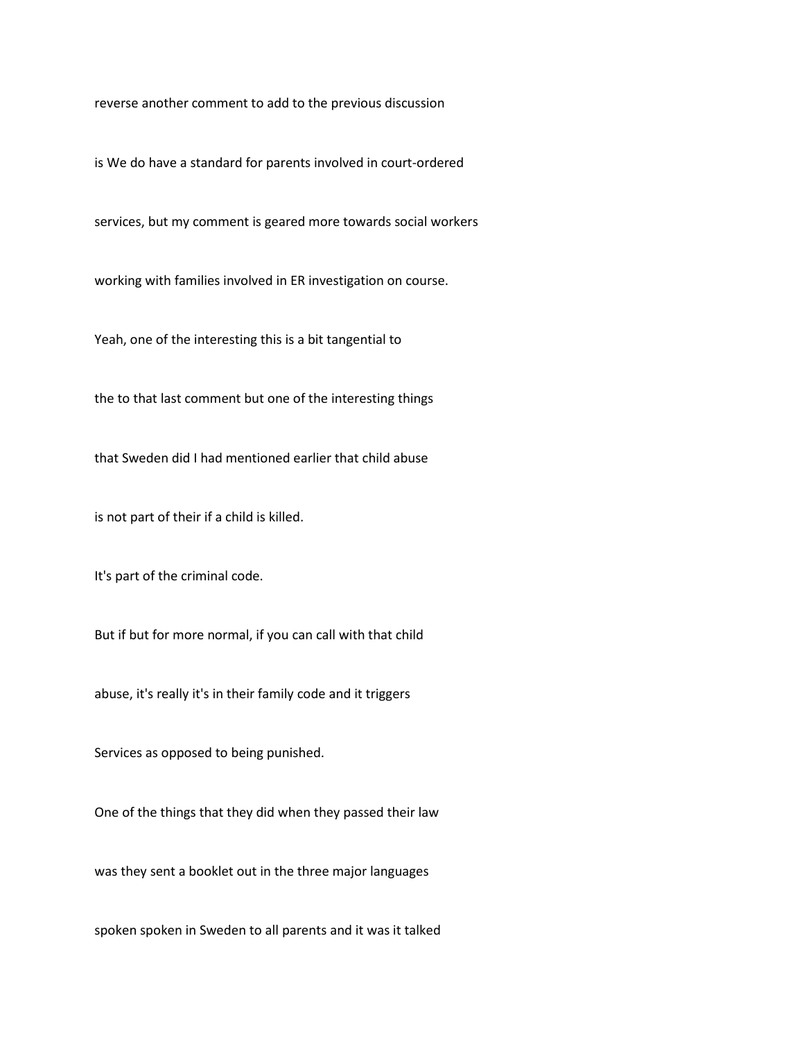reverse another comment to add to the previous discussion

is We do have a standard for parents involved in court-ordered

services, but my comment is geared more towards social workers

working with families involved in ER investigation on course.

Yeah, one of the interesting this is a bit tangential to

the to that last comment but one of the interesting things

that Sweden did I had mentioned earlier that child abuse

is not part of their if a child is killed.

It's part of the criminal code.

But if but for more normal, if you can call with that child

abuse, it's really it's in their family code and it triggers

Services as opposed to being punished.

One of the things that they did when they passed their law

was they sent a booklet out in the three major languages

spoken spoken in Sweden to all parents and it was it talked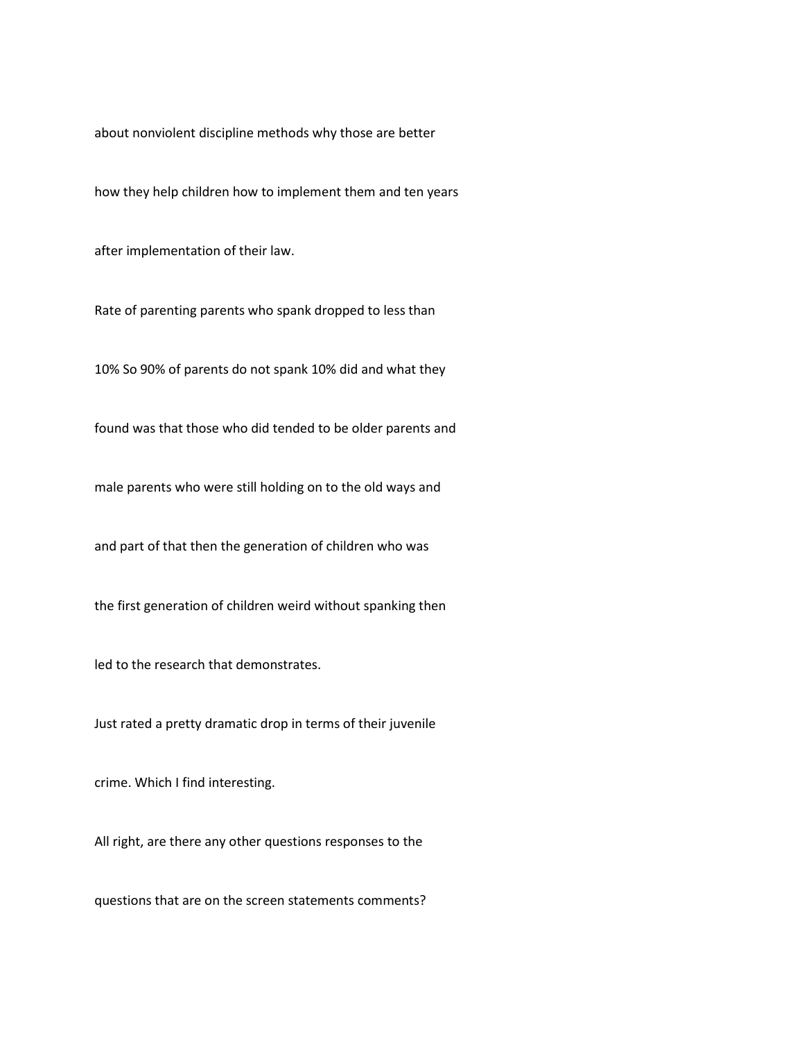about nonviolent discipline methods why those are better

how they help children how to implement them and ten years

after implementation of their law.

Rate of parenting parents who spank dropped to less than

10% So 90% of parents do not spank 10% did and what they

found was that those who did tended to be older parents and

male parents who were still holding on to the old ways and

and part of that then the generation of children who was

the first generation of children weird without spanking then

led to the research that demonstrates.

Just rated a pretty dramatic drop in terms of their juvenile

crime. Which I find interesting.

All right, are there any other questions responses to the

questions that are on the screen statements comments?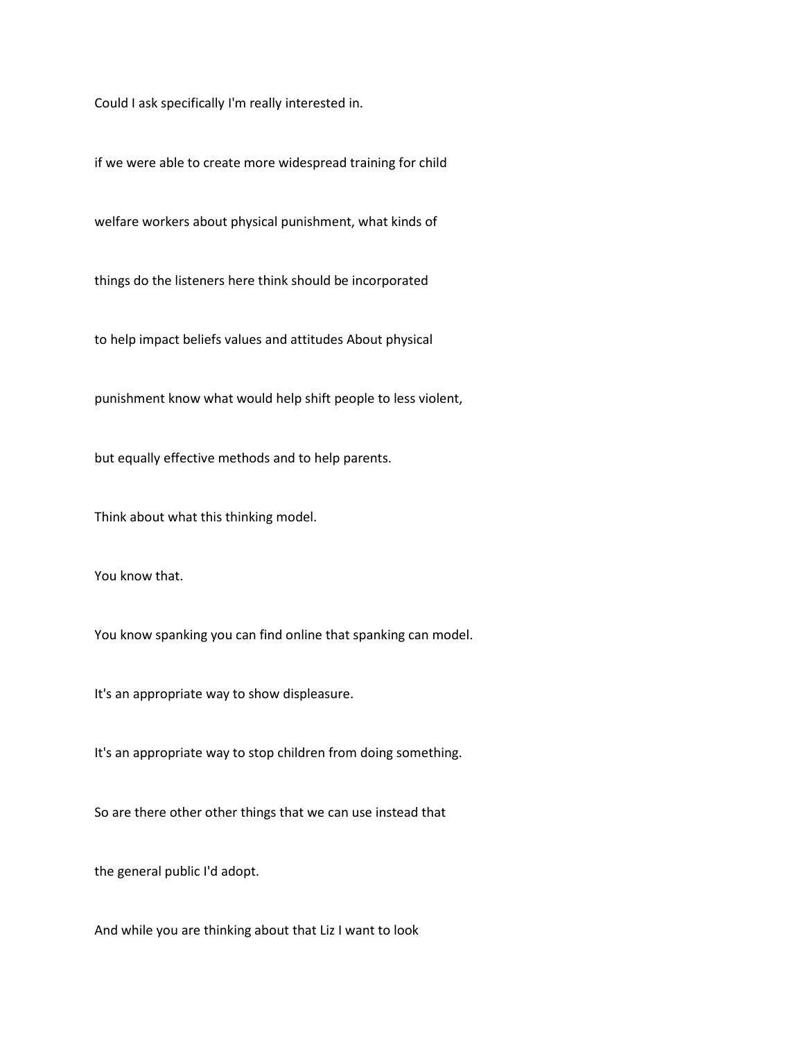Could I ask specifically I'm really interested in.

if we were able to create more widespread training for child

welfare workers about physical punishment, what kinds of

things do the listeners here think should be incorporated

to help impact beliefs values and attitudes About physical

punishment know what would help shift people to less violent,

but equally effective methods and to help parents.

Think about what this thinking model.

You know that.

You know spanking you can find online that spanking can model.

It's an appropriate way to show displeasure.

It's an appropriate way to stop children from doing something.

So are there other other things that we can use instead that

the general public I'd adopt.

And while you are thinking about that Liz I want to look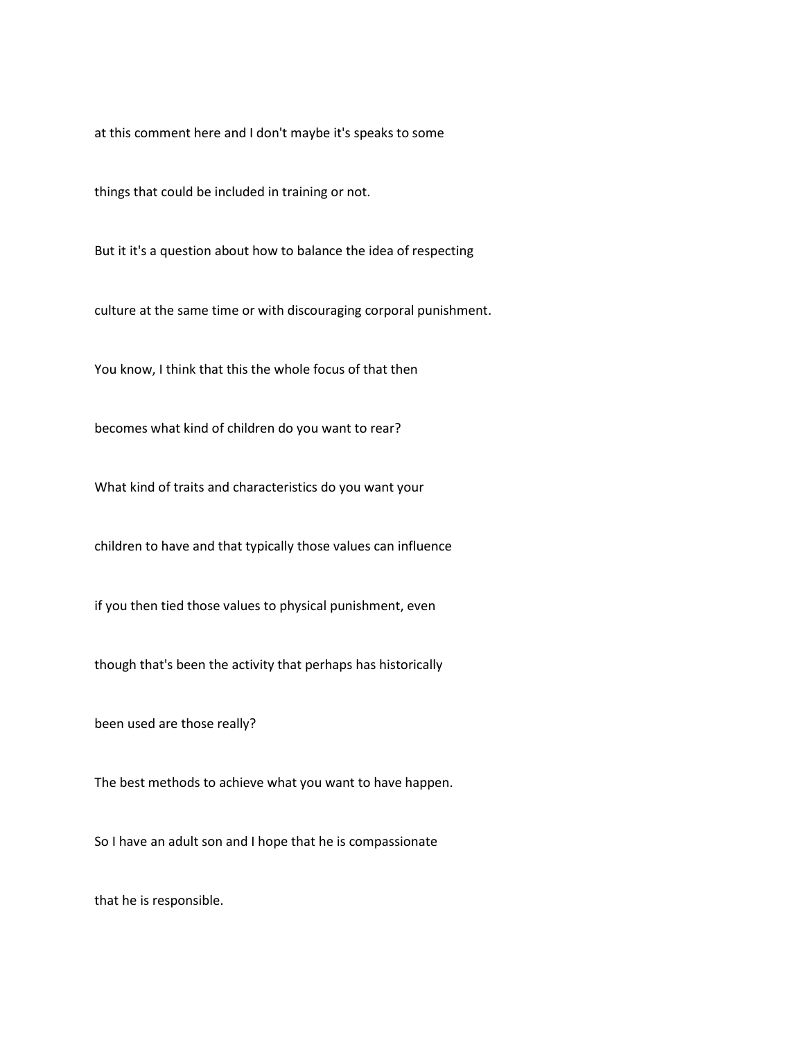at this comment here and I don't maybe it's speaks to some

things that could be included in training or not.

But it it's a question about how to balance the idea of respecting

culture at the same time or with discouraging corporal punishment.

You know, I think that this the whole focus of that then

becomes what kind of children do you want to rear?

What kind of traits and characteristics do you want your

children to have and that typically those values can influence

if you then tied those values to physical punishment, even

though that's been the activity that perhaps has historically

been used are those really?

The best methods to achieve what you want to have happen.

So I have an adult son and I hope that he is compassionate

that he is responsible.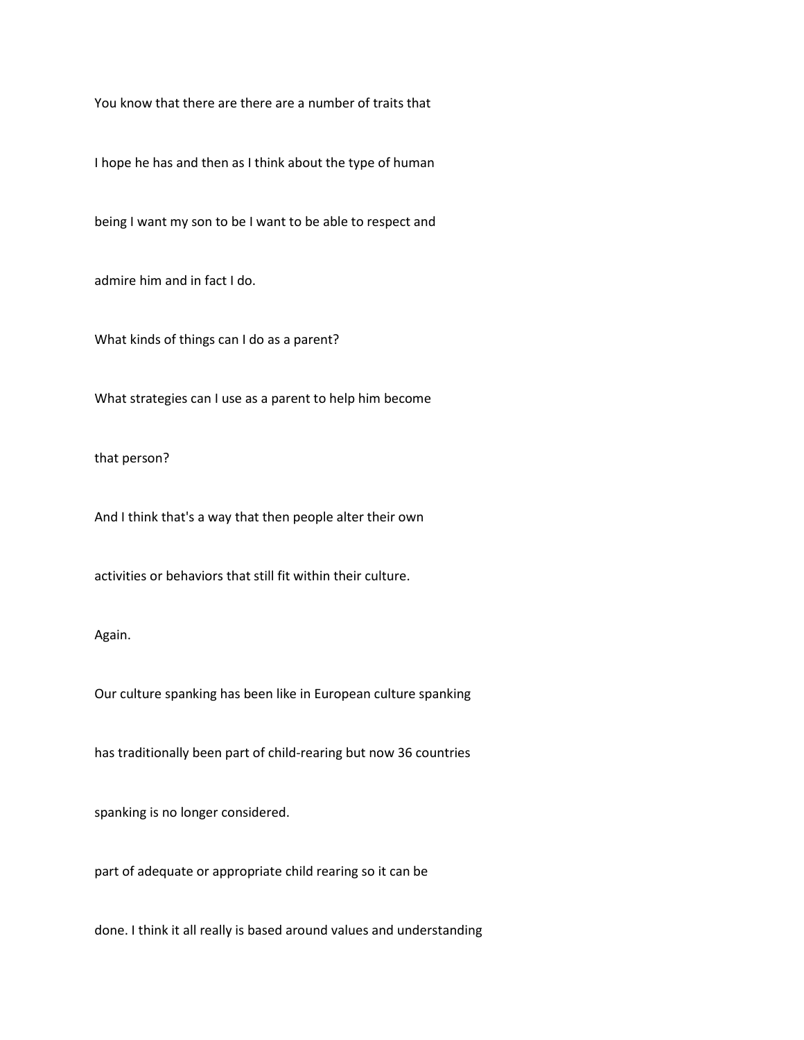You know that there are there are a number of traits that

I hope he has and then as I think about the type of human

being I want my son to be I want to be able to respect and

admire him and in fact I do.

What kinds of things can I do as a parent?

What strategies can I use as a parent to help him become

that person?

And I think that's a way that then people alter their own

activities or behaviors that still fit within their culture.

Again.

Our culture spanking has been like in European culture spanking

has traditionally been part of child-rearing but now 36 countries

spanking is no longer considered.

part of adequate or appropriate child rearing so it can be

done. I think it all really is based around values and understanding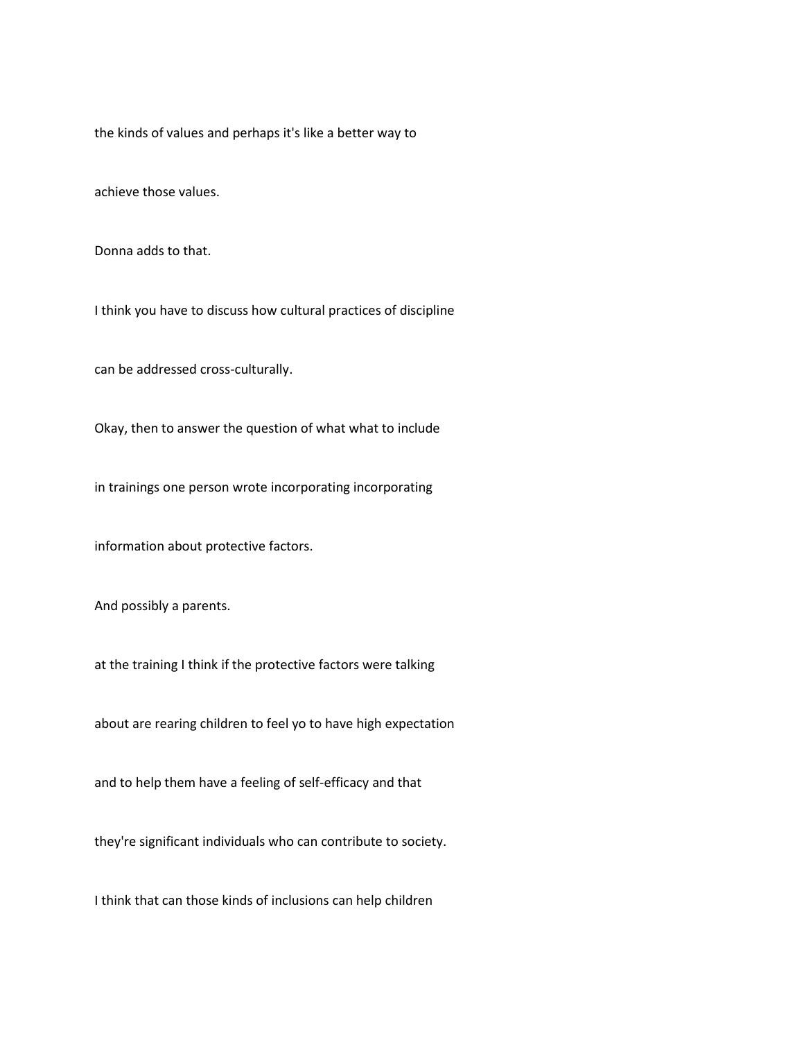the kinds of values and perhaps it's like a better way to

achieve those values.

Donna adds to that.

I think you have to discuss how cultural practices of discipline

can be addressed cross-culturally.

Okay, then to answer the question of what what to include

in trainings one person wrote incorporating incorporating

information about protective factors.

And possibly a parents.

at the training I think if the protective factors were talking

about are rearing children to feel yo to have high expectation

and to help them have a feeling of self-efficacy and that

they're significant individuals who can contribute to society.

I think that can those kinds of inclusions can help children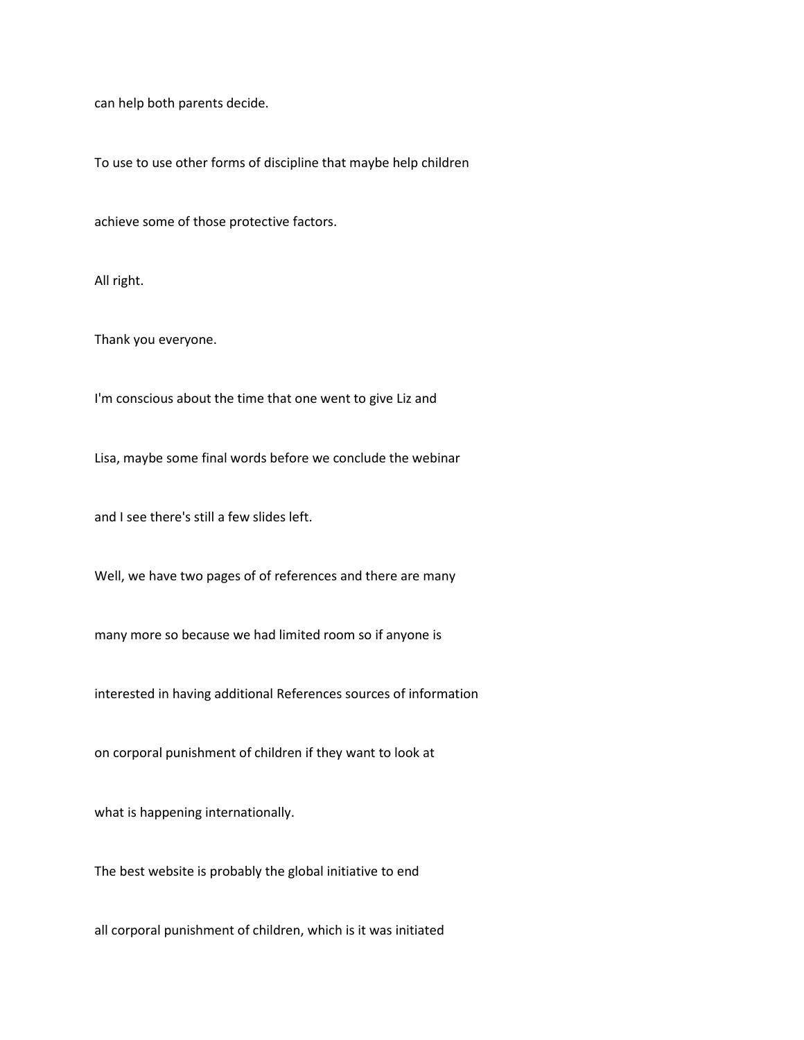can help both parents decide.

To use to use other forms of discipline that maybe help children

achieve some of those protective factors.

All right.

Thank you everyone.

I'm conscious about the time that one went to give Liz and

Lisa, maybe some final words before we conclude the webinar

and I see there's still a few slides left.

Well, we have two pages of of references and there are many

many more so because we had limited room so if anyone is

interested in having additional References sources of information

on corporal punishment of children if they want to look at

what is happening internationally.

The best website is probably the global initiative to end

all corporal punishment of children, which is it was initiated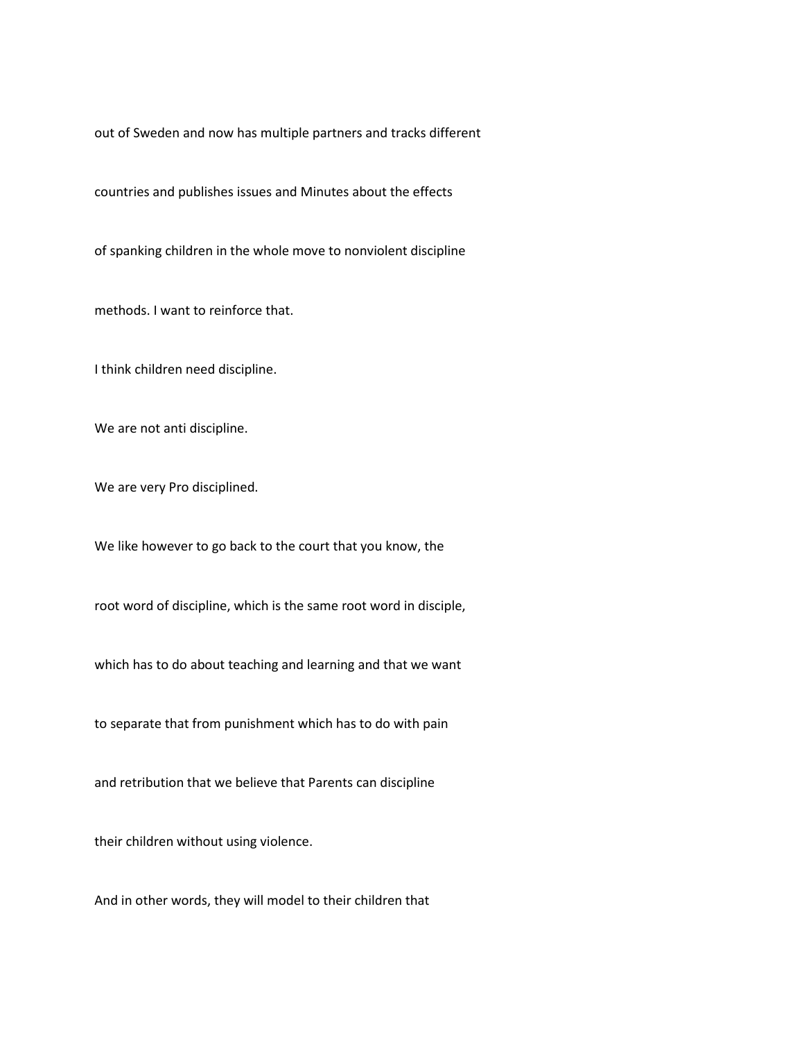out of Sweden and now has multiple partners and tracks different

countries and publishes issues and Minutes about the effects

of spanking children in the whole move to nonviolent discipline

methods. I want to reinforce that.

I think children need discipline.

We are not anti discipline.

We are very Pro disciplined.

We like however to go back to the court that you know, the

root word of discipline, which is the same root word in disciple,

which has to do about teaching and learning and that we want

to separate that from punishment which has to do with pain

and retribution that we believe that Parents can discipline

their children without using violence.

And in other words, they will model to their children that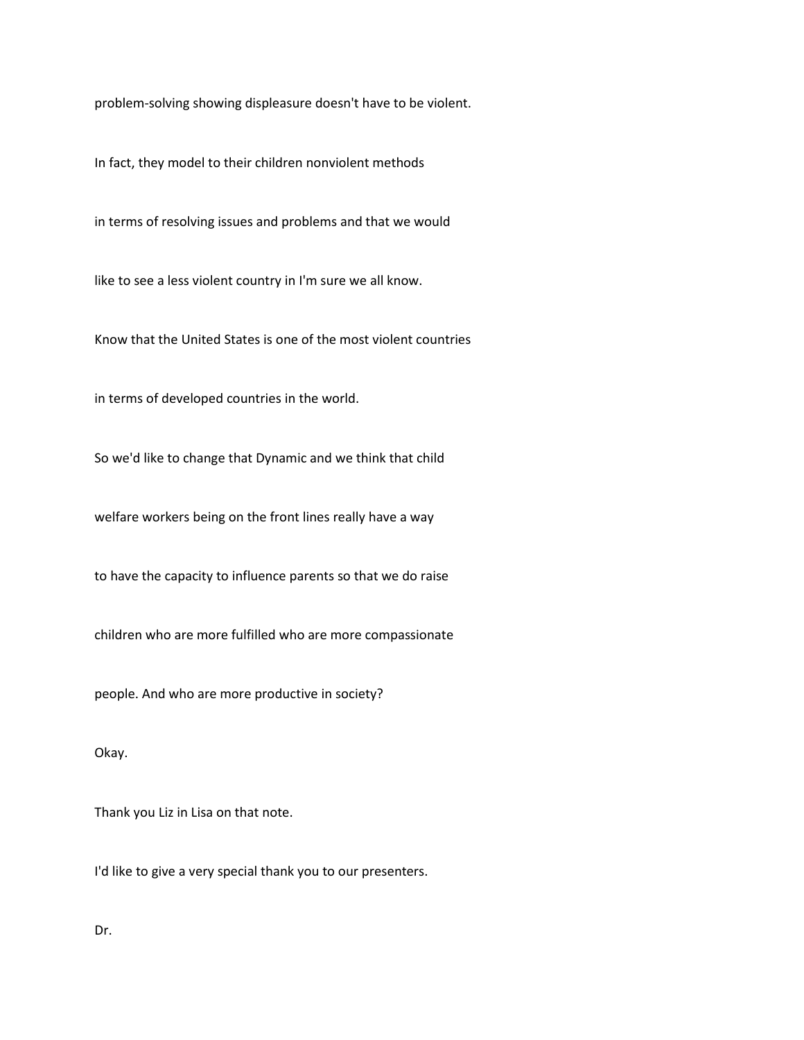problem-solving showing displeasure doesn't have to be violent.

In fact, they model to their children nonviolent methods

in terms of resolving issues and problems and that we would

like to see a less violent country in I'm sure we all know.

Know that the United States is one of the most violent countries

in terms of developed countries in the world.

So we'd like to change that Dynamic and we think that child

welfare workers being on the front lines really have a way

to have the capacity to influence parents so that we do raise

children who are more fulfilled who are more compassionate

people. And who are more productive in society?

Okay.

Thank you Liz in Lisa on that note.

I'd like to give a very special thank you to our presenters.

Dr.